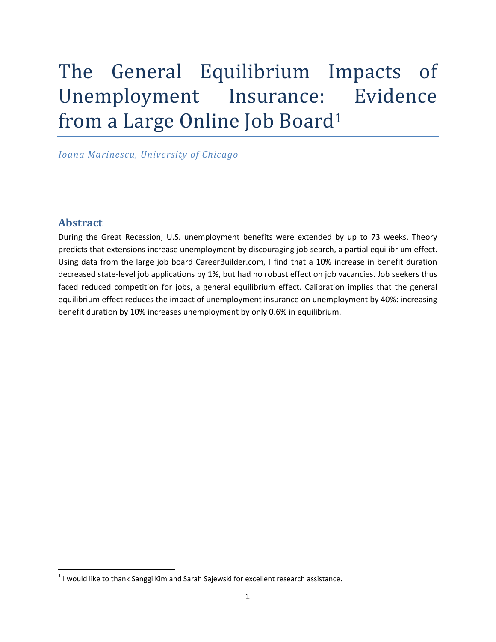# The General Equilibrium Impacts of Unemployment Insurance: Evidence from a Large Online Job Board<sup>1</sup>

*Ioana Marinescu, University of Chicago*

# Abstract

During the Great Recession, U.S. unemployment benefits were extended by up to 73 weeks. Theory predicts that extensions increase unemployment by discouraging job search, a partial equilibrium effect. Using data from the large job board CareerBuilder.com, I find that a 10% increase in benefit duration decreased state‐level job applications by 1%, but had no robust effect on job vacancies. Job seekers thus faced reduced competition for jobs, a general equilibrium effect. Calibration implies that the general equilibrium effect reduces the impact of unemployment insurance on unemployment by 40%: increasing benefit duration by 10% increases unemployment by only 0.6% in equilibrium.

 $1$  I would like to thank Sanggi Kim and Sarah Sajewski for excellent research assistance.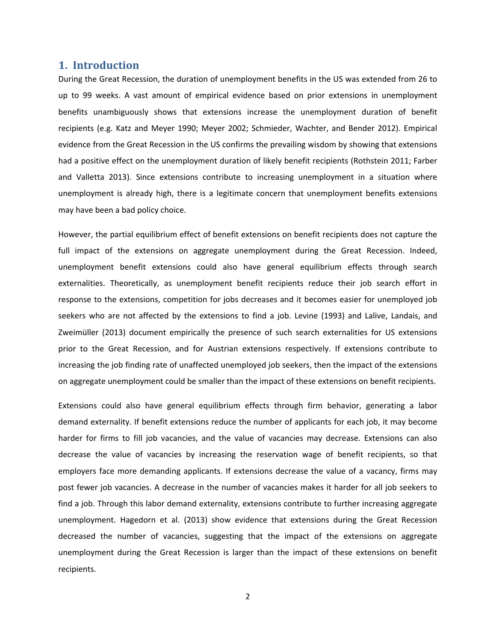## **1. Introduction**

During the Great Recession, the duration of unemployment benefits in the US was extended from 26 to up to 99 weeks. A vast amount of empirical evidence based on prior extensions in unemployment benefits unambiguously shows that extensions increase the unemployment duration of benefit recipients (e.g. Katz and Meyer 1990; Meyer 2002; Schmieder, Wachter, and Bender 2012). Empirical evidence from the Great Recession in the US confirms the prevailing wisdom by showing that extensions had a positive effect on the unemployment duration of likely benefit recipients (Rothstein 2011; Farber and Valletta 2013). Since extensions contribute to increasing unemployment in a situation where unemployment is already high, there is a legitimate concern that unemployment benefits extensions may have been a bad policy choice.

However, the partial equilibrium effect of benefit extensions on benefit recipients does not capture the full impact of the extensions on aggregate unemployment during the Great Recession. Indeed, unemployment benefit extensions could also have general equilibrium effects through search externalities. Theoretically, as unemployment benefit recipients reduce their job search effort in response to the extensions, competition for jobs decreases and it becomes easier for unemployed job seekers who are not affected by the extensions to find a job. Levine (1993) and Lalive, Landais, and Zweimüller (2013) document empirically the presence of such search externalities for US extensions prior to the Great Recession, and for Austrian extensions respectively. If extensions contribute to increasing the job finding rate of unaffected unemployed job seekers, then the impact of the extensions on aggregate unemployment could be smaller than the impact of these extensions on benefit recipients.

Extensions could also have general equilibrium effects through firm behavior, generating a labor demand externality. If benefit extensions reduce the number of applicants for each job, it may become harder for firms to fill job vacancies, and the value of vacancies may decrease. Extensions can also decrease the value of vacancies by increasing the reservation wage of benefit recipients, so that employers face more demanding applicants. If extensions decrease the value of a vacancy, firms may post fewer job vacancies. A decrease in the number of vacancies makes it harder for all job seekers to find a job. Through this labor demand externality, extensions contribute to further increasing aggregate unemployment. Hagedorn et al. (2013) show evidence that extensions during the Great Recession decreased the number of vacancies, suggesting that the impact of the extensions on aggregate unemployment during the Great Recession is larger than the impact of these extensions on benefit recipients.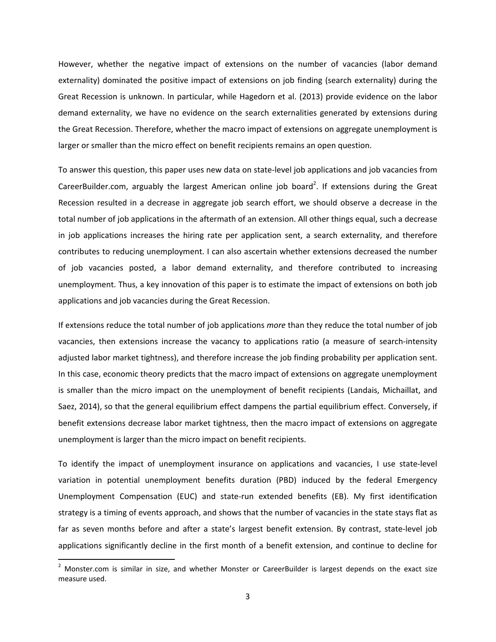However, whether the negative impact of extensions on the number of vacancies (labor demand externality) dominated the positive impact of extensions on job finding (search externality) during the Great Recession is unknown. In particular, while Hagedorn et al. (2013) provide evidence on the labor demand externality, we have no evidence on the search externalities generated by extensions during the Great Recession. Therefore, whether the macro impact of extensions on aggregate unemployment is larger or smaller than the micro effect on benefit recipients remains an open question.

To answer this question, this paper uses new data on state‐level job applications and job vacancies from CareerBuilder.com, arguably the largest American online job board<sup>2</sup>. If extensions during the Great Recession resulted in a decrease in aggregate job search effort, we should observe a decrease in the total number of job applications in the aftermath of an extension. All other things equal, such a decrease in job applications increases the hiring rate per application sent, a search externality, and therefore contributes to reducing unemployment. I can also ascertain whether extensions decreased the number of job vacancies posted, a labor demand externality, and therefore contributed to increasing unemployment. Thus, a key innovation of this paper is to estimate the impact of extensions on both job applications and job vacancies during the Great Recession.

If extensions reduce the total number of job applications *more* than they reduce the total number of job vacancies, then extensions increase the vacancy to applications ratio (a measure of search‐intensity adjusted labor market tightness), and therefore increase the job finding probability per application sent. In this case, economic theory predicts that the macro impact of extensions on aggregate unemployment is smaller than the micro impact on the unemployment of benefit recipients (Landais, Michaillat, and Saez, 2014), so that the general equilibrium effect dampens the partial equilibrium effect. Conversely, if benefit extensions decrease labor market tightness, then the macro impact of extensions on aggregate unemployment is larger than the micro impact on benefit recipients.

To identify the impact of unemployment insurance on applications and vacancies, I use state‐level variation in potential unemployment benefits duration (PBD) induced by the federal Emergency Unemployment Compensation (EUC) and state‐run extended benefits (EB). My first identification strategy is a timing of events approach, and shows that the number of vacancies in the state stays flat as far as seven months before and after a state's largest benefit extension. By contrast, state-level job applications significantly decline in the first month of a benefit extension, and continue to decline for

<sup>&</sup>lt;sup>2</sup> Monster.com is similar in size, and whether Monster or CareerBuilder is largest depends on the exact size measure used.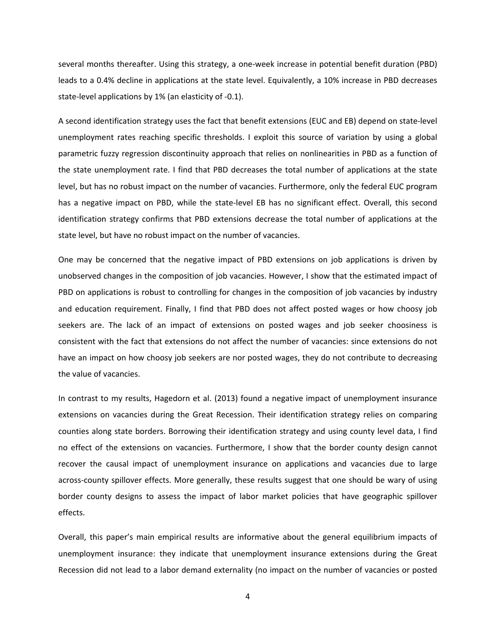several months thereafter. Using this strategy, a one-week increase in potential benefit duration (PBD) leads to a 0.4% decline in applications at the state level. Equivalently, a 10% increase in PBD decreases state‐level applications by 1% (an elasticity of ‐0.1).

A second identification strategy uses the fact that benefit extensions (EUC and EB) depend on state‐level unemployment rates reaching specific thresholds. I exploit this source of variation by using a global parametric fuzzy regression discontinuity approach that relies on nonlinearities in PBD as a function of the state unemployment rate. I find that PBD decreases the total number of applications at the state level, but has no robust impact on the number of vacancies. Furthermore, only the federal EUC program has a negative impact on PBD, while the state-level EB has no significant effect. Overall, this second identification strategy confirms that PBD extensions decrease the total number of applications at the state level, but have no robust impact on the number of vacancies.

One may be concerned that the negative impact of PBD extensions on job applications is driven by unobserved changes in the composition of job vacancies. However, I show that the estimated impact of PBD on applications is robust to controlling for changes in the composition of job vacancies by industry and education requirement. Finally, I find that PBD does not affect posted wages or how choosy job seekers are. The lack of an impact of extensions on posted wages and job seeker choosiness is consistent with the fact that extensions do not affect the number of vacancies: since extensions do not have an impact on how choosy job seekers are nor posted wages, they do not contribute to decreasing the value of vacancies.

In contrast to my results, Hagedorn et al. (2013) found a negative impact of unemployment insurance extensions on vacancies during the Great Recession. Their identification strategy relies on comparing counties along state borders. Borrowing their identification strategy and using county level data, I find no effect of the extensions on vacancies. Furthermore, I show that the border county design cannot recover the causal impact of unemployment insurance on applications and vacancies due to large across‐county spillover effects. More generally, these results suggest that one should be wary of using border county designs to assess the impact of labor market policies that have geographic spillover effects.

Overall, this paper's main empirical results are informative about the general equilibrium impacts of unemployment insurance: they indicate that unemployment insurance extensions during the Great Recession did not lead to a labor demand externality (no impact on the number of vacancies or posted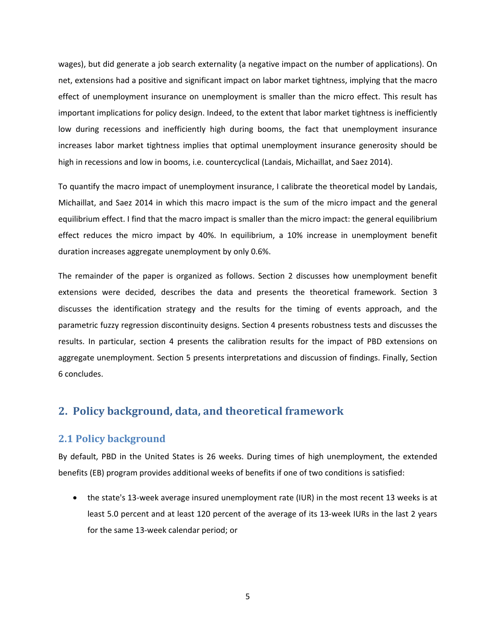wages), but did generate a job search externality (a negative impact on the number of applications). On net, extensions had a positive and significant impact on labor market tightness, implying that the macro effect of unemployment insurance on unemployment is smaller than the micro effect. This result has important implications for policy design. Indeed, to the extent that labor market tightness is inefficiently low during recessions and inefficiently high during booms, the fact that unemployment insurance increases labor market tightness implies that optimal unemployment insurance generosity should be high in recessions and low in booms, i.e. countercyclical (Landais, Michaillat, and Saez 2014).

To quantify the macro impact of unemployment insurance, I calibrate the theoretical model by Landais, Michaillat, and Saez 2014 in which this macro impact is the sum of the micro impact and the general equilibrium effect. I find that the macro impact is smaller than the micro impact: the general equilibrium effect reduces the micro impact by 40%. In equilibrium, a 10% increase in unemployment benefit duration increases aggregate unemployment by only 0.6%.

The remainder of the paper is organized as follows. Section 2 discusses how unemployment benefit extensions were decided, describes the data and presents the theoretical framework. Section 3 discusses the identification strategy and the results for the timing of events approach, and the parametric fuzzy regression discontinuity designs. Section 4 presents robustness tests and discusses the results. In particular, section 4 presents the calibration results for the impact of PBD extensions on aggregate unemployment. Section 5 presents interpretations and discussion of findings. Finally, Section 6 concludes.

# **2. Policy background, data, and theoretical framework**

## **2.1 Policy background**

By default, PBD in the United States is 26 weeks. During times of high unemployment, the extended benefits (EB) program provides additional weeks of benefits if one of two conditions is satisfied:

■ the state's 13-week average insured unemployment rate (IUR) in the most recent 13 weeks is at least 5.0 percent and at least 120 percent of the average of its 13-week IURs in the last 2 years for the same 13‐week calendar period; or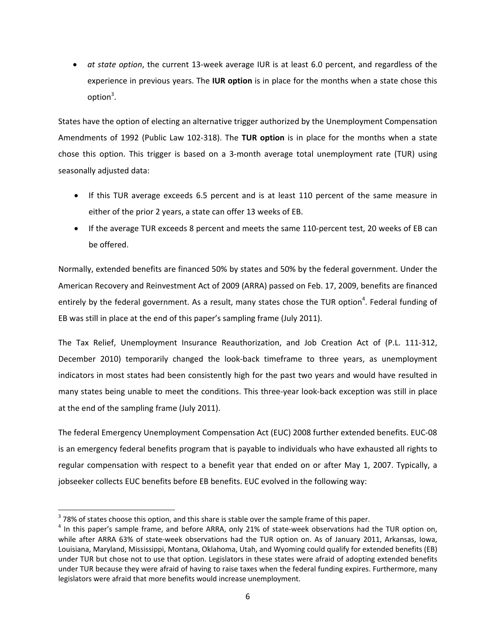*at state option*, the current 13‐week average IUR is at least 6.0 percent, and regardless of the experience in previous years. The **IUR option** is in place for the months when a state chose this  $option<sup>3</sup>$ .

States have the option of electing an alternative trigger authorized by the Unemployment Compensation Amendments of 1992 (Public Law 102‐318). The **TUR option** is in place for the months when a state chose this option. This trigger is based on a 3‐month average total unemployment rate (TUR) using seasonally adjusted data:

- If this TUR average exceeds 6.5 percent and is at least 110 percent of the same measure in either of the prior 2 years, a state can offer 13 weeks of EB.
- If the average TUR exceeds 8 percent and meets the same 110-percent test, 20 weeks of EB can be offered.

Normally, extended benefits are financed 50% by states and 50% by the federal government. Under the American Recovery and Reinvestment Act of 2009 (ARRA) passed on Feb. 17, 2009, benefits are financed entirely by the federal government. As a result, many states chose the TUR option<sup>4</sup>. Federal funding of EB was still in place at the end of this paper's sampling frame (July 2011).

The Tax Relief, Unemployment Insurance Reauthorization, and Job Creation Act of (P.L. 111‐312, December 2010) temporarily changed the look‐back timeframe to three years, as unemployment indicators in most states had been consistently high for the past two years and would have resulted in many states being unable to meet the conditions. This three-year look-back exception was still in place at the end of the sampling frame (July 2011).

The federal Emergency Unemployment Compensation Act (EUC) 2008 further extended benefits. EUC‐08 is an emergency federal benefits program that is payable to individuals who have exhausted all rights to regular compensation with respect to a benefit year that ended on or after May 1, 2007. Typically, a jobseeker collects EUC benefits before EB benefits. EUC evolved in the following way:

<sup>&</sup>lt;sup>3</sup> 78% of states choose this option, and this share is stable over the sample frame of this paper.<br><sup>4</sup> In this paper's sample frame, and before ARRA, only 21% of state-week observations had the TUR option on, while after ARRA 63% of state-week observations had the TUR option on. As of January 2011, Arkansas, Iowa, Louisiana, Maryland, Mississippi, Montana, Oklahoma, Utah, and Wyoming could qualify for extended benefits (EB) under TUR but chose not to use that option. Legislators in these states were afraid of adopting extended benefits under TUR because they were afraid of having to raise taxes when the federal funding expires. Furthermore, many legislators were afraid that more benefits would increase unemployment.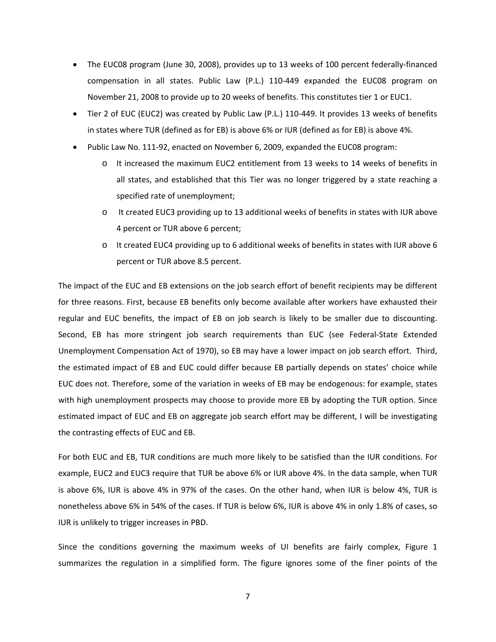- The EUC08 program (June 30, 2008), provides up to 13 weeks of 100 percent federally‐financed compensation in all states. Public Law (P.L.) 110‐449 expanded the EUC08 program on November 21, 2008 to provide up to 20 weeks of benefits. This constitutes tier 1 or EUC1.
- Tier 2 of EUC (EUC2) was created by Public Law (P.L.) 110‐449. It provides 13 weeks of benefits in states where TUR (defined as for EB) is above 6% or IUR (defined as for EB) is above 4%.
- Public Law No. 111‐92, enacted on November 6, 2009, expanded the EUC08 program:
	- o It increased the maximum EUC2 entitlement from 13 weeks to 14 weeks of benefits in all states, and established that this Tier was no longer triggered by a state reaching a specified rate of unemployment;
	- o It created EUC3 providing up to 13 additional weeks of benefits in states with IUR above 4 percent or TUR above 6 percent;
	- o It created EUC4 providing up to 6 additional weeks of benefits in states with IUR above 6 percent or TUR above 8.5 percent.

The impact of the EUC and EB extensions on the job search effort of benefit recipients may be different for three reasons. First, because EB benefits only become available after workers have exhausted their regular and EUC benefits, the impact of EB on job search is likely to be smaller due to discounting. Second, EB has more stringent job search requirements than EUC (see Federal-State Extended Unemployment Compensation Act of 1970), so EB may have a lower impact on job search effort. Third, the estimated impact of EB and EUC could differ because EB partially depends on states' choice while EUC does not. Therefore, some of the variation in weeks of EB may be endogenous: for example, states with high unemployment prospects may choose to provide more EB by adopting the TUR option. Since estimated impact of EUC and EB on aggregate job search effort may be different, I will be investigating the contrasting effects of EUC and EB.

For both EUC and EB, TUR conditions are much more likely to be satisfied than the IUR conditions. For example, EUC2 and EUC3 require that TUR be above 6% or IUR above 4%. In the data sample, when TUR is above 6%, IUR is above 4% in 97% of the cases. On the other hand, when IUR is below 4%, TUR is nonetheless above 6% in 54% of the cases. If TUR is below 6%, IUR is above 4% in only 1.8% of cases, so IUR is unlikely to trigger increases in PBD.

Since the conditions governing the maximum weeks of UI benefits are fairly complex, Figure 1 summarizes the regulation in a simplified form. The figure ignores some of the finer points of the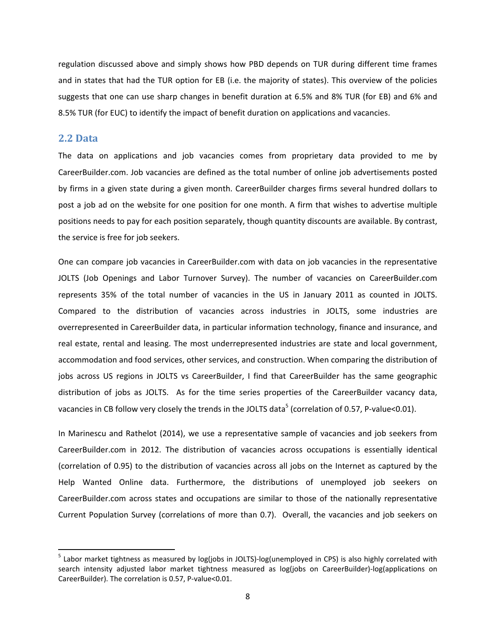regulation discussed above and simply shows how PBD depends on TUR during different time frames and in states that had the TUR option for EB (i.e. the majority of states). This overview of the policies suggests that one can use sharp changes in benefit duration at 6.5% and 8% TUR (for EB) and 6% and 8.5% TUR (for EUC) to identify the impact of benefit duration on applications and vacancies.

## **2.2 Data**

The data on applications and job vacancies comes from proprietary data provided to me by CareerBuilder.com. Job vacancies are defined as the total number of online job advertisements posted by firms in a given state during a given month. CareerBuilder charges firms several hundred dollars to post a job ad on the website for one position for one month. A firm that wishes to advertise multiple positions needs to pay for each position separately, though quantity discounts are available. By contrast, the service is free for job seekers.

One can compare job vacancies in CareerBuilder.com with data on job vacancies in the representative JOLTS (Job Openings and Labor Turnover Survey). The number of vacancies on CareerBuilder.com represents 35% of the total number of vacancies in the US in January 2011 as counted in JOLTS. Compared to the distribution of vacancies across industries in JOLTS, some industries are overrepresented in CareerBuilder data, in particular information technology, finance and insurance, and real estate, rental and leasing. The most underrepresented industries are state and local government, accommodation and food services, other services, and construction. When comparing the distribution of jobs across US regions in JOLTS vs CareerBuilder, I find that CareerBuilder has the same geographic distribution of jobs as JOLTS. As for the time series properties of the CareerBuilder vacancy data, vacancies in CB follow very closely the trends in the JOLTS data<sup>5</sup> (correlation of 0.57, P-value<0.01).

In Marinescu and Rathelot (2014), we use a representative sample of vacancies and job seekers from CareerBuilder.com in 2012. The distribution of vacancies across occupations is essentially identical (correlation of 0.95) to the distribution of vacancies across all jobs on the Internet as captured by the Help Wanted Online data. Furthermore, the distributions of unemployed job seekers on CareerBuilder.com across states and occupations are similar to those of the nationally representative Current Population Survey (correlations of more than 0.7). Overall, the vacancies and job seekers on

 $<sup>5</sup>$  Labor market tightness as measured by log(jobs in JOLTS)-log(unemployed in CPS) is also highly correlated with</sup> search intensity adjusted labor market tightness measured as log(jobs on CareerBuilder)‐log(applications on CareerBuilder). The correlation is 0.57, P‐value<0.01.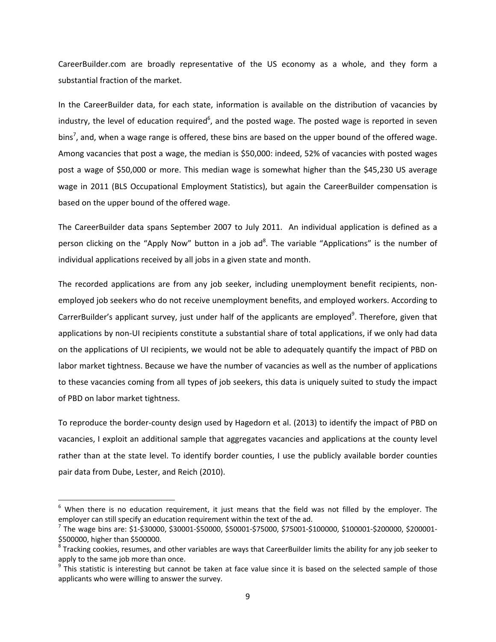CareerBuilder.com are broadly representative of the US economy as a whole, and they form a substantial fraction of the market.

In the CareerBuilder data, for each state, information is available on the distribution of vacancies by industry, the level of education required<sup>6</sup>, and the posted wage. The posted wage is reported in seven bins<sup>7</sup>, and, when a wage range is offered, these bins are based on the upper bound of the offered wage. Among vacancies that post a wage, the median is \$50,000: indeed, 52% of vacancies with posted wages post a wage of \$50,000 or more. This median wage is somewhat higher than the \$45,230 US average wage in 2011 (BLS Occupational Employment Statistics), but again the CareerBuilder compensation is based on the upper bound of the offered wage.

The CareerBuilder data spans September 2007 to July 2011. An individual application is defined as a person clicking on the "Apply Now" button in a job ad<sup>8</sup>. The variable "Applications" is the number of individual applications received by all jobs in a given state and month.

The recorded applications are from any job seeker, including unemployment benefit recipients, non‐ employed job seekers who do not receive unemployment benefits, and employed workers. According to CarrerBuilder's applicant survey, just under half of the applicants are employed<sup>9</sup>. Therefore, given that applications by non‐UI recipients constitute a substantial share of total applications, if we only had data on the applications of UI recipients, we would not be able to adequately quantify the impact of PBD on labor market tightness. Because we have the number of vacancies as well as the number of applications to these vacancies coming from all types of job seekers, this data is uniquely suited to study the impact of PBD on labor market tightness.

To reproduce the border‐county design used by Hagedorn et al. (2013) to identify the impact of PBD on vacancies, I exploit an additional sample that aggregates vacancies and applications at the county level rather than at the state level. To identify border counties, I use the publicly available border counties pair data from Dube, Lester, and Reich (2010).

 $6$  When there is no education requirement, it just means that the field was not filled by the employer. The employer can still specify an education requirement within the text of the ad.<br><sup>7</sup> The wage bins are: \$1‐\$30000, \$30001‐\$50000, \$50001‐\$75000, \$75001‐\$100000, \$100001‐\$200000, \$200001‐

<sup>\$500000,</sup> higher than \$500000.<br><sup>8</sup> Tracking cookies, resumes, and other variables are ways that CareerBuilder limits the ability for any job seeker to

apply to the same job more than once.<br><sup>9</sup> This statistic is interesting but cannot be taken at face value since it is based on the selected sample of those

applicants who were willing to answer the survey.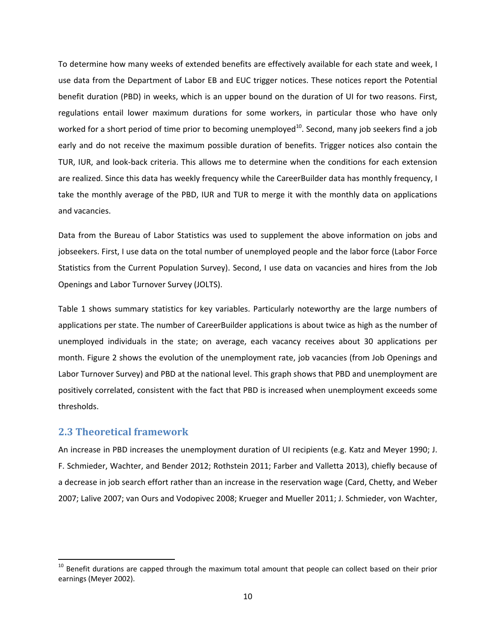To determine how many weeks of extended benefits are effectively available for each state and week, I use data from the Department of Labor EB and EUC trigger notices. These notices report the Potential benefit duration (PBD) in weeks, which is an upper bound on the duration of UI for two reasons. First, regulations entail lower maximum durations for some workers, in particular those who have only worked for a short period of time prior to becoming unemployed<sup>10</sup>. Second, many job seekers find a job early and do not receive the maximum possible duration of benefits. Trigger notices also contain the TUR, IUR, and look‐back criteria. This allows me to determine when the conditions for each extension are realized. Since this data has weekly frequency while the CareerBuilder data has monthly frequency, I take the monthly average of the PBD, IUR and TUR to merge it with the monthly data on applications and vacancies.

Data from the Bureau of Labor Statistics was used to supplement the above information on jobs and jobseekers. First, I use data on the total number of unemployed people and the labor force (Labor Force Statistics from the Current Population Survey). Second, I use data on vacancies and hires from the Job Openings and Labor Turnover Survey (JOLTS).

Table 1 shows summary statistics for key variables. Particularly noteworthy are the large numbers of applications per state. The number of CareerBuilder applications is about twice as high as the number of unemployed individuals in the state; on average, each vacancy receives about 30 applications per month. Figure 2 shows the evolution of the unemployment rate, job vacancies (from Job Openings and Labor Turnover Survey) and PBD at the national level. This graph shows that PBD and unemployment are positively correlated, consistent with the fact that PBD is increased when unemployment exceeds some thresholds.

## **2.3 Theoretical framework**

An increase in PBD increases the unemployment duration of UI recipients (e.g. Katz and Meyer 1990; J. F. Schmieder, Wachter, and Bender 2012; Rothstein 2011; Farber and Valletta 2013), chiefly because of a decrease in job search effort rather than an increase in the reservation wage (Card, Chetty, and Weber 2007; Lalive 2007; van Ours and Vodopivec 2008; Krueger and Mueller 2011; J. Schmieder, von Wachter,

 $^{10}$  Benefit durations are capped through the maximum total amount that people can collect based on their prior earnings (Meyer 2002).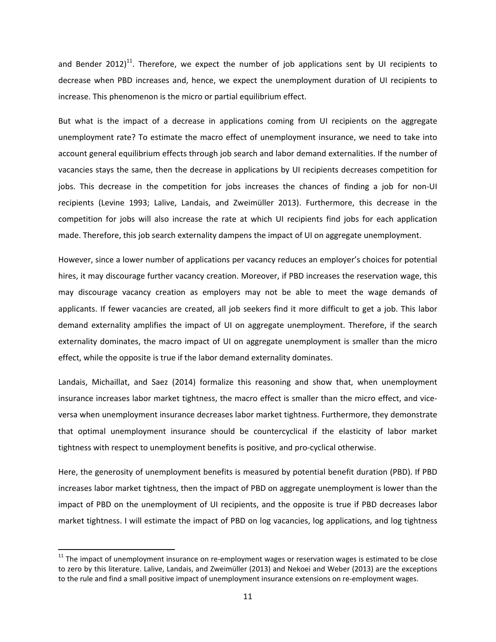and Bender 2012)<sup>11</sup>. Therefore, we expect the number of job applications sent by UI recipients to decrease when PBD increases and, hence, we expect the unemployment duration of UI recipients to increase. This phenomenon is the micro or partial equilibrium effect.

But what is the impact of a decrease in applications coming from UI recipients on the aggregate unemployment rate? To estimate the macro effect of unemployment insurance, we need to take into account general equilibrium effects through job search and labor demand externalities. If the number of vacancies stays the same, then the decrease in applications by UI recipients decreases competition for jobs. This decrease in the competition for jobs increases the chances of finding a job for non‐UI recipients (Levine 1993; Lalive, Landais, and Zweimüller 2013). Furthermore, this decrease in the competition for jobs will also increase the rate at which UI recipients find jobs for each application made. Therefore, this job search externality dampens the impact of UI on aggregate unemployment.

However, since a lower number of applications per vacancy reduces an employer's choices for potential hires, it may discourage further vacancy creation. Moreover, if PBD increases the reservation wage, this may discourage vacancy creation as employers may not be able to meet the wage demands of applicants. If fewer vacancies are created, all job seekers find it more difficult to get a job. This labor demand externality amplifies the impact of UI on aggregate unemployment. Therefore, if the search externality dominates, the macro impact of UI on aggregate unemployment is smaller than the micro effect, while the opposite is true if the labor demand externality dominates.

Landais, Michaillat, and Saez (2014) formalize this reasoning and show that, when unemployment insurance increases labor market tightness, the macro effect is smaller than the micro effect, and viceversa when unemployment insurance decreases labor market tightness. Furthermore, they demonstrate that optimal unemployment insurance should be countercyclical if the elasticity of labor market tightness with respect to unemployment benefits is positive, and pro‐cyclical otherwise.

Here, the generosity of unemployment benefits is measured by potential benefit duration (PBD). If PBD increases labor market tightness, then the impact of PBD on aggregate unemployment is lower than the impact of PBD on the unemployment of UI recipients, and the opposite is true if PBD decreases labor market tightness. I will estimate the impact of PBD on log vacancies, log applications, and log tightness

 $11$  The impact of unemployment insurance on re-employment wages or reservation wages is estimated to be close to zero by this literature. Lalive, Landais, and Zweimüller (2013) and Nekoei and Weber (2013) are the exceptions to the rule and find a small positive impact of unemployment insurance extensions on re-employment wages.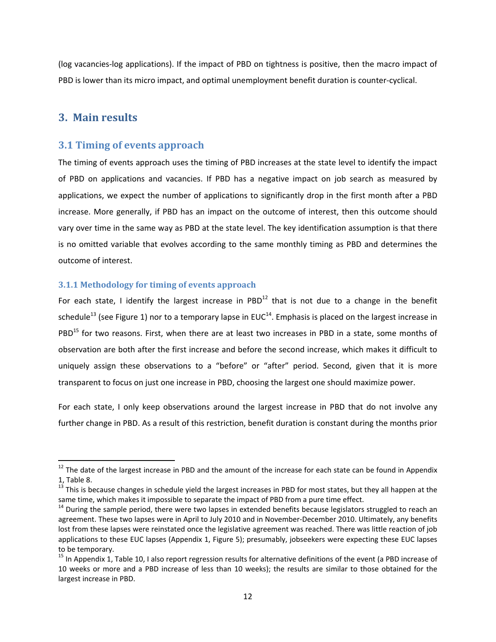(log vacancies‐log applications). If the impact of PBD on tightness is positive, then the macro impact of PBD is lower than its micro impact, and optimal unemployment benefit duration is counter‐cyclical.

# **3. Main results**

## **3.1 Timing of events approach**

The timing of events approach uses the timing of PBD increases at the state level to identify the impact of PBD on applications and vacancies. If PBD has a negative impact on job search as measured by applications, we expect the number of applications to significantly drop in the first month after a PBD increase. More generally, if PBD has an impact on the outcome of interest, then this outcome should vary over time in the same way as PBD at the state level. The key identification assumption is that there is no omitted variable that evolves according to the same monthly timing as PBD and determines the outcome of interest.

## **3.1.1 Methodology for timing of events approach**

For each state, I identify the largest increase in PBD $^{12}$  that is not due to a change in the benefit schedule<sup>13</sup> (see Figure 1) nor to a temporary lapse in EUC<sup>14</sup>. Emphasis is placed on the largest increase in PBD<sup>15</sup> for two reasons. First, when there are at least two increases in PBD in a state, some months of observation are both after the first increase and before the second increase, which makes it difficult to uniquely assign these observations to a "before" or "after" period. Second, given that it is more transparent to focus on just one increase in PBD, choosing the largest one should maximize power.

For each state, I only keep observations around the largest increase in PBD that do not involve any further change in PBD. As a result of this restriction, benefit duration is constant during the months prior

 $12$  The date of the largest increase in PBD and the amount of the increase for each state can be found in Appendix

<sup>1,</sup> Table 8.<br><sup>13</sup> This is because changes in schedule yield the largest increases in PBD for most states, but they all happen at the<br>same time, which makes it impossible to separate the impact of PBD from a pure time effect

 $14$  During the sample period, there were two lapses in extended benefits because legislators struggled to reach an agreement. These two lapses were in April to July 2010 and in November‐December 2010. Ultimately, any benefits lost from these lapses were reinstated once the legislative agreement was reached. There was little reaction of job applications to these EUC lapses (Appendix 1, Figure 5); presumably, jobseekers were expecting these EUC lapses to be temporary.<br><sup>15</sup> In Appendix 1, Table 10, I also report regression results for alternative definitions of the event (a PBD increase of

<sup>10</sup> weeks or more and a PBD increase of less than 10 weeks); the results are similar to those obtained for the largest increase in PBD.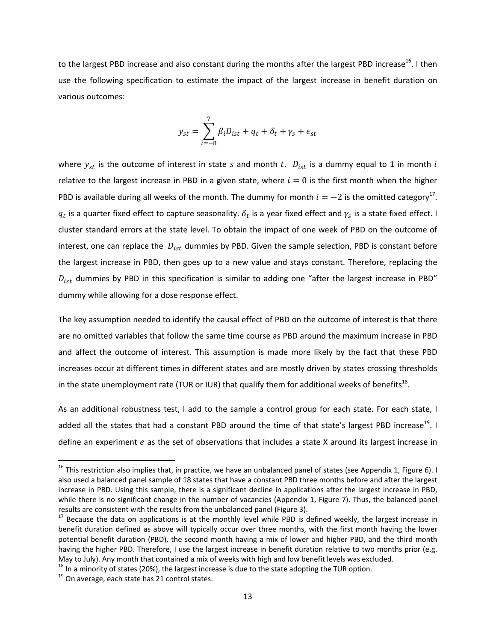to the largest PBD increase and also constant during the months after the largest PBD increase<sup>16</sup>. I then use the following specification to estimate the impact of the largest increase in benefit duration on various outcomes:

$$
y_{st} = \sum_{t=-8}^{7} \beta_t D_{ist} + q_t + \delta_t + \gamma_s + \epsilon_{st}
$$

where  $y_{st}$  is the outcome of interest in state s and month t.  $D_{ist}$  is a dummy equal to 1 in month i relative to the largest increase in PBD in a given state, where  $i=0$  is the first month when the higher PBD is available during all weeks of the month. The dummy for month  $i = -2$  is the omitted category<sup>17</sup>.  $q_t$  is a quarter fixed effect to capture seasonality.  $\delta_t$  is a year fixed effect and  $\gamma_s$  is a state fixed effect. I cluster standard errors at the state level. To obtain the impact of one week of PBD on the outcome of interest, one can replace the  $D_{ist}$  dummies by PBD. Given the sample selection, PBD is constant before the largest increase in PBD, then goes up to a new value and stays constant. Therefore, replacing the  $D_{ist}$  dummies by PBD in this specification is similar to adding one "after the largest increase in PBD" dummy while allowing for a dose response effect.

The key assumption needed to identify the causal effect of PBD on the outcome of interest is that there are no omitted variables that follow the same time course as PBD around the maximum increase in PBD and affect the outcome of interest. This assumption is made more likely by the fact that these PBD increases occur at different times in different states and are mostly driven by states crossing thresholds in the state unemployment rate (TUR or IUR) that qualify them for additional weeks of benefits<sup>18</sup>.

As an additional robustness test, I add to the sample a control group for each state. For each state, I added all the states that had a constant PBD around the time of that state's largest PBD increase<sup>19</sup>. I define an experiment  $e$  as the set of observations that includes a state X around its largest increase in

 $16$  This restriction also implies that, in practice, we have an unbalanced panel of states (see Appendix 1, Figure 6). I also used a balanced panel sample of 18 states that have a constant PBD three months before and after the largest increase in PBD. Using this sample, there is a significant decline in applications after the largest increase in PBD, while there is no significant change in the number of vacancies (Appendix 1, Figure 7). Thus, the balanced panel results are consistent with the results from the unbalanced panel (Figure 3).<br><sup>17</sup> Because the data on applications is at the monthly level while PBD is defined weekly, the largest increase in

benefit duration defined as above will typically occur over three months, with the first month having the lower potential benefit duration (PBD), the second month having a mix of lower and higher PBD, and the third month having the higher PBD. Therefore, I use the largest increase in benefit duration relative to two months prior (e.g. May to July). Any month that contained a mix of weeks with high and low benefit levels was excluded.<br><sup>18</sup> In a minority of states (20%), the largest increase is due to the state adopting the TUR option.<br><sup>19</sup> On average, ea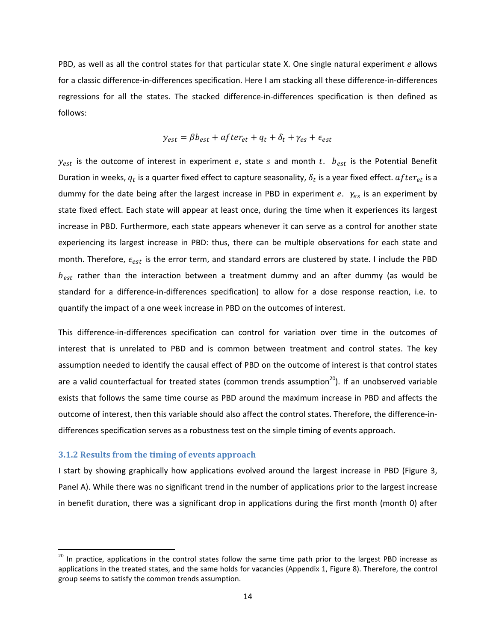PBD, as well as all the control states for that particular state X. One single natural experiment e allows for a classic difference-in-differences specification. Here I am stacking all these difference-in-differences regressions for all the states. The stacked difference-in-differences specification is then defined as follows:

$$
y_{est} = \beta b_{est} + after_{et} + q_t + \delta_t + \gamma_{es} + \epsilon_{est}
$$

 $y_{est}$  is the outcome of interest in experiment e, state s and month t.  $b_{est}$  is the Potential Benefit Duration in weeks,  $q_t$  is a quarter fixed effect to capture seasonality,  $\delta_t$  is a year fixed effect.  $after_{et}$  is a dummy for the date being after the largest increase in PBD in experiment  $e$ .  $\gamma_{es}$  is an experiment by state fixed effect. Each state will appear at least once, during the time when it experiences its largest increase in PBD. Furthermore, each state appears whenever it can serve as a control for another state experiencing its largest increase in PBD: thus, there can be multiple observations for each state and month. Therefore,  $\epsilon_{est}$  is the error term, and standard errors are clustered by state. I include the PBD  $b_{est}$  rather than the interaction between a treatment dummy and an after dummy (as would be standard for a difference‐in‐differences specification) to allow for a dose response reaction, i.e. to quantify the impact of a one week increase in PBD on the outcomes of interest.

This difference-in-differences specification can control for variation over time in the outcomes of interest that is unrelated to PBD and is common between treatment and control states. The key assumption needed to identify the causal effect of PBD on the outcome of interest is that control states are a valid counterfactual for treated states (common trends assumption<sup>20</sup>). If an unobserved variable exists that follows the same time course as PBD around the maximum increase in PBD and affects the outcome of interest, then this variable should also affect the control states. Therefore, the difference‐in‐ differences specification serves as a robustness test on the simple timing of events approach.

#### **3.1.2 Results from the timing of events approach**

I start by showing graphically how applications evolved around the largest increase in PBD (Figure 3, Panel A). While there was no significant trend in the number of applications prior to the largest increase in benefit duration, there was a significant drop in applications during the first month (month 0) after

<sup>&</sup>lt;sup>20</sup> In practice, applications in the control states follow the same time path prior to the largest PBD increase as applications in the treated states, and the same holds for vacancies (Appendix 1, Figure 8). Therefore, the control group seems to satisfy the common trends assumption.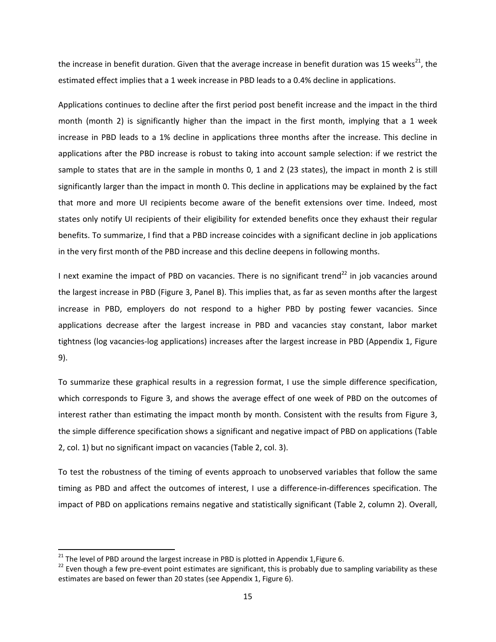the increase in benefit duration. Given that the average increase in benefit duration was 15 weeks<sup>21</sup>, the estimated effect implies that a 1 week increase in PBD leads to a 0.4% decline in applications.

Applications continues to decline after the first period post benefit increase and the impact in the third month (month 2) is significantly higher than the impact in the first month, implying that a 1 week increase in PBD leads to a 1% decline in applications three months after the increase. This decline in applications after the PBD increase is robust to taking into account sample selection: if we restrict the sample to states that are in the sample in months 0, 1 and 2 (23 states), the impact in month 2 is still significantly larger than the impact in month 0. This decline in applications may be explained by the fact that more and more UI recipients become aware of the benefit extensions over time. Indeed, most states only notify UI recipients of their eligibility for extended benefits once they exhaust their regular benefits. To summarize, I find that a PBD increase coincides with a significant decline in job applications in the very first month of the PBD increase and this decline deepens in following months.

I next examine the impact of PBD on vacancies. There is no significant trend<sup>22</sup> in job vacancies around the largest increase in PBD (Figure 3, Panel B). This implies that, as far as seven months after the largest increase in PBD, employers do not respond to a higher PBD by posting fewer vacancies. Since applications decrease after the largest increase in PBD and vacancies stay constant, labor market tightness (log vacancies-log applications) increases after the largest increase in PBD (Appendix 1, Figure 9).

To summarize these graphical results in a regression format, I use the simple difference specification, which corresponds to Figure 3, and shows the average effect of one week of PBD on the outcomes of interest rather than estimating the impact month by month. Consistent with the results from Figure 3, the simple difference specification shows a significant and negative impact of PBD on applications (Table 2, col. 1) but no significant impact on vacancies (Table 2, col. 3).

To test the robustness of the timing of events approach to unobserved variables that follow the same timing as PBD and affect the outcomes of interest, I use a difference-in-differences specification. The impact of PBD on applications remains negative and statistically significant (Table 2, column 2). Overall,

<sup>&</sup>lt;sup>21</sup> The level of PBD around the largest increase in PBD is plotted in Appendix 1, Figure 6.

<sup>&</sup>lt;sup>22</sup> Even though a few pre-event point estimates are significant, this is probably due to sampling variability as these estimates are based on fewer than 20 states (see Appendix 1, Figure 6).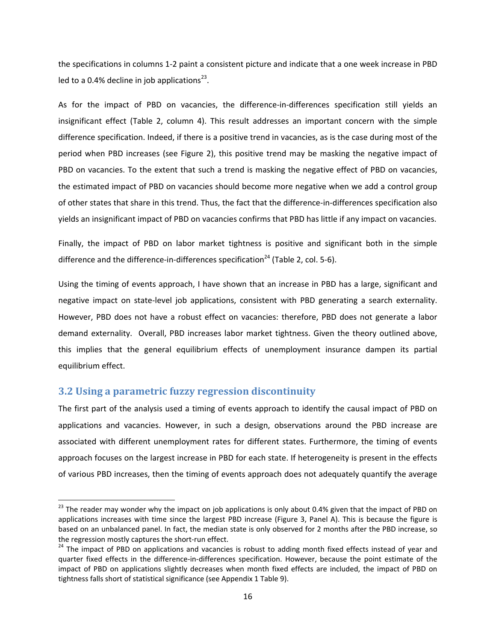the specifications in columns 1‐2 paint a consistent picture and indicate that a one week increase in PBD led to a 0.4% decline in job applications $^{23}$ .

As for the impact of PBD on vacancies, the difference-in-differences specification still yields an insignificant effect (Table 2, column 4). This result addresses an important concern with the simple difference specification. Indeed, if there is a positive trend in vacancies, as is the case during most of the period when PBD increases (see Figure 2), this positive trend may be masking the negative impact of PBD on vacancies. To the extent that such a trend is masking the negative effect of PBD on vacancies, the estimated impact of PBD on vacancies should become more negative when we add a control group of other states that share in this trend. Thus, the fact that the difference‐in‐differences specification also yields an insignificant impact of PBD on vacancies confirms that PBD has little if any impact on vacancies.

Finally, the impact of PBD on labor market tightness is positive and significant both in the simple difference and the difference-in-differences specification<sup>24</sup> (Table 2, col. 5-6).

Using the timing of events approach, I have shown that an increase in PBD has a large, significant and negative impact on state‐level job applications, consistent with PBD generating a search externality. However, PBD does not have a robust effect on vacancies: therefore, PBD does not generate a labor demand externality. Overall, PBD increases labor market tightness. Given the theory outlined above, this implies that the general equilibrium effects of unemployment insurance dampen its partial equilibrium effect.

## **3.2 Using a parametric fuzzy regression discontinuity**

The first part of the analysis used a timing of events approach to identify the causal impact of PBD on applications and vacancies. However, in such a design, observations around the PBD increase are associated with different unemployment rates for different states. Furthermore, the timing of events approach focuses on the largest increase in PBD for each state. If heterogeneity is present in the effects of various PBD increases, then the timing of events approach does not adequately quantify the average

<sup>&</sup>lt;sup>23</sup> The reader may wonder why the impact on job applications is only about 0.4% given that the impact of PBD on applications increases with time since the largest PBD increase (Figure 3, Panel A). This is because the figure is based on an unbalanced panel. In fact, the median state is only observed for 2 months after the PBD increase, so the regression mostly captures the short-run effect.<br><sup>24</sup> The impact of PBD on applications and vacancies is robust to adding month fixed effects instead of year and

quarter fixed effects in the difference‐in‐differences specification. However, because the point estimate of the impact of PBD on applications slightly decreases when month fixed effects are included, the impact of PBD on tightness falls short of statistical significance (see Appendix 1 Table 9).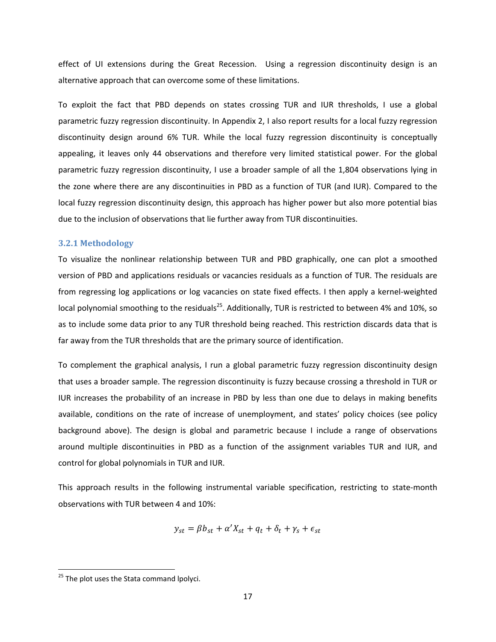effect of UI extensions during the Great Recession. Using a regression discontinuity design is an alternative approach that can overcome some of these limitations.

To exploit the fact that PBD depends on states crossing TUR and IUR thresholds, I use a global parametric fuzzy regression discontinuity. In Appendix 2, I also report results for a local fuzzy regression discontinuity design around 6% TUR. While the local fuzzy regression discontinuity is conceptually appealing, it leaves only 44 observations and therefore very limited statistical power. For the global parametric fuzzy regression discontinuity, I use a broader sample of all the 1,804 observations lying in the zone where there are any discontinuities in PBD as a function of TUR (and IUR). Compared to the local fuzzy regression discontinuity design, this approach has higher power but also more potential bias due to the inclusion of observations that lie further away from TUR discontinuities.

#### **3.2.1 Methodology**

To visualize the nonlinear relationship between TUR and PBD graphically, one can plot a smoothed version of PBD and applications residuals or vacancies residuals as a function of TUR. The residuals are from regressing log applications or log vacancies on state fixed effects. I then apply a kernel‐weighted local polynomial smoothing to the residuals<sup>25</sup>. Additionally, TUR is restricted to between 4% and 10%, so as to include some data prior to any TUR threshold being reached. This restriction discards data that is far away from the TUR thresholds that are the primary source of identification.

To complement the graphical analysis, I run a global parametric fuzzy regression discontinuity design that uses a broader sample. The regression discontinuity is fuzzy because crossing a threshold in TUR or IUR increases the probability of an increase in PBD by less than one due to delays in making benefits available, conditions on the rate of increase of unemployment, and states' policy choices (see policy background above). The design is global and parametric because I include a range of observations around multiple discontinuities in PBD as a function of the assignment variables TUR and IUR, and control for global polynomials in TUR and IUR.

This approach results in the following instrumental variable specification, restricting to state‐month observations with TUR between 4 and 10%:

$$
y_{st} = \beta b_{st} + \alpha' X_{st} + q_t + \delta_t + \gamma_s + \epsilon_{st}
$$

<sup>&</sup>lt;sup>25</sup> The plot uses the Stata command lpolyci.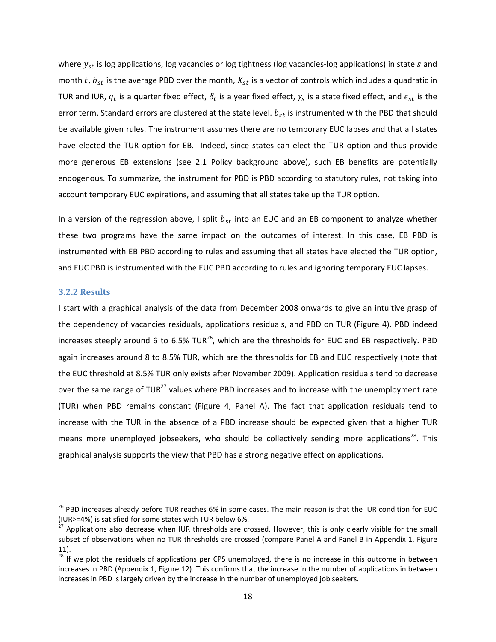where  $y_{st}$  is log applications, log vacancies or log tightness (log vacancies-log applications) in state s and month t,  $b_{st}$  is the average PBD over the month,  $X_{st}$  is a vector of controls which includes a quadratic in TUR and IUR,  $q_t$  is a quarter fixed effect,  $\delta_t$  is a year fixed effect,  $\gamma_s$  is a state fixed effect, and  $\epsilon_{st}$  is the error term. Standard errors are clustered at the state level.  $b_{st}$  is instrumented with the PBD that should be available given rules. The instrument assumes there are no temporary EUC lapses and that all states have elected the TUR option for EB. Indeed, since states can elect the TUR option and thus provide more generous EB extensions (see 2.1 Policy background above), such EB benefits are potentially endogenous. To summarize, the instrument for PBD is PBD according to statutory rules, not taking into account temporary EUC expirations, and assuming that all states take up the TUR option.

In a version of the regression above, I split  $b_{st}$  into an EUC and an EB component to analyze whether these two programs have the same impact on the outcomes of interest. In this case, EB PBD is instrumented with EB PBD according to rules and assuming that all states have elected the TUR option, and EUC PBD is instrumented with the EUC PBD according to rules and ignoring temporary EUC lapses.

#### **3.2.2 Results**

I start with a graphical analysis of the data from December 2008 onwards to give an intuitive grasp of the dependency of vacancies residuals, applications residuals, and PBD on TUR (Figure 4). PBD indeed increases steeply around 6 to 6.5% TUR<sup>26</sup>, which are the thresholds for EUC and EB respectively. PBD again increases around 8 to 8.5% TUR, which are the thresholds for EB and EUC respectively (note that the EUC threshold at 8.5% TUR only exists after November 2009). Application residuals tend to decrease over the same range of TUR<sup>27</sup> values where PBD increases and to increase with the unemployment rate (TUR) when PBD remains constant (Figure 4, Panel A). The fact that application residuals tend to increase with the TUR in the absence of a PBD increase should be expected given that a higher TUR means more unemployed jobseekers, who should be collectively sending more applications<sup>28</sup>. This graphical analysis supports the view that PBD has a strong negative effect on applications.

<sup>&</sup>lt;sup>26</sup> PBD increases already before TUR reaches 6% in some cases. The main reason is that the IUR condition for EUC (IUR>=4%) is satisfied for some states with TUR below 6%.<br><sup>27</sup> Applications also decrease when IUR thresholds are crossed. However, this is only clearly visible for the small

subset of observations when no TUR thresholds are crossed (compare Panel A and Panel B in Appendix 1, Figure 11).

 $28$  If we plot the residuals of applications per CPS unemployed, there is no increase in this outcome in between increases in PBD (Appendix 1, Figure 12). This confirms that the increase in the number of applications in between increases in PBD is largely driven by the increase in the number of unemployed job seekers.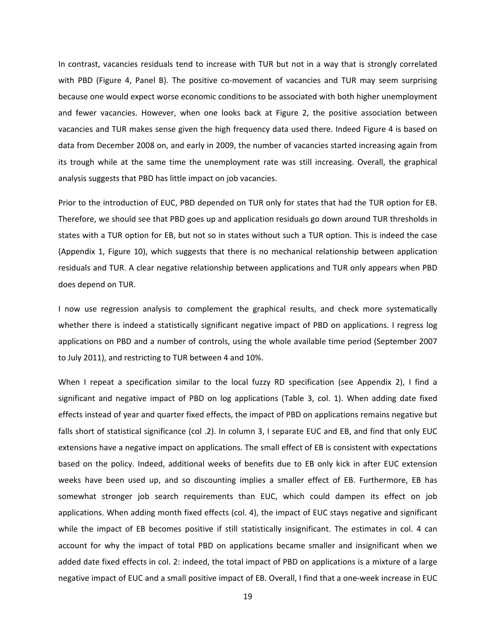In contrast, vacancies residuals tend to increase with TUR but not in a way that is strongly correlated with PBD (Figure 4, Panel B). The positive co-movement of vacancies and TUR may seem surprising because one would expect worse economic conditions to be associated with both higher unemployment and fewer vacancies. However, when one looks back at Figure 2, the positive association between vacancies and TUR makes sense given the high frequency data used there. Indeed Figure 4 is based on data from December 2008 on, and early in 2009, the number of vacancies started increasing again from its trough while at the same time the unemployment rate was still increasing. Overall, the graphical analysis suggests that PBD has little impact on job vacancies.

Prior to the introduction of EUC, PBD depended on TUR only for states that had the TUR option for EB. Therefore, we should see that PBD goes up and application residuals go down around TUR thresholds in states with a TUR option for EB, but not so in states without such a TUR option. This is indeed the case (Appendix 1, Figure 10), which suggests that there is no mechanical relationship between application residuals and TUR. A clear negative relationship between applications and TUR only appears when PBD does depend on TUR.

I now use regression analysis to complement the graphical results, and check more systematically whether there is indeed a statistically significant negative impact of PBD on applications. I regress log applications on PBD and a number of controls, using the whole available time period (September 2007 to July 2011), and restricting to TUR between 4 and 10%.

When I repeat a specification similar to the local fuzzy RD specification (see Appendix 2), I find a significant and negative impact of PBD on log applications (Table 3, col. 1). When adding date fixed effects instead of year and quarter fixed effects, the impact of PBD on applications remains negative but falls short of statistical significance (col .2). In column 3, I separate EUC and EB, and find that only EUC extensions have a negative impact on applications. The small effect of EB is consistent with expectations based on the policy. Indeed, additional weeks of benefits due to EB only kick in after EUC extension weeks have been used up, and so discounting implies a smaller effect of EB. Furthermore, EB has somewhat stronger job search requirements than EUC, which could dampen its effect on job applications. When adding month fixed effects (col. 4), the impact of EUC stays negative and significant while the impact of EB becomes positive if still statistically insignificant. The estimates in col. 4 can account for why the impact of total PBD on applications became smaller and insignificant when we added date fixed effects in col. 2: indeed, the total impact of PBD on applications is a mixture of a large negative impact of EUC and a small positive impact of EB. Overall, I find that a one‐week increase in EUC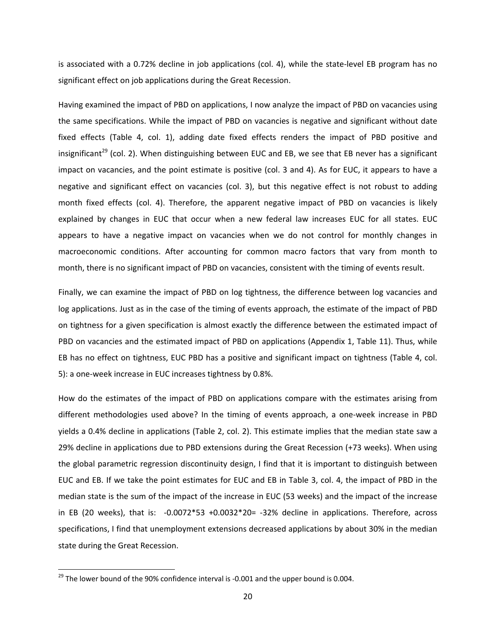is associated with a 0.72% decline in job applications (col. 4), while the state‐level EB program has no significant effect on job applications during the Great Recession.

Having examined the impact of PBD on applications, I now analyze the impact of PBD on vacancies using the same specifications. While the impact of PBD on vacancies is negative and significant without date fixed effects (Table 4, col. 1), adding date fixed effects renders the impact of PBD positive and insignificant<sup>29</sup> (col. 2). When distinguishing between EUC and EB, we see that EB never has a significant impact on vacancies, and the point estimate is positive (col. 3 and 4). As for EUC, it appears to have a negative and significant effect on vacancies (col. 3), but this negative effect is not robust to adding month fixed effects (col. 4). Therefore, the apparent negative impact of PBD on vacancies is likely explained by changes in EUC that occur when a new federal law increases EUC for all states. EUC appears to have a negative impact on vacancies when we do not control for monthly changes in macroeconomic conditions. After accounting for common macro factors that vary from month to month, there is no significant impact of PBD on vacancies, consistent with the timing of events result.

Finally, we can examine the impact of PBD on log tightness, the difference between log vacancies and log applications. Just as in the case of the timing of events approach, the estimate of the impact of PBD on tightness for a given specification is almost exactly the difference between the estimated impact of PBD on vacancies and the estimated impact of PBD on applications (Appendix 1, Table 11). Thus, while EB has no effect on tightness, EUC PBD has a positive and significant impact on tightness (Table 4, col. 5): a one‐week increase in EUC increases tightness by 0.8%.

How do the estimates of the impact of PBD on applications compare with the estimates arising from different methodologies used above? In the timing of events approach, a one‐week increase in PBD yields a 0.4% decline in applications (Table 2, col. 2). This estimate implies that the median state saw a 29% decline in applications due to PBD extensions during the Great Recession (+73 weeks). When using the global parametric regression discontinuity design, I find that it is important to distinguish between EUC and EB. If we take the point estimates for EUC and EB in Table 3, col. 4, the impact of PBD in the median state is the sum of the impact of the increase in EUC (53 weeks) and the impact of the increase in EB (20 weeks), that is: ‐0.0072\*53 +0.0032\*20= ‐32% decline in applications. Therefore, across specifications, I find that unemployment extensions decreased applications by about 30% in the median state during the Great Recession.

 $29$  The lower bound of the 90% confidence interval is -0.001 and the upper bound is 0.004.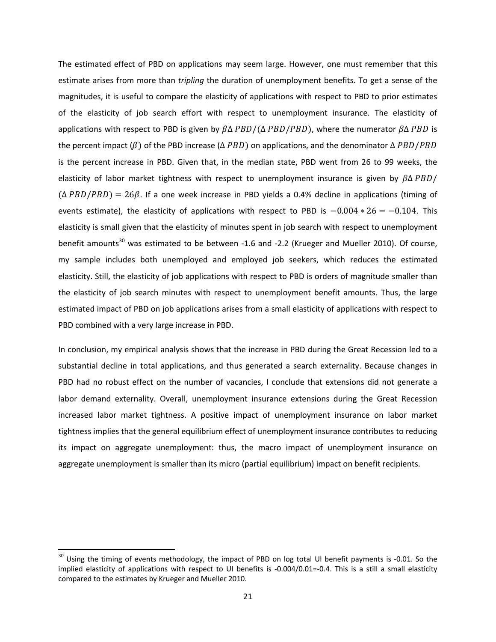The estimated effect of PBD on applications may seem large. However, one must remember that this estimate arises from more than *tripling* the duration of unemployment benefits. To get a sense of the magnitudes, it is useful to compare the elasticity of applications with respect to PBD to prior estimates of the elasticity of job search effort with respect to unemployment insurance. The elasticity of applications with respect to PBD is given by  $\beta \Delta$  PBD/( $\Delta$  PBD/PBD), where the numerator  $\beta \Delta$  PBD is the percent impact ( $\beta$ ) of the PBD increase ( $\Delta$  PBD) on applications, and the denominator  $\Delta$  PBD/PBD is the percent increase in PBD. Given that, in the median state, PBD went from 26 to 99 weeks, the elasticity of labor market tightness with respect to unemployment insurance is given by  $\beta \Delta PBD/$  $(\Delta$  PBD/PBD) = 26 $\beta$ . If a one week increase in PBD yields a 0.4% decline in applications (timing of events estimate), the elasticity of applications with respect to PBD is  $-0.004 * 26 = -0.104$ . This elasticity is small given that the elasticity of minutes spent in job search with respect to unemployment benefit amounts<sup>30</sup> was estimated to be between -1.6 and -2.2 (Krueger and Mueller 2010). Of course, my sample includes both unemployed and employed job seekers, which reduces the estimated elasticity. Still, the elasticity of job applications with respect to PBD is orders of magnitude smaller than the elasticity of job search minutes with respect to unemployment benefit amounts. Thus, the large estimated impact of PBD on job applications arises from a small elasticity of applications with respect to PBD combined with a very large increase in PBD.

In conclusion, my empirical analysis shows that the increase in PBD during the Great Recession led to a substantial decline in total applications, and thus generated a search externality. Because changes in PBD had no robust effect on the number of vacancies, I conclude that extensions did not generate a labor demand externality. Overall, unemployment insurance extensions during the Great Recession increased labor market tightness. A positive impact of unemployment insurance on labor market tightness implies that the general equilibrium effect of unemployment insurance contributes to reducing its impact on aggregate unemployment: thus, the macro impact of unemployment insurance on aggregate unemployment is smaller than its micro (partial equilibrium) impact on benefit recipients.

<sup>&</sup>lt;sup>30</sup> Using the timing of events methodology, the impact of PBD on log total UI benefit payments is -0.01. So the implied elasticity of applications with respect to UI benefits is -0.004/0.01=-0.4. This is a still a small elasticity compared to the estimates by Krueger and Mueller 2010.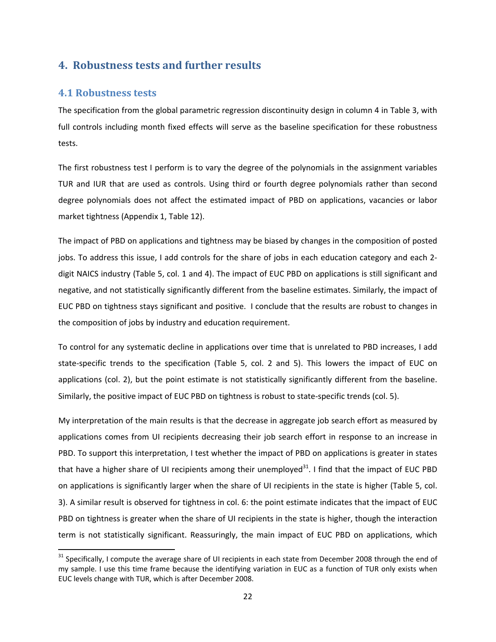# **4. Robustness tests and further results**

## **4.1 Robustness tests**

The specification from the global parametric regression discontinuity design in column 4 in Table 3, with full controls including month fixed effects will serve as the baseline specification for these robustness tests.

The first robustness test I perform is to vary the degree of the polynomials in the assignment variables TUR and IUR that are used as controls. Using third or fourth degree polynomials rather than second degree polynomials does not affect the estimated impact of PBD on applications, vacancies or labor market tightness (Appendix 1, Table 12).

The impact of PBD on applications and tightness may be biased by changes in the composition of posted jobs. To address this issue, I add controls for the share of jobs in each education category and each 2digit NAICS industry (Table 5, col. 1 and 4). The impact of EUC PBD on applications is still significant and negative, and not statistically significantly different from the baseline estimates. Similarly, the impact of EUC PBD on tightness stays significant and positive. I conclude that the results are robust to changes in the composition of jobs by industry and education requirement.

To control for any systematic decline in applications over time that is unrelated to PBD increases, I add state-specific trends to the specification (Table 5, col. 2 and 5). This lowers the impact of EUC on applications (col. 2), but the point estimate is not statistically significantly different from the baseline. Similarly, the positive impact of EUC PBD on tightness is robust to state‐specific trends (col. 5).

My interpretation of the main results is that the decrease in aggregate job search effort as measured by applications comes from UI recipients decreasing their job search effort in response to an increase in PBD. To support this interpretation, I test whether the impact of PBD on applications is greater in states that have a higher share of UI recipients among their unemployed<sup>31</sup>. I find that the impact of EUC PBD on applications is significantly larger when the share of UI recipients in the state is higher (Table 5, col. 3). A similar result is observed for tightness in col. 6: the point estimate indicates that the impact of EUC PBD on tightness is greater when the share of UI recipients in the state is higher, though the interaction term is not statistically significant. Reassuringly, the main impact of EUC PBD on applications, which

<sup>&</sup>lt;sup>31</sup> Specifically, I compute the average share of UI recipients in each state from December 2008 through the end of my sample. I use this time frame because the identifying variation in EUC as a function of TUR only exists when EUC levels change with TUR, which is after December 2008.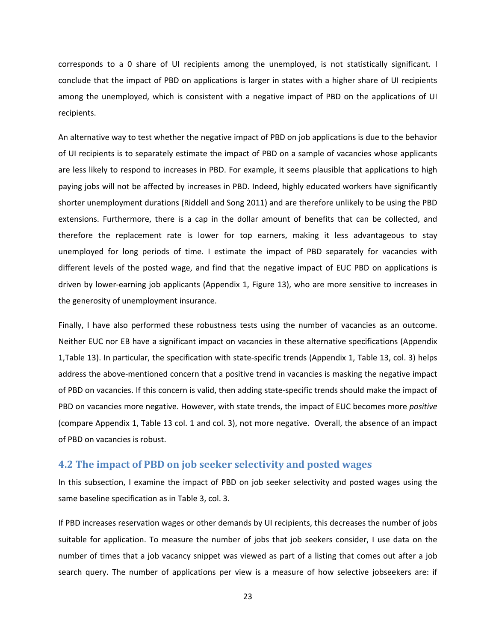corresponds to a 0 share of UI recipients among the unemployed, is not statistically significant. I conclude that the impact of PBD on applications is larger in states with a higher share of UI recipients among the unemployed, which is consistent with a negative impact of PBD on the applications of UI recipients.

An alternative way to test whether the negative impact of PBD on job applications is due to the behavior of UI recipients is to separately estimate the impact of PBD on a sample of vacancies whose applicants are less likely to respond to increases in PBD. For example, it seems plausible that applications to high paying jobs will not be affected by increases in PBD. Indeed, highly educated workers have significantly shorter unemployment durations (Riddell and Song 2011) and are therefore unlikely to be using the PBD extensions. Furthermore, there is a cap in the dollar amount of benefits that can be collected, and therefore the replacement rate is lower for top earners, making it less advantageous to stay unemployed for long periods of time. I estimate the impact of PBD separately for vacancies with different levels of the posted wage, and find that the negative impact of EUC PBD on applications is driven by lower‐earning job applicants (Appendix 1, Figure 13), who are more sensitive to increases in the generosity of unemployment insurance.

Finally, I have also performed these robustness tests using the number of vacancies as an outcome. Neither EUC nor EB have a significant impact on vacancies in these alternative specifications (Appendix 1,Table 13). In particular, the specification with state‐specific trends (Appendix 1, Table 13, col. 3) helps address the above-mentioned concern that a positive trend in vacancies is masking the negative impact of PBD on vacancies. If this concern is valid, then adding state‐specific trends should make the impact of PBD on vacancies more negative. However, with state trends, the impact of EUC becomes more *positive* (compare Appendix 1, Table 13 col. 1 and col. 3), not more negative. Overall, the absence of an impact of PBD on vacancies is robust.

#### **4.2 The impact of PBD on job seeker selectivity and posted wages**

In this subsection, I examine the impact of PBD on job seeker selectivity and posted wages using the same baseline specification as in Table 3, col. 3.

If PBD increases reservation wages or other demands by UI recipients, this decreases the number of jobs suitable for application. To measure the number of jobs that job seekers consider, I use data on the number of times that a job vacancy snippet was viewed as part of a listing that comes out after a job search query. The number of applications per view is a measure of how selective jobseekers are: if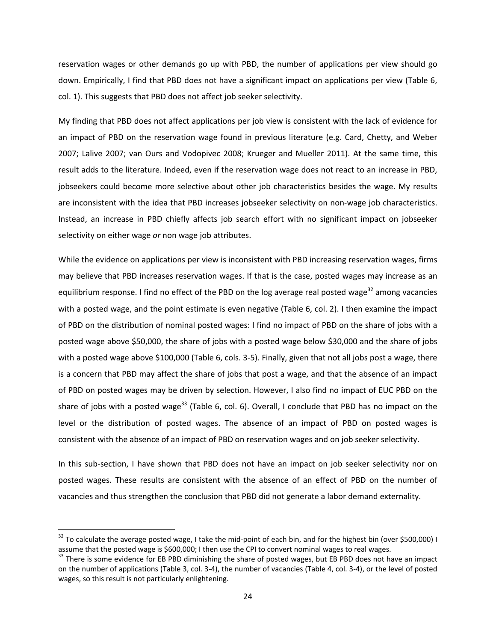reservation wages or other demands go up with PBD, the number of applications per view should go down. Empirically, I find that PBD does not have a significant impact on applications per view (Table 6, col. 1). This suggests that PBD does not affect job seeker selectivity.

My finding that PBD does not affect applications per job view is consistent with the lack of evidence for an impact of PBD on the reservation wage found in previous literature (e.g. Card, Chetty, and Weber 2007; Lalive 2007; van Ours and Vodopivec 2008; Krueger and Mueller 2011). At the same time, this result adds to the literature. Indeed, even if the reservation wage does not react to an increase in PBD, jobseekers could become more selective about other job characteristics besides the wage. My results are inconsistent with the idea that PBD increases jobseeker selectivity on non-wage job characteristics. Instead, an increase in PBD chiefly affects job search effort with no significant impact on jobseeker selectivity on either wage *or* non wage job attributes.

While the evidence on applications per view is inconsistent with PBD increasing reservation wages, firms may believe that PBD increases reservation wages. If that is the case, posted wages may increase as an equilibrium response. I find no effect of the PBD on the log average real posted wage<sup>32</sup> among vacancies with a posted wage, and the point estimate is even negative (Table 6, col. 2). I then examine the impact of PBD on the distribution of nominal posted wages: I find no impact of PBD on the share of jobs with a posted wage above \$50,000, the share of jobs with a posted wage below \$30,000 and the share of jobs with a posted wage above \$100,000 (Table 6, cols. 3-5). Finally, given that not all jobs post a wage, there is a concern that PBD may affect the share of jobs that post a wage, and that the absence of an impact of PBD on posted wages may be driven by selection. However, I also find no impact of EUC PBD on the share of jobs with a posted wage<sup>33</sup> (Table 6, col. 6). Overall, I conclude that PBD has no impact on the level or the distribution of posted wages. The absence of an impact of PBD on posted wages is consistent with the absence of an impact of PBD on reservation wages and on job seeker selectivity.

In this sub-section, I have shown that PBD does not have an impact on job seeker selectivity nor on posted wages. These results are consistent with the absence of an effect of PBD on the number of vacancies and thus strengthen the conclusion that PBD did not generate a labor demand externality.

 $32$  To calculate the average posted wage, I take the mid-point of each bin, and for the highest bin (over \$500,000) I<br>assume that the posted wage is \$600,000; I then use the CPI to convert nominal wages to real wages.

<sup>&</sup>lt;sup>33</sup> There is some evidence for EB PBD diminishing the share of posted wages, but EB PBD does not have an impact on the number of applications (Table 3, col. 3‐4), the number of vacancies (Table 4, col. 3‐4), or the level of posted wages, so this result is not particularly enlightening.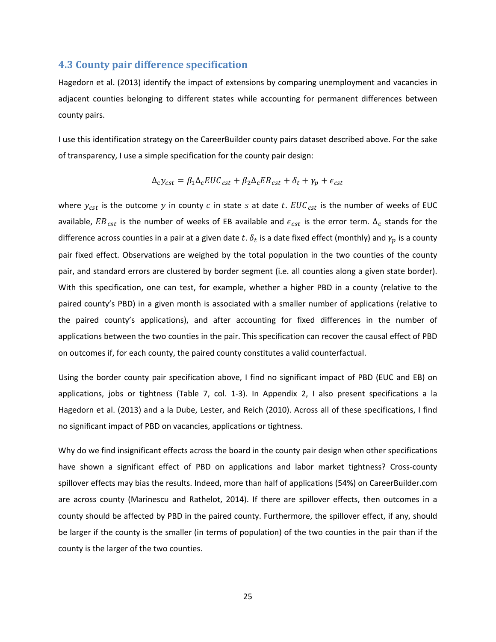## **4.3 County pair difference specification**

Hagedorn et al. (2013) identify the impact of extensions by comparing unemployment and vacancies in adjacent counties belonging to different states while accounting for permanent differences between county pairs.

I use this identification strategy on the CareerBuilder county pairs dataset described above. For the sake of transparency, I use a simple specification for the county pair design:

$$
\Delta_c y_{cst} = \beta_1 \Delta_c EU C_{cst} + \beta_2 \Delta_c EB_{cst} + \delta_t + \gamma_p + \epsilon_{cst}
$$

where  $y_{cst}$  is the outcome y in county c in state s at date t.  $EUC_{cst}$  is the number of weeks of EUC available,  $EB_{cst}$  is the number of weeks of EB available and  $\epsilon_{cst}$  is the error term.  $\Delta_c$  stands for the difference across counties in a pair at a given date t.  $\delta_t$  is a date fixed effect (monthly) and  $\gamma_p$  is a county pair fixed effect. Observations are weighed by the total population in the two counties of the county pair, and standard errors are clustered by border segment (i.e. all counties along a given state border). With this specification, one can test, for example, whether a higher PBD in a county (relative to the paired county's PBD) in a given month is associated with a smaller number of applications (relative to the paired county's applications), and after accounting for fixed differences in the number of applications between the two counties in the pair. This specification can recover the causal effect of PBD on outcomes if, for each county, the paired county constitutes a valid counterfactual.

Using the border county pair specification above, I find no significant impact of PBD (EUC and EB) on applications, jobs or tightness (Table 7, col. 1‐3). In Appendix 2, I also present specifications a la Hagedorn et al. (2013) and a la Dube, Lester, and Reich (2010). Across all of these specifications, I find no significant impact of PBD on vacancies, applications or tightness.

Why do we find insignificant effects across the board in the county pair design when other specifications have shown a significant effect of PBD on applications and labor market tightness? Cross-county spillover effects may bias the results. Indeed, more than half of applications (54%) on CareerBuilder.com are across county (Marinescu and Rathelot, 2014). If there are spillover effects, then outcomes in a county should be affected by PBD in the paired county. Furthermore, the spillover effect, if any, should be larger if the county is the smaller (in terms of population) of the two counties in the pair than if the county is the larger of the two counties.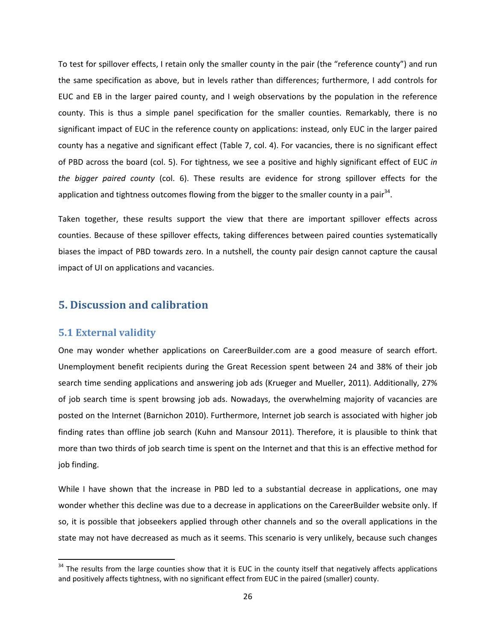To test for spillover effects, I retain only the smaller county in the pair (the "reference county") and run the same specification as above, but in levels rather than differences; furthermore, I add controls for EUC and EB in the larger paired county, and I weigh observations by the population in the reference county. This is thus a simple panel specification for the smaller counties. Remarkably, there is no significant impact of EUC in the reference county on applications: instead, only EUC in the larger paired county has a negative and significant effect (Table 7, col. 4). For vacancies, there is no significant effect of PBD across the board (col. 5). For tightness, we see a positive and highly significant effect of EUC *in the bigger paired county* (col. 6). These results are evidence for strong spillover effects for the application and tightness outcomes flowing from the bigger to the smaller county in a pair<sup>34</sup>.

Taken together, these results support the view that there are important spillover effects across counties. Because of these spillover effects, taking differences between paired counties systematically biases the impact of PBD towards zero. In a nutshell, the county pair design cannot capture the causal impact of UI on applications and vacancies.

# **5. Discussion and calibration**

## **5.1 External validity**

One may wonder whether applications on CareerBuilder.com are a good measure of search effort. Unemployment benefit recipients during the Great Recession spent between 24 and 38% of their job search time sending applications and answering job ads (Krueger and Mueller, 2011). Additionally, 27% of job search time is spent browsing job ads. Nowadays, the overwhelming majority of vacancies are posted on the Internet (Barnichon 2010). Furthermore, Internet job search is associated with higher job finding rates than offline job search (Kuhn and Mansour 2011). Therefore, it is plausible to think that more than two thirds of job search time is spent on the Internet and that this is an effective method for job finding.

While I have shown that the increase in PBD led to a substantial decrease in applications, one may wonder whether this decline was due to a decrease in applications on the CareerBuilder website only. If so, it is possible that jobseekers applied through other channels and so the overall applications in the state may not have decreased as much as it seems. This scenario is very unlikely, because such changes

 $34$  The results from the large counties show that it is EUC in the county itself that negatively affects applications and positively affects tightness, with no significant effect from EUC in the paired (smaller) county.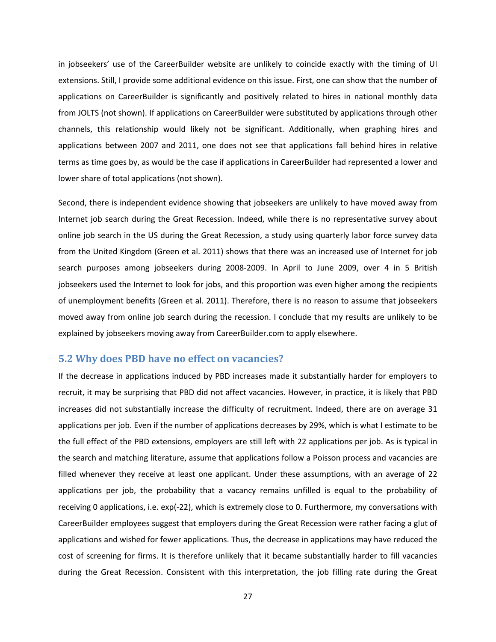in jobseekers' use of the CareerBuilder website are unlikely to coincide exactly with the timing of UI extensions. Still, I provide some additional evidence on this issue. First, one can show that the number of applications on CareerBuilder is significantly and positively related to hires in national monthly data from JOLTS (not shown). If applications on CareerBuilder were substituted by applications through other channels, this relationship would likely not be significant. Additionally, when graphing hires and applications between 2007 and 2011, one does not see that applications fall behind hires in relative terms as time goes by, as would be the case if applications in CareerBuilder had represented a lower and lower share of total applications (not shown).

Second, there is independent evidence showing that jobseekers are unlikely to have moved away from Internet job search during the Great Recession. Indeed, while there is no representative survey about online job search in the US during the Great Recession, a study using quarterly labor force survey data from the United Kingdom (Green et al. 2011) shows that there was an increased use of Internet for job search purposes among jobseekers during 2008‐2009. In April to June 2009, over 4 in 5 British jobseekers used the Internet to look for jobs, and this proportion was even higher among the recipients of unemployment benefits (Green et al. 2011). Therefore, there is no reason to assume that jobseekers moved away from online job search during the recession. I conclude that my results are unlikely to be explained by jobseekers moving away from CareerBuilder.com to apply elsewhere.

## **5.2 Why does PBD have no effect on vacancies?**

If the decrease in applications induced by PBD increases made it substantially harder for employers to recruit, it may be surprising that PBD did not affect vacancies. However, in practice, it is likely that PBD increases did not substantially increase the difficulty of recruitment. Indeed, there are on average 31 applications per job. Even if the number of applications decreases by 29%, which is what I estimate to be the full effect of the PBD extensions, employers are still left with 22 applications per job. As is typical in the search and matching literature, assume that applications follow a Poisson process and vacancies are filled whenever they receive at least one applicant. Under these assumptions, with an average of 22 applications per job, the probability that a vacancy remains unfilled is equal to the probability of receiving 0 applications, i.e. exp(‐22), which is extremely close to 0. Furthermore, my conversations with CareerBuilder employees suggest that employers during the Great Recession were rather facing a glut of applications and wished for fewer applications. Thus, the decrease in applications may have reduced the cost of screening for firms. It is therefore unlikely that it became substantially harder to fill vacancies during the Great Recession. Consistent with this interpretation, the job filling rate during the Great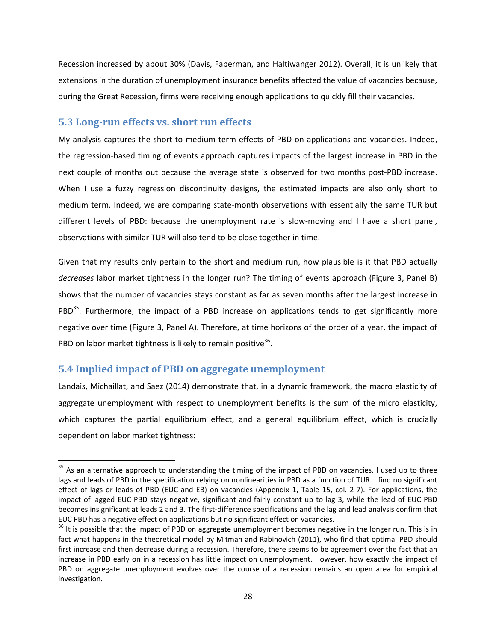Recession increased by about 30% (Davis, Faberman, and Haltiwanger 2012). Overall, it is unlikely that extensions in the duration of unemployment insurance benefits affected the value of vacancies because, during the Great Recession, firms were receiving enough applications to quickly fill their vacancies.

## **5.3 Long‐run effects vs. short run effects**

My analysis captures the short-to-medium term effects of PBD on applications and vacancies. Indeed, the regression‐based timing of events approach captures impacts of the largest increase in PBD in the next couple of months out because the average state is observed for two months post‐PBD increase. When I use a fuzzy regression discontinuity designs, the estimated impacts are also only short to medium term. Indeed, we are comparing state‐month observations with essentially the same TUR but different levels of PBD: because the unemployment rate is slow-moving and I have a short panel, observations with similar TUR will also tend to be close together in time.

Given that my results only pertain to the short and medium run, how plausible is it that PBD actually *decreases* labor market tightness in the longer run? The timing of events approach (Figure 3, Panel B) shows that the number of vacancies stays constant as far as seven months after the largest increase in  $PBD<sup>35</sup>$ . Furthermore, the impact of a PBD increase on applications tends to get significantly more negative over time (Figure 3, Panel A). Therefore, at time horizons of the order of a year, the impact of PBD on labor market tightness is likely to remain positive $36$ .

# **5.4 Implied impact of PBD on aggregate unemployment**

Landais, Michaillat, and Saez (2014) demonstrate that, in a dynamic framework, the macro elasticity of aggregate unemployment with respect to unemployment benefits is the sum of the micro elasticity, which captures the partial equilibrium effect, and a general equilibrium effect, which is crucially dependent on labor market tightness:

<sup>&</sup>lt;sup>35</sup> As an alternative approach to understanding the timing of the impact of PBD on vacancies, I used up to three lags and leads of PBD in the specification relying on nonlinearities in PBD as a function of TUR. I find no significant effect of lags or leads of PBD (EUC and EB) on vacancies (Appendix 1, Table 15, col. 2‐7). For applications, the impact of lagged EUC PBD stays negative, significant and fairly constant up to lag 3, while the lead of EUC PBD becomes insignificant at leads 2 and 3. The first‐difference specifications and the lag and lead analysis confirm that EUC PBD has a negative effect on applications but no significant effect on vacancies.<br><sup>36</sup> It is possible that the impact of PBD on aggregate unemployment becomes negative in the longer run. This is in

fact what happens in the theoretical model by Mitman and Rabinovich (2011), who find that optimal PBD should first increase and then decrease during a recession. Therefore, there seems to be agreement over the fact that an increase in PBD early on in a recession has little impact on unemployment. However, how exactly the impact of PBD on aggregate unemployment evolves over the course of a recession remains an open area for empirical investigation.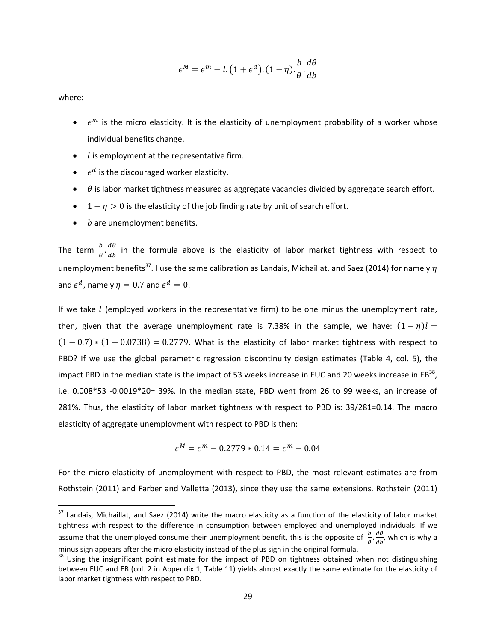$$
\epsilon^M = \epsilon^m - l.\left(1 + \epsilon^d\right).(1 - \eta).\frac{b}{\theta}.\frac{d\theta}{db}
$$

where:

- $\epsilon^{m}$  is the micro elasticity. It is the elasticity of unemployment probability of a worker whose individual benefits change.
- $\bullet$  *l* is employment at the representative firm.
- $\epsilon^d$  is the discouraged worker elasticity.
- $\theta$  is labor market tightness measured as aggregate vacancies divided by aggregate search effort.
- $1 \eta > 0$  is the elasticity of the job finding rate by unit of search effort.
- $\bullet$  *b* are unemployment benefits.

The term  $\frac{b}{\theta} \cdot \frac{d\theta}{db}$  $\frac{uv}{db}$  in the formula above is the elasticity of labor market tightness with respect to unemployment benefits<sup>37</sup>. I use the same calibration as Landais, Michaillat, and Saez (2014) for namely  $\eta$ and  $\epsilon^d$ , namely  $\eta = 0.7$  and  $\epsilon^d = 0$ .

If we take  $l$  (employed workers in the representative firm) to be one minus the unemployment rate, then, given that the average unemployment rate is 7.38% in the sample, we have:  $(1 - \eta)l =$  $(1 - 0.7) * (1 - 0.0738) = 0.2779$ . What is the elasticity of labor market tightness with respect to PBD? If we use the global parametric regression discontinuity design estimates (Table 4, col. 5), the impact PBD in the median state is the impact of 53 weeks increase in EUC and 20 weeks increase in  $EB^{38}$ , i.e. 0.008\*53 ‐0.0019\*20= 39%. In the median state, PBD went from 26 to 99 weeks, an increase of 281%. Thus, the elasticity of labor market tightness with respect to PBD is: 39/281=0.14. The macro elasticity of aggregate unemployment with respect to PBD is then:

$$
\epsilon^M=\epsilon^m-0.2779*0.14=\epsilon^m-0.04
$$

For the micro elasticity of unemployment with respect to PBD, the most relevant estimates are from Rothstein (2011) and Farber and Valletta (2013), since they use the same extensions. Rothstein (2011)

 $37$  Landais, Michaillat, and Saez (2014) write the macro elasticity as a function of the elasticity of labor market tightness with respect to the difference in consumption between employed and unemployed individuals. If we assume that the unemployed consume their unemployment benefit, this is the opposite of  $\frac{b}{\theta}.\frac{d\theta}{db}$ , which is why a

minus sign appears after the micro elasticity instead of the plus sign in the original formula.<br><sup>38</sup> Using the insignificant point estimate for the impact of PBD on tightness obtained when not distinguishing between EUC and EB (col. 2 in Appendix 1, Table 11) yields almost exactly the same estimate for the elasticity of labor market tightness with respect to PBD.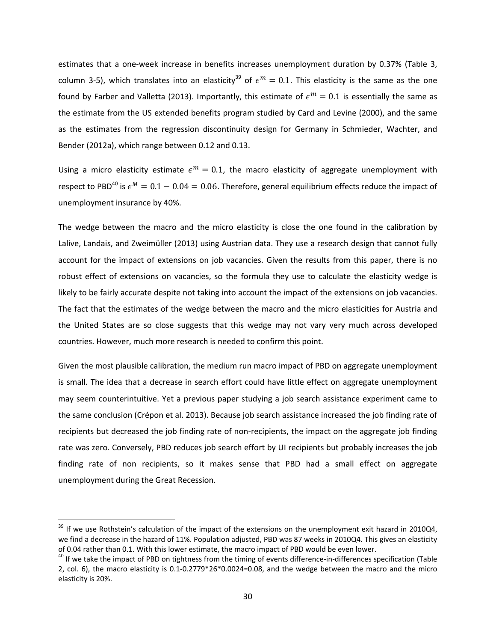estimates that a one-week increase in benefits increases unemployment duration by 0.37% (Table 3, column 3-5), which translates into an elasticity<sup>39</sup> of  $\epsilon^m = 0.1$ . This elasticity is the same as the one found by Farber and Valletta (2013). Importantly, this estimate of  $\epsilon^m = 0.1$  is essentially the same as the estimate from the US extended benefits program studied by Card and Levine (2000), and the same as the estimates from the regression discontinuity design for Germany in Schmieder, Wachter, and Bender (2012a), which range between 0.12 and 0.13.

Using a micro elasticity estimate  $\epsilon^m = 0.1$ , the macro elasticity of aggregate unemployment with respect to PBD<sup>40</sup> is  $\epsilon^M = 0.1 - 0.04 = 0.06$ . Therefore, general equilibrium effects reduce the impact of unemployment insurance by 40%.

The wedge between the macro and the micro elasticity is close the one found in the calibration by Lalive, Landais, and Zweimüller (2013) using Austrian data. They use a research design that cannot fully account for the impact of extensions on job vacancies. Given the results from this paper, there is no robust effect of extensions on vacancies, so the formula they use to calculate the elasticity wedge is likely to be fairly accurate despite not taking into account the impact of the extensions on job vacancies. The fact that the estimates of the wedge between the macro and the micro elasticities for Austria and the United States are so close suggests that this wedge may not vary very much across developed countries. However, much more research is needed to confirm this point.

Given the most plausible calibration, the medium run macro impact of PBD on aggregate unemployment is small. The idea that a decrease in search effort could have little effect on aggregate unemployment may seem counterintuitive. Yet a previous paper studying a job search assistance experiment came to the same conclusion (Crépon et al. 2013). Because job search assistance increased the job finding rate of recipients but decreased the job finding rate of non-recipients, the impact on the aggregate job finding rate was zero. Conversely, PBD reduces job search effort by UI recipients but probably increases the job finding rate of non recipients, so it makes sense that PBD had a small effect on aggregate unemployment during the Great Recession.

 $39$  If we use Rothstein's calculation of the impact of the extensions on the unemployment exit hazard in 2010Q4, we find a decrease in the hazard of 11%. Population adjusted, PBD was 87 weeks in 2010Q4. This gives an elasticity of 0.04 rather than 0.1. With this lower estimate, the macro impact of PBD would be even lower.<br>
<sup>40</sup> If we take the impact of PBD on tightness from the timing of events difference-in-differences specification (Table

<sup>2,</sup> col. 6), the macro elasticity is 0.1‐0.2779\*26\*0.0024=0.08, and the wedge between the macro and the micro elasticity is 20%.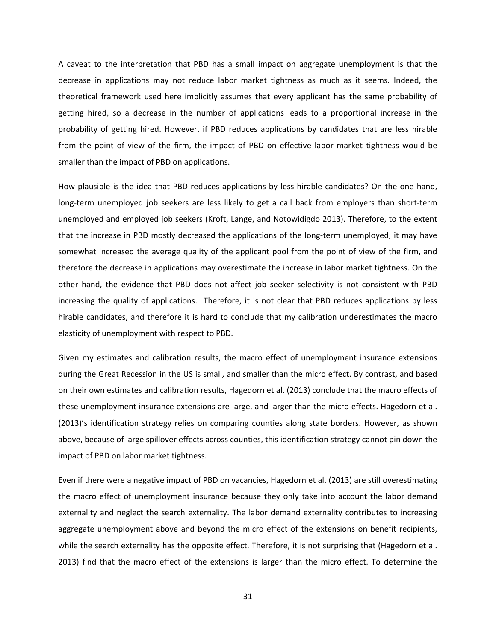A caveat to the interpretation that PBD has a small impact on aggregate unemployment is that the decrease in applications may not reduce labor market tightness as much as it seems. Indeed, the theoretical framework used here implicitly assumes that every applicant has the same probability of getting hired, so a decrease in the number of applications leads to a proportional increase in the probability of getting hired. However, if PBD reduces applications by candidates that are less hirable from the point of view of the firm, the impact of PBD on effective labor market tightness would be smaller than the impact of PBD on applications.

How plausible is the idea that PBD reduces applications by less hirable candidates? On the one hand, long-term unemployed job seekers are less likely to get a call back from employers than short-term unemployed and employed job seekers (Kroft, Lange, and Notowidigdo 2013). Therefore, to the extent that the increase in PBD mostly decreased the applications of the long-term unemployed, it may have somewhat increased the average quality of the applicant pool from the point of view of the firm, and therefore the decrease in applications may overestimate the increase in labor market tightness. On the other hand, the evidence that PBD does not affect job seeker selectivity is not consistent with PBD increasing the quality of applications. Therefore, it is not clear that PBD reduces applications by less hirable candidates, and therefore it is hard to conclude that my calibration underestimates the macro elasticity of unemployment with respect to PBD.

Given my estimates and calibration results, the macro effect of unemployment insurance extensions during the Great Recession in the US is small, and smaller than the micro effect. By contrast, and based on their own estimates and calibration results, Hagedorn et al. (2013) conclude that the macro effects of these unemployment insurance extensions are large, and larger than the micro effects. Hagedorn et al. (2013)'s identification strategy relies on comparing counties along state borders. However, as shown above, because of large spillover effects across counties, this identification strategy cannot pin down the impact of PBD on labor market tightness.

Even if there were a negative impact of PBD on vacancies, Hagedorn et al. (2013) are still overestimating the macro effect of unemployment insurance because they only take into account the labor demand externality and neglect the search externality. The labor demand externality contributes to increasing aggregate unemployment above and beyond the micro effect of the extensions on benefit recipients, while the search externality has the opposite effect. Therefore, it is not surprising that (Hagedorn et al. 2013) find that the macro effect of the extensions is larger than the micro effect. To determine the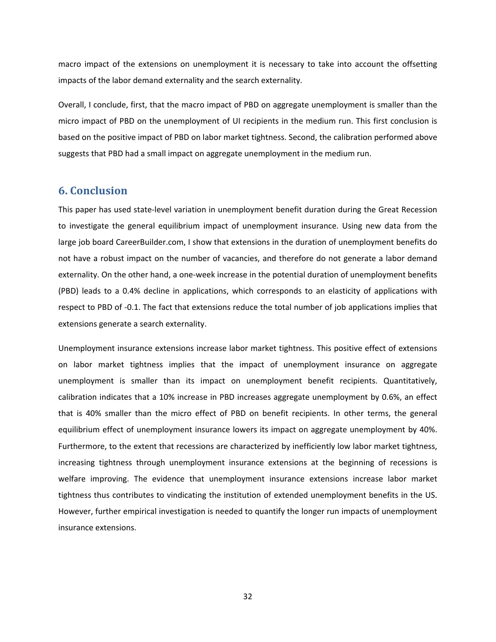macro impact of the extensions on unemployment it is necessary to take into account the offsetting impacts of the labor demand externality and the search externality.

Overall, I conclude, first, that the macro impact of PBD on aggregate unemployment is smaller than the micro impact of PBD on the unemployment of UI recipients in the medium run. This first conclusion is based on the positive impact of PBD on labor market tightness. Second, the calibration performed above suggests that PBD had a small impact on aggregate unemployment in the medium run.

## **6. Conclusion**

This paper has used state‐level variation in unemployment benefit duration during the Great Recession to investigate the general equilibrium impact of unemployment insurance. Using new data from the large job board CareerBuilder.com, I show that extensions in the duration of unemployment benefits do not have a robust impact on the number of vacancies, and therefore do not generate a labor demand externality. On the other hand, a one‐week increase in the potential duration of unemployment benefits (PBD) leads to a 0.4% decline in applications, which corresponds to an elasticity of applications with respect to PBD of ‐0.1. The fact that extensions reduce the total number of job applications implies that extensions generate a search externality.

Unemployment insurance extensions increase labor market tightness. This positive effect of extensions on labor market tightness implies that the impact of unemployment insurance on aggregate unemployment is smaller than its impact on unemployment benefit recipients. Quantitatively, calibration indicates that a 10% increase in PBD increases aggregate unemployment by 0.6%, an effect that is 40% smaller than the micro effect of PBD on benefit recipients. In other terms, the general equilibrium effect of unemployment insurance lowers its impact on aggregate unemployment by 40%. Furthermore, to the extent that recessions are characterized by inefficiently low labor market tightness, increasing tightness through unemployment insurance extensions at the beginning of recessions is welfare improving. The evidence that unemployment insurance extensions increase labor market tightness thus contributes to vindicating the institution of extended unemployment benefits in the US. However, further empirical investigation is needed to quantify the longer run impacts of unemployment insurance extensions.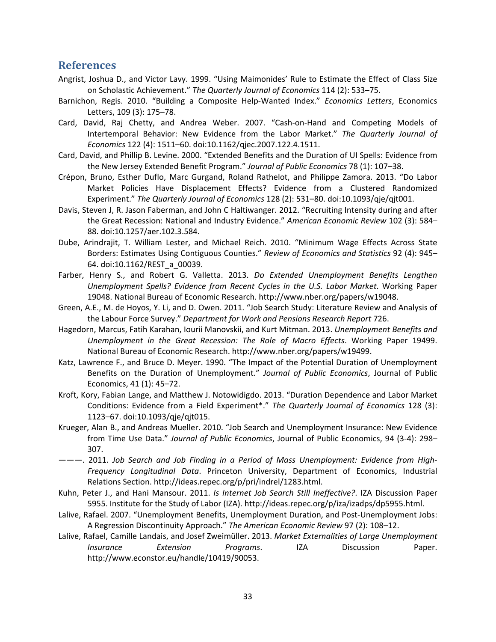## **References**

- Angrist, Joshua D., and Victor Lavy. 1999. "Using Maimonides' Rule to Estimate the Effect of Class Size on Scholastic Achievement." *The Quarterly Journal of Economics* 114 (2): 533–75.
- Barnichon, Regis. 2010. "Building a Composite Help‐Wanted Index." *Economics Letters*, Economics Letters, 109 (3): 175–78.
- Card, David, Raj Chetty, and Andrea Weber. 2007. "Cash‐on‐Hand and Competing Models of Intertemporal Behavior: New Evidence from the Labor Market." *The Quarterly Journal of Economics* 122 (4): 1511–60. doi:10.1162/qjec.2007.122.4.1511.
- Card, David, and Phillip B. Levine. 2000. "Extended Benefits and the Duration of UI Spells: Evidence from the New Jersey Extended Benefit Program." *Journal of Public Economics* 78 (1): 107–38.
- Crépon, Bruno, Esther Duflo, Marc Gurgand, Roland Rathelot, and Philippe Zamora. 2013. "Do Labor Market Policies Have Displacement Effects? Evidence from a Clustered Randomized Experiment." *The Quarterly Journal of Economics* 128 (2): 531–80. doi:10.1093/qje/qjt001.
- Davis, Steven J, R. Jason Faberman, and John C Haltiwanger. 2012. "Recruiting Intensity during and after the Great Recession: National and Industry Evidence." *American Economic Review* 102 (3): 584– 88. doi:10.1257/aer.102.3.584.
- Dube, Arindrajit, T. William Lester, and Michael Reich. 2010. "Minimum Wage Effects Across State Borders: Estimates Using Contiguous Counties." *Review of Economics and Statistics* 92 (4): 945– 64. doi:10.1162/REST\_a\_00039.
- Farber, Henry S., and Robert G. Valletta. 2013. *Do Extended Unemployment Benefits Lengthen Unemployment Spells? Evidence from Recent Cycles in the U.S. Labor Market*. Working Paper 19048. National Bureau of Economic Research. http://www.nber.org/papers/w19048.
- Green, A.E., M. de Hoyos, Y. Li, and D. Owen. 2011. "Job Search Study: Literature Review and Analysis of the Labour Force Survey." *Department for Work and Pensions Research Report* 726.
- Hagedorn, Marcus, Fatih Karahan, Iourii Manovskii, and Kurt Mitman. 2013. *Unemployment Benefits and Unemployment in the Great Recession: The Role of Macro Effects*. Working Paper 19499. National Bureau of Economic Research. http://www.nber.org/papers/w19499.
- Katz, Lawrence F., and Bruce D. Meyer. 1990. "The Impact of the Potential Duration of Unemployment Benefits on the Duration of Unemployment." *Journal of Public Economics*, Journal of Public Economics, 41 (1): 45–72.
- Kroft, Kory, Fabian Lange, and Matthew J. Notowidigdo. 2013. "Duration Dependence and Labor Market Conditions: Evidence from a Field Experiment\*." *The Quarterly Journal of Economics* 128 (3): 1123–67. doi:10.1093/qje/qjt015.
- Krueger, Alan B., and Andreas Mueller. 2010. "Job Search and Unemployment Insurance: New Evidence from Time Use Data." *Journal of Public Economics*, Journal of Public Economics, 94 (3‐4): 298– 307.
- ———. 2011. *Job Search and Job Finding in a Period of Mass Unemployment: Evidence from High‐ Frequency Longitudinal Data*. Princeton University, Department of Economics, Industrial Relations Section. http://ideas.repec.org/p/pri/indrel/1283.html.
- Kuhn, Peter J., and Hani Mansour. 2011. *Is Internet Job Search Still Ineffective?*. IZA Discussion Paper 5955. Institute for the Study of Labor (IZA). http://ideas.repec.org/p/iza/izadps/dp5955.html.
- Lalive, Rafael. 2007. "Unemployment Benefits, Unemployment Duration, and Post‐Unemployment Jobs: A Regression Discontinuity Approach." *The American Economic Review* 97 (2): 108–12.
- Lalive, Rafael, Camille Landais, and Josef Zweimüller. 2013. *Market Externalities of Large Unemployment Insurance Extension Programs*. IZA Discussion Paper. http://www.econstor.eu/handle/10419/90053.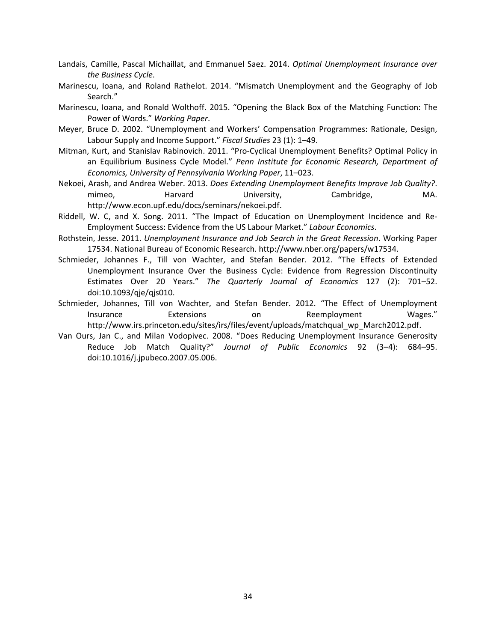- Landais, Camille, Pascal Michaillat, and Emmanuel Saez. 2014. *Optimal Unemployment Insurance over the Business Cycle*.
- Marinescu, Ioana, and Roland Rathelot. 2014. "Mismatch Unemployment and the Geography of Job Search."
- Marinescu, Ioana, and Ronald Wolthoff. 2015. "Opening the Black Box of the Matching Function: The Power of Words." *Working Paper*.
- Meyer, Bruce D. 2002. "Unemployment and Workers' Compensation Programmes: Rationale, Design, Labour Supply and Income Support." *Fiscal Studies* 23 (1): 1–49.
- Mitman, Kurt, and Stanislav Rabinovich. 2011. "Pro‐Cyclical Unemployment Benefits? Optimal Policy in an Equilibrium Business Cycle Model." *Penn Institute for Economic Research, Department of Economics, University of Pennsylvania Working Paper*, 11–023.
- Nekoei, Arash, and Andrea Weber. 2013. *Does Extending Unemployment Benefits Improve Job Quality?*. mimeo, Harvard University, Cambridge, MA. http://www.econ.upf.edu/docs/seminars/nekoei.pdf.
- Riddell, W. C, and X. Song. 2011. "The Impact of Education on Unemployment Incidence and Re‐ Employment Success: Evidence from the US Labour Market." *Labour Economics*.
- Rothstein, Jesse. 2011. *Unemployment Insurance and Job Search in the Great Recession*. Working Paper 17534. National Bureau of Economic Research. http://www.nber.org/papers/w17534.
- Schmieder, Johannes F., Till von Wachter, and Stefan Bender. 2012. "The Effects of Extended Unemployment Insurance Over the Business Cycle: Evidence from Regression Discontinuity Estimates Over 20 Years." *The Quarterly Journal of Economics* 127 (2): 701–52. doi:10.1093/qje/qjs010.
- Schmieder, Johannes, Till von Wachter, and Stefan Bender. 2012. "The Effect of Unemployment Insurance Extensions on Reemployment Wages." http://www.irs.princeton.edu/sites/irs/files/event/uploads/matchqual\_wp\_March2012.pdf.
- Van Ours, Jan C., and Milan Vodopivec. 2008. "Does Reducing Unemployment Insurance Generosity Reduce Job Match Quality?" *Journal of Public Economics* 92 (3–4): 684–95. doi:10.1016/j.jpubeco.2007.05.006.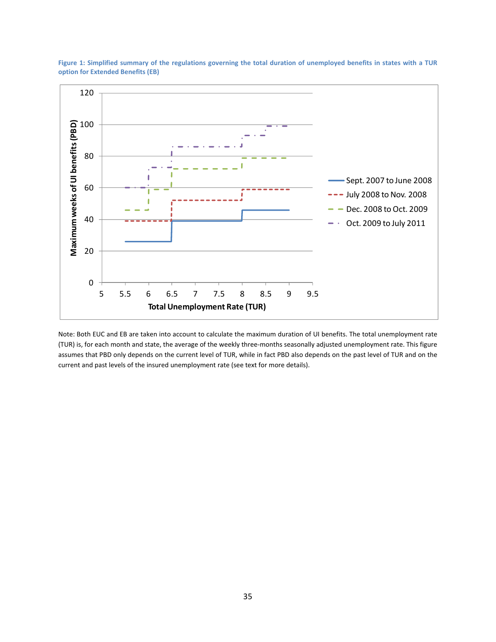

Figure 1: Simplified summary of the regulations governing the total duration of unemployed benefits in states with a TUR **option for Extended Benefits (EB)**

Note: Both EUC and EB are taken into account to calculate the maximum duration of UI benefits. The total unemployment rate (TUR) is, for each month and state, the average of the weekly three‐months seasonally adjusted unemployment rate. This figure assumes that PBD only depends on the current level of TUR, while in fact PBD also depends on the past level of TUR and on the current and past levels of the insured unemployment rate (see text for more details).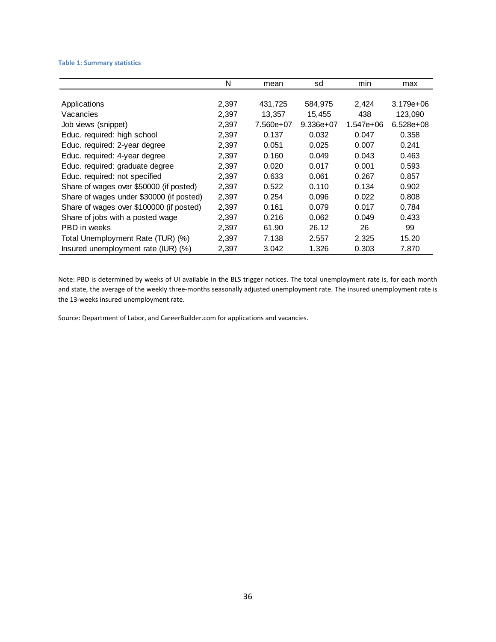#### **Table 1: Summary statistics**

|                                          | N     | mean      | sd        | min         | max           |
|------------------------------------------|-------|-----------|-----------|-------------|---------------|
|                                          |       |           |           |             |               |
| Applications                             | 2,397 | 431,725   | 584,975   | 2,424       | $3.179e + 06$ |
| Vacancies                                | 2,397 | 13,357    | 15,455    | 438         | 123,090       |
| Job views (snippet)                      | 2,397 | 7.560e+07 | 9.336e+07 | $1.547e+06$ | $6.528e+08$   |
| Educ. required: high school              | 2,397 | 0.137     | 0.032     | 0.047       | 0.358         |
| Educ. required: 2-year degree            | 2,397 | 0.051     | 0.025     | 0.007       | 0.241         |
| Educ. required: 4-year degree            | 2,397 | 0.160     | 0.049     | 0.043       | 0.463         |
| Educ. required: graduate degree          | 2,397 | 0.020     | 0.017     | 0.001       | 0.593         |
| Educ. required: not specified            | 2.397 | 0.633     | 0.061     | 0.267       | 0.857         |
| Share of wages over \$50000 (if posted)  | 2,397 | 0.522     | 0.110     | 0.134       | 0.902         |
| Share of wages under \$30000 (if posted) | 2,397 | 0.254     | 0.096     | 0.022       | 0.808         |
| Share of wages over \$100000 (if posted) | 2,397 | 0.161     | 0.079     | 0.017       | 0.784         |
| Share of jobs with a posted wage         | 2,397 | 0.216     | 0.062     | 0.049       | 0.433         |
| PBD in weeks                             | 2,397 | 61.90     | 26.12     | 26          | 99            |
| Total Unemployment Rate (TUR) (%)        | 2,397 | 7.138     | 2.557     | 2.325       | 15.20         |
| Insured unemployment rate (IUR) (%)      | 2,397 | 3.042     | 1.326     | 0.303       | 7.870         |

Note: PBD is determined by weeks of UI available in the BLS trigger notices. The total unemployment rate is, for each month and state, the average of the weekly three‐months seasonally adjusted unemployment rate. The insured unemployment rate is the 13‐weeks insured unemployment rate.

Source: Department of Labor, and CareerBuilder.com for applications and vacancies.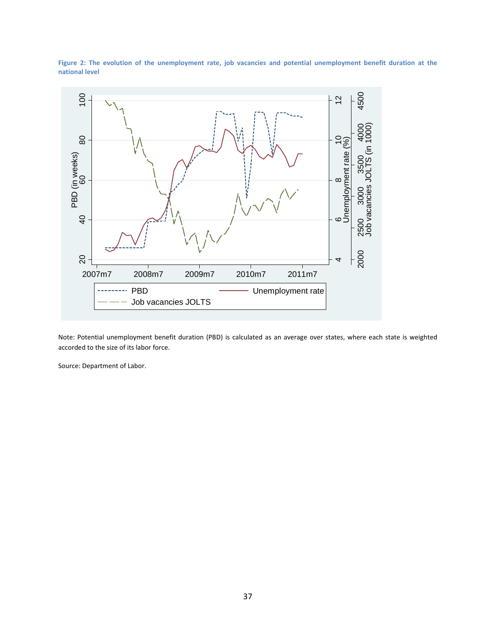

Figure 2: The evolution of the unemployment rate, job vacancies and potential unemployment benefit duration at the **national level**

Note: Potential unemployment benefit duration (PBD) is calculated as an average over states, where each state is weighted accorded to the size of its labor force.

Source: Department of Labor.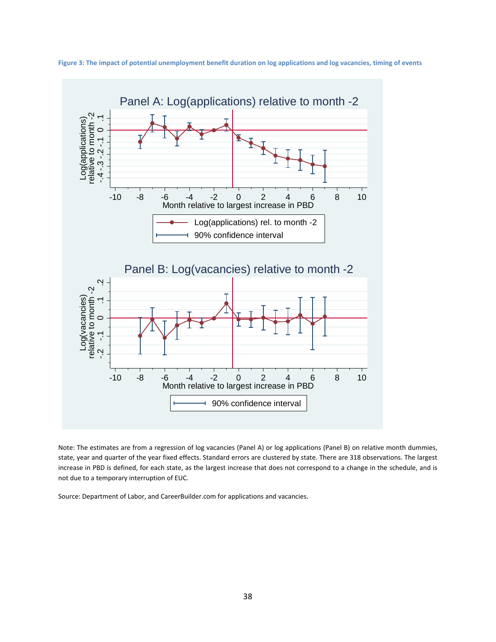

Figure 3: The impact of potential unemployment benefit duration on log applications and log vacancies, timing of events

Note: The estimates are from a regression of log vacancies (Panel A) or log applications (Panel B) on relative month dummies, state, year and quarter of the year fixed effects. Standard errors are clustered by state. There are 318 observations. The largest increase in PBD is defined, for each state, as the largest increase that does not correspond to a change in the schedule, and is not due to a temporary interruption of EUC.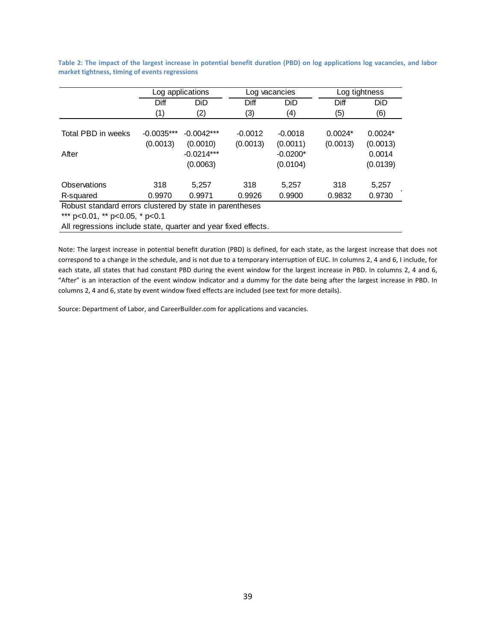|                                                                |                                | Log applications |           | Log vacancies |           | Log tightness |  |  |
|----------------------------------------------------------------|--------------------------------|------------------|-----------|---------------|-----------|---------------|--|--|
|                                                                | Diff                           | DiD              | Diff      | DiD           | Diff      | DiD           |  |  |
|                                                                | (1)                            | (2)              | (3)       | (4)           | (5)       | (6)           |  |  |
|                                                                |                                |                  |           |               |           |               |  |  |
| Total PBD in weeks                                             | $-0.0035***$                   | $-0.0042***$     | $-0.0012$ | $-0.0018$     | $0.0024*$ | $0.0024*$     |  |  |
|                                                                | (0.0013)                       | (0.0010)         | (0.0013)  | (0.0011)      | (0.0013)  | (0.0013)      |  |  |
| After                                                          |                                | $-0.0214***$     |           | $-0.0200*$    |           | 0.0014        |  |  |
|                                                                |                                | (0.0063)         |           | (0.0104)      |           | (0.0139)      |  |  |
| Observations                                                   | 318                            | 5.257            | 318       | 5,257         | 318       | 5,257         |  |  |
| R-squared                                                      | 0.9970                         | 0.9971           | 0.9926    | 0.9900        | 0.9832    | 0.9730        |  |  |
| Robust standard errors clustered by state in parentheses       |                                |                  |           |               |           |               |  |  |
|                                                                | *** p<0.01, ** p<0.05, * p<0.1 |                  |           |               |           |               |  |  |
| All regressions include state, quarter and year fixed effects. |                                |                  |           |               |           |               |  |  |

Table 2: The impact of the largest increase in potential benefit duration (PBD) on log applications log vacancies, and labor **market tightness, timing of events regressions**

Note: The largest increase in potential benefit duration (PBD) is defined, for each state, as the largest increase that does not correspond to a change in the schedule, and is not due to a temporary interruption of EUC. In columns 2, 4 and 6, I include, for each state, all states that had constant PBD during the event window for the largest increase in PBD. In columns 2, 4 and 6, "After" is an interaction of the event window indicator and a dummy for the date being after the largest increase in PBD. In columns 2, 4 and 6, state by event window fixed effects are included (see text for more details).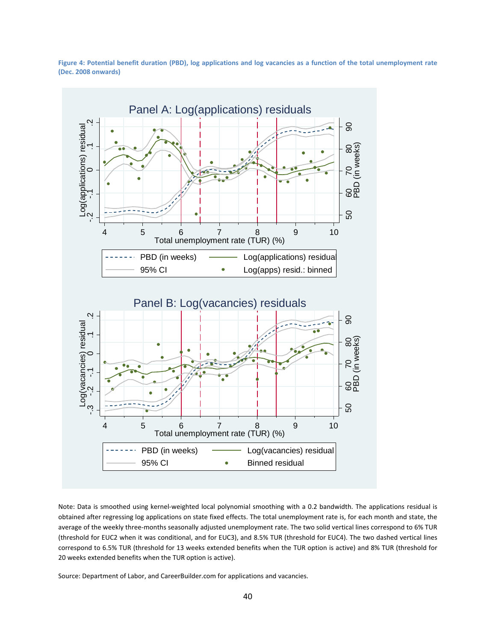Figure 4: Potential benefit duration (PBD), log applications and log vacancies as a function of the total unemployment rate **(Dec. 2008 onwards)**



Note: Data is smoothed using kernel‐weighted local polynomial smoothing with a 0.2 bandwidth. The applications residual is obtained after regressing log applications on state fixed effects. The total unemployment rate is, for each month and state, the average of the weekly three‐months seasonally adjusted unemployment rate. The two solid vertical lines correspond to 6% TUR (threshold for EUC2 when it was conditional, and for EUC3), and 8.5% TUR (threshold for EUC4). The two dashed vertical lines correspond to 6.5% TUR (threshold for 13 weeks extended benefits when the TUR option is active) and 8% TUR (threshold for 20 weeks extended benefits when the TUR option is active).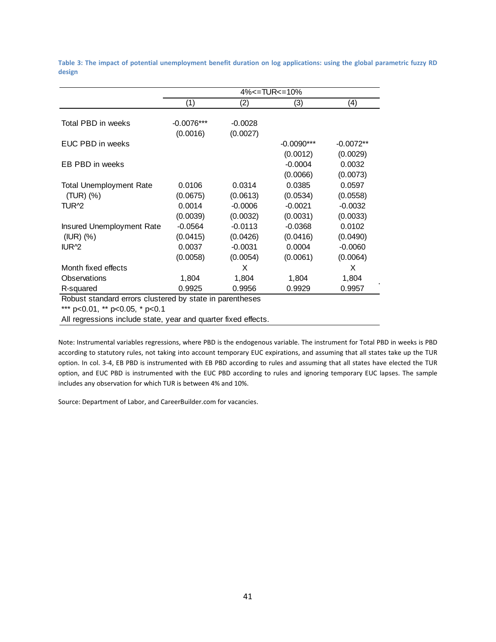Table 3: The impact of potential unemployment benefit duration on log applications: using the global parametric fuzzy RD **design**

|                                                          | $4\%$ < $=$ TUR < $=$ 10% |           |              |             |  |  |
|----------------------------------------------------------|---------------------------|-----------|--------------|-------------|--|--|
|                                                          | (1)                       | (2)       | (3)          | (4)         |  |  |
|                                                          |                           |           |              |             |  |  |
| Total PBD in weeks                                       | $-0.0076***$              | $-0.0028$ |              |             |  |  |
|                                                          | (0.0016)                  | (0.0027)  |              |             |  |  |
| EUC PBD in weeks                                         |                           |           | $-0.0090***$ | $-0.0072**$ |  |  |
|                                                          |                           |           | (0.0012)     | (0.0029)    |  |  |
| EB PBD in weeks                                          |                           |           | $-0.0004$    | 0.0032      |  |  |
|                                                          |                           |           | (0.0066)     | (0.0073)    |  |  |
| <b>Total Unemployment Rate</b>                           | 0.0106                    | 0.0314    | 0.0385       | 0.0597      |  |  |
| (TUR) (%)                                                | (0.0675)                  | (0.0613)  | (0.0534)     | (0.0558)    |  |  |
| TUR <sup>2</sup>                                         | 0.0014                    | $-0.0006$ | $-0.0021$    | $-0.0032$   |  |  |
|                                                          | (0.0039)                  | (0.0032)  | (0.0031)     | (0.0033)    |  |  |
| Insured Unemployment Rate                                | $-0.0564$                 | $-0.0113$ | $-0.0368$    | 0.0102      |  |  |
| $(IV)$ $(\%)$                                            | (0.0415)                  | (0.0426)  | (0.0416)     | (0.0490)    |  |  |
| IUR <sup>2</sup>                                         | 0.0037                    | $-0.0031$ | 0.0004       | $-0.0060$   |  |  |
|                                                          | (0.0058)                  | (0.0054)  | (0.0061)     | (0.0064)    |  |  |
| Month fixed effects                                      |                           | X         |              | X           |  |  |
| <b>Observations</b>                                      | 1,804                     | 1,804     | 1,804        | 1,804       |  |  |
| R-squared                                                | 0.9925                    | 0.9956    | 0.9929       | 0.9957      |  |  |
| Robust standard errors clustered by state in parentheses |                           |           |              |             |  |  |
| *** p<0.01, ** p<0.05, * p<0.1                           |                           |           |              |             |  |  |

All regressions include state, year and quarter fixed effects.

Note: Instrumental variables regressions, where PBD is the endogenous variable. The instrument for Total PBD in weeks is PBD according to statutory rules, not taking into account temporary EUC expirations, and assuming that all states take up the TUR option. In col. 3‐4, EB PBD is instrumented with EB PBD according to rules and assuming that all states have elected the TUR option, and EUC PBD is instrumented with the EUC PBD according to rules and ignoring temporary EUC lapses. The sample includes any observation for which TUR is between 4% and 10%.

Source: Department of Labor, and CareerBuilder.com for vacancies.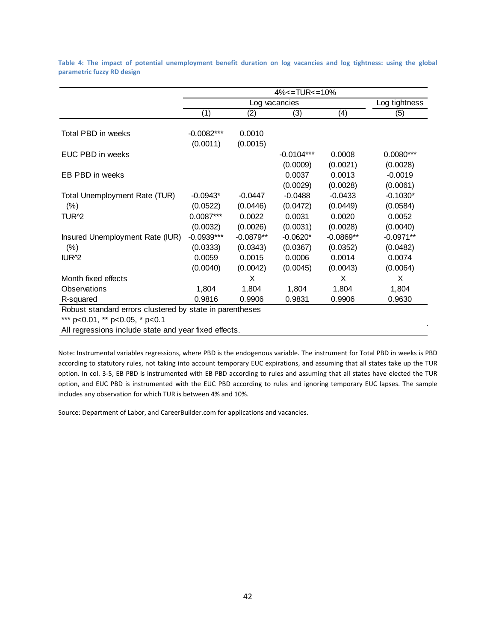|                                                                                            | $4\%$ < $=$ TUR < $=$ 10% |                    |               |             |               |  |  |
|--------------------------------------------------------------------------------------------|---------------------------|--------------------|---------------|-------------|---------------|--|--|
|                                                                                            |                           |                    | Log vacancies |             | Log tightness |  |  |
|                                                                                            | (1)                       | (2)                | (3)           | (4)         | (5)           |  |  |
| Total PBD in weeks                                                                         | $-0.0082***$<br>(0.0011)  | 0.0010<br>(0.0015) |               |             |               |  |  |
| EUC PBD in weeks                                                                           |                           |                    | $-0.0104***$  | 0.0008      | $0.0080***$   |  |  |
|                                                                                            |                           |                    | (0.0009)      | (0.0021)    | (0.0028)      |  |  |
| EB PBD in weeks                                                                            |                           |                    | 0.0037        | 0.0013      | $-0.0019$     |  |  |
|                                                                                            |                           |                    | (0.0029)      | (0.0028)    | (0.0061)      |  |  |
| Total Unemployment Rate (TUR)                                                              | $-0.0943*$                | $-0.0447$          | $-0.0488$     | $-0.0433$   | $-0.1030*$    |  |  |
| $(\%)$                                                                                     | (0.0522)                  | (0.0446)           | (0.0472)      | (0.0449)    | (0.0584)      |  |  |
| TUR <sup>2</sup>                                                                           | $0.0087***$               | 0.0022             | 0.0031        | 0.0020      | 0.0052        |  |  |
|                                                                                            | (0.0032)                  | (0.0026)           | (0.0031)      | (0.0028)    | (0.0040)      |  |  |
| Insured Unemployment Rate (IUR)                                                            | $-0.0939***$              | $-0.0879**$        | $-0.0620*$    | $-0.0869**$ | $-0.0971**$   |  |  |
| $(\% )$                                                                                    | (0.0333)                  | (0.0343)           | (0.0367)      | (0.0352)    | (0.0482)      |  |  |
| IUR <sup>2</sup>                                                                           | 0.0059                    | 0.0015             | 0.0006        | 0.0014      | 0.0074        |  |  |
|                                                                                            | (0.0040)                  | (0.0042)           | (0.0045)      | (0.0043)    | (0.0064)      |  |  |
| Month fixed effects                                                                        |                           | X                  |               | X           | X             |  |  |
| Observations                                                                               | 1,804                     | 1,804              | 1,804         | 1,804       | 1,804         |  |  |
| R-squared                                                                                  | 0.9816                    | 0.9906             | 0.9831        | 0.9906      | 0.9630        |  |  |
| Robust standard errors clustered by state in parentheses<br>*** p<0.01, ** p<0.05, * p<0.1 |                           |                    |               |             |               |  |  |

Table 4: The impact of potential unemployment benefit duration on log vacancies and log tightness: using the global **parametric fuzzy RD design**

All regressions include state and year fixed effects.

Note: Instrumental variables regressions, where PBD is the endogenous variable. The instrument for Total PBD in weeks is PBD according to statutory rules, not taking into account temporary EUC expirations, and assuming that all states take up the TUR option. In col. 3‐5, EB PBD is instrumented with EB PBD according to rules and assuming that all states have elected the TUR option, and EUC PBD is instrumented with the EUC PBD according to rules and ignoring temporary EUC lapses. The sample includes any observation for which TUR is between 4% and 10%.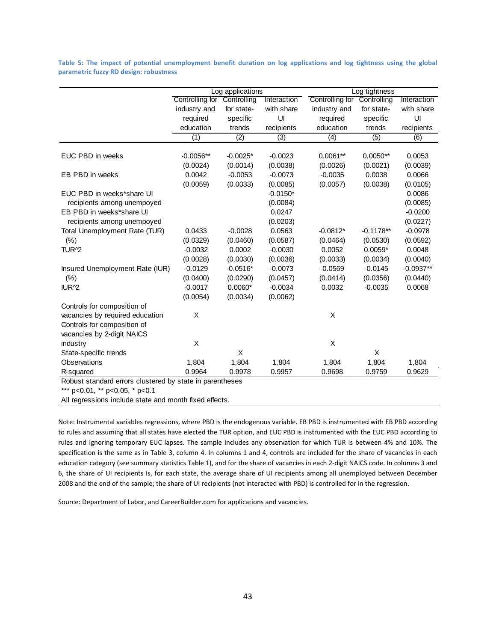|                                                          |                 | Log applications |             | Log tightness   |             |             |  |
|----------------------------------------------------------|-----------------|------------------|-------------|-----------------|-------------|-------------|--|
|                                                          | Controlling for | Controlling      | Interaction | Controlling for | Controlling | Interaction |  |
|                                                          | industry and    | for state-       | with share  | industry and    | for state-  | with share  |  |
|                                                          | required        | specific         | UI          | required        | specific    | UI          |  |
|                                                          | education       | trends           | recipients  | education       | trends      | recipients  |  |
|                                                          | (1)             | (2)              | (3)         | (4)             | (5)         | (6)         |  |
| EUC PBD in weeks                                         | $-0.0056**$     | $-0.0025*$       | $-0.0023$   | $0.0061**$      | $0.0050**$  | 0.0053      |  |
|                                                          |                 |                  |             |                 |             |             |  |
|                                                          | (0.0024)        | (0.0014)         | (0.0038)    | (0.0026)        | (0.0021)    | (0.0039)    |  |
| EB PBD in weeks                                          | 0.0042          | $-0.0053$        | $-0.0073$   | $-0.0035$       | 0.0038      | 0.0066      |  |
|                                                          | (0.0059)        | (0.0033)         | (0.0085)    | (0.0057)        | (0.0038)    | (0.0105)    |  |
| EUC PBD in weeks*share UI                                |                 |                  | $-0.0150*$  |                 |             | 0.0086      |  |
| recipients among unempoyed                               |                 |                  | (0.0084)    |                 |             | (0.0085)    |  |
| EB PBD in weeks*share UI                                 |                 |                  | 0.0247      |                 |             | $-0.0200$   |  |
| recipients among unempoyed                               |                 |                  | (0.0203)    |                 |             | (0.0227)    |  |
| Total Unemployment Rate (TUR)                            | 0.0433          | $-0.0028$        | 0.0563      | $-0.0812*$      | $-0.1178**$ | $-0.0978$   |  |
| (% )                                                     | (0.0329)        | (0.0460)         | (0.0587)    | (0.0464)        | (0.0530)    | (0.0592)    |  |
| TUR <sup>2</sup>                                         | $-0.0032$       | 0.0002           | $-0.0030$   | 0.0052          | $0.0059*$   | 0.0048      |  |
|                                                          | (0.0028)        | (0.0030)         | (0.0036)    | (0.0033)        | (0.0034)    | (0.0040)    |  |
| Insured Unemployment Rate (IUR)                          | $-0.0129$       | $-0.0516*$       | $-0.0073$   | $-0.0569$       | $-0.0145$   | $-0.0937**$ |  |
| (% )                                                     | (0.0400)        | (0.0290)         | (0.0457)    | (0.0414)        | (0.0356)    | (0.0440)    |  |
| IUR <sup>2</sup>                                         | $-0.0017$       | $0.0060*$        | $-0.0034$   | 0.0032          | $-0.0035$   | 0.0068      |  |
|                                                          | (0.0054)        | (0.0034)         | (0.0062)    |                 |             |             |  |
| Controls for composition of                              |                 |                  |             |                 |             |             |  |
| vacancies by required education                          | X               |                  |             | X               |             |             |  |
| Controls for composition of                              |                 |                  |             |                 |             |             |  |
| vacancies by 2-digit NAICS                               |                 |                  |             |                 |             |             |  |
| industry                                                 | X               |                  |             | X               |             |             |  |
| State-specific trends                                    |                 | X                |             |                 | X           |             |  |
| Observations                                             | 1,804           | 1,804            | 1,804       | 1,804           | 1,804       | 1,804       |  |
| R-squared                                                | 0.9964          | 0.9978           | 0.9957      | 0.9698          | 0.9759      | 0.9629      |  |
| Robust standard errors clustered by state in parentheses |                 |                  |             |                 |             |             |  |

Table 5: The impact of potential unemployment benefit duration on log applications and log tightness using the global **parametric fuzzy RD design: robustness**

\*\*\* p<0.01, \*\* p<0.05, \* p<0.1

All regressions include state and month fixed effects.

Note: Instrumental variables regressions, where PBD is the endogenous variable. EB PBD is instrumented with EB PBD according to rules and assuming that all states have elected the TUR option, and EUC PBD is instrumented with the EUC PBD according to rules and ignoring temporary EUC lapses. The sample includes any observation for which TUR is between 4% and 10%. The specification is the same as in Table 3, column 4. In columns 1 and 4, controls are included for the share of vacancies in each education category (see summary statistics Table 1), and for the share of vacancies in each 2‐digit NAICS code. In columns 3 and 6, the share of UI recipients is, for each state, the average share of UI recipients among all unemployed between December 2008 and the end of the sample; the share of UI recipients (not interacted with PBD) is controlled for in the regression.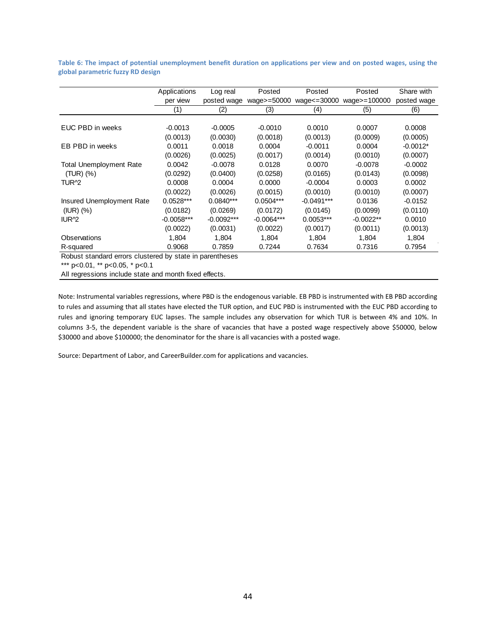Table 6: The impact of potential unemployment benefit duration on applications per view and on posted wages, using the **global parametric fuzzy RD design**

|                                                          | Applications | Log real     | Posted          | Posted             | Posted       | Share with  |
|----------------------------------------------------------|--------------|--------------|-----------------|--------------------|--------------|-------------|
|                                                          | per view     | posted wage  | wage $>=$ 50000 | wage $\leq$ =30000 | wage>=100000 | posted wage |
|                                                          | (1)          | (2)          | (3)             | (4)                | (5)          | (6)         |
|                                                          |              |              |                 |                    |              |             |
| EUC PBD in weeks                                         | $-0.0013$    | $-0.0005$    | $-0.0010$       | 0.0010             | 0.0007       | 0.0008      |
|                                                          | (0.0013)     | (0.0030)     | (0.0018)        | (0.0013)           | (0.0009)     | (0.0005)    |
| EB PBD in weeks                                          | 0.0011       | 0.0018       | 0.0004          | $-0.0011$          | 0.0004       | $-0.0012*$  |
|                                                          | (0.0026)     | (0.0025)     | (0.0017)        | (0.0014)           | (0.0010)     | (0.0007)    |
| <b>Total Unemployment Rate</b>                           | 0.0042       | -0.0078      | 0.0128          | 0.0070             | $-0.0078$    | $-0.0002$   |
| (TUR) (%)                                                | (0.0292)     | (0.0400)     | (0.0258)        | (0.0165)           | (0.0143)     | (0.0098)    |
| TUR <sup>2</sup>                                         | 0.0008       | 0.0004       | 0.0000          | $-0.0004$          | 0.0003       | 0.0002      |
|                                                          | (0.0022)     | (0.0026)     | (0.0015)        | (0.0010)           | (0.0010)     | (0.0007)    |
| Insured Unemployment Rate                                | $0.0528***$  | $0.0840***$  | $0.0504***$     | $-0.0491***$       | 0.0136       | $-0.0152$   |
| $(IV)$ $(%)$                                             | (0.0182)     | (0.0269)     | (0.0172)        | (0.0145)           | (0.0099)     | (0.0110)    |
| IUR <sup>2</sup>                                         | $-0.0058***$ | $-0.0092***$ | $-0.0064***$    | $0.0053***$        | $-0.0022**$  | 0.0010      |
|                                                          | (0.0022)     | (0.0031)     | (0.0022)        | (0.0017)           | (0.0011)     | (0.0013)    |
| Observations                                             | 1,804        | 1,804        | 1,804           | 1,804              | 1,804        | 1,804       |
| R-squared                                                | 0.9068       | 0.7859       | 0.7244          | 0.7634             | 0.7316       | 0.7954      |
| Pobuet standard errors elustered by state in parentheses |              |              |                 |                    |              |             |

Robust standard errors clustered by state in parentheses

\*\*\* p<0.01, \*\* p<0.05, \* p<0.1

All regressions include state and month fixed effects.

Note: Instrumental variables regressions, where PBD is the endogenous variable. EB PBD is instrumented with EB PBD according to rules and assuming that all states have elected the TUR option, and EUC PBD is instrumented with the EUC PBD according to rules and ignoring temporary EUC lapses. The sample includes any observation for which TUR is between 4% and 10%. In columns 3‐5, the dependent variable is the share of vacancies that have a posted wage respectively above \$50000, below \$30000 and above \$100000; the denominator for the share is all vacancies with a posted wage.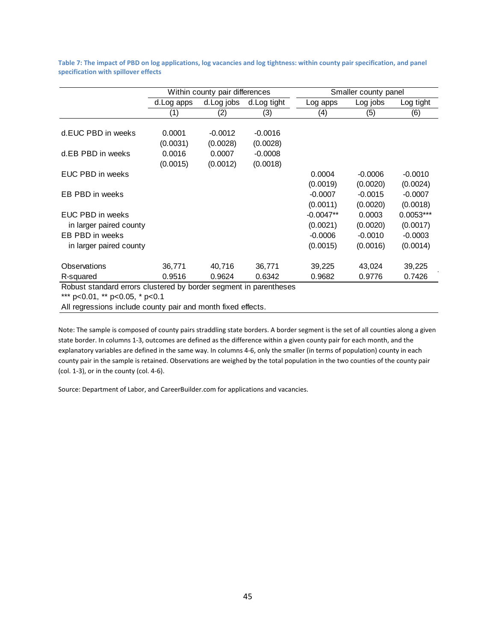|                                                                   | Within county pair differences |            |              |             | Smaller county panel |             |
|-------------------------------------------------------------------|--------------------------------|------------|--------------|-------------|----------------------|-------------|
|                                                                   | d. Log apps                    | d.Log jobs | d. Log tight | Log apps    | Log jobs             | Log tight   |
|                                                                   | (1)                            | (2)        | (3)          | (4)         | (5)                  | (6)         |
|                                                                   |                                |            |              |             |                      |             |
| d.EUC PBD in weeks                                                | 0.0001                         | $-0.0012$  | $-0.0016$    |             |                      |             |
|                                                                   | (0.0031)                       | (0.0028)   | (0.0028)     |             |                      |             |
| d.EB PBD in weeks                                                 | 0.0016                         | 0.0007     | $-0.0008$    |             |                      |             |
|                                                                   | (0.0015)                       | (0.0012)   | (0.0018)     |             |                      |             |
| EUC PBD in weeks                                                  |                                |            |              | 0.0004      | $-0.0006$            | $-0.0010$   |
|                                                                   |                                |            |              | (0.0019)    | (0.0020)             | (0.0024)    |
| EB PBD in weeks                                                   |                                |            |              | $-0.0007$   | $-0.0015$            | $-0.0007$   |
|                                                                   |                                |            |              | (0.0011)    | (0.0020)             | (0.0018)    |
| EUC PBD in weeks                                                  |                                |            |              | $-0.0047**$ | 0.0003               | $0.0053***$ |
| in larger paired county                                           |                                |            |              | (0.0021)    | (0.0020)             | (0.0017)    |
| EB PBD in weeks                                                   |                                |            |              | $-0.0006$   | $-0.0010$            | $-0.0003$   |
| in larger paired county                                           |                                |            |              | (0.0015)    | (0.0016)             | (0.0014)    |
| Observations                                                      | 36,771                         | 40,716     | 36,771       | 39,225      | 43,024               | 39,225      |
| R-squared                                                         | 0.9516                         | 0.9624     | 0.6342       | 0.9682      | 0.9776               | 0.7426      |
| Robust standard errors clustered by border segment in parentheses |                                |            |              |             |                      |             |
| *** p<0.01, ** p<0.05, * p<0.1                                    |                                |            |              |             |                      |             |
| All regressions include county pair and month fixed effects.      |                                |            |              |             |                      |             |

Table 7: The impact of PBD on log applications, log vacancies and log tightness: within county pair specification, and panel **specification with spillover effects**

Note: The sample is composed of county pairs straddling state borders. A border segment is the set of all counties along a given state border. In columns 1‐3, outcomes are defined as the difference within a given county pair for each month, and the explanatory variables are defined in the same way. In columns 4‐6, only the smaller (in terms of population) county in each county pair in the sample is retained. Observations are weighed by the total population in the two counties of the county pair (col. 1‐3), or in the county (col. 4‐6).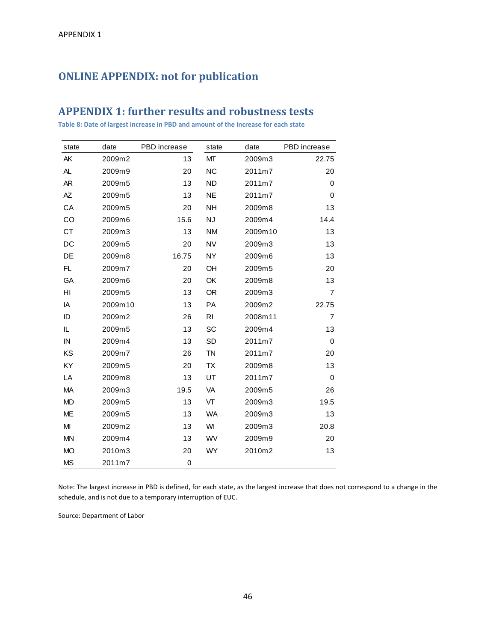# **ONLINE APPENDIX: not for publication**

# **APPENDIX 1: further results and robustness tests**

**Table 8: Date of largest increase in PBD and amount of the increase for each state**

| state     | date    | PBD increase | state     | date    | PBD increase   |
|-----------|---------|--------------|-----------|---------|----------------|
| AK        | 2009m2  | 13           | МT        | 2009m3  | 22.75          |
| AL.       | 2009m9  | 20           | <b>NC</b> | 2011m7  | 20             |
| AR        | 2009m5  | 13           | <b>ND</b> | 2011m7  | 0              |
| AZ        | 2009m5  | 13           | <b>NE</b> | 2011m7  | 0              |
| CA        | 2009m5  | 20           | <b>NH</b> | 2009m8  | 13             |
| CO        | 2009m6  | 15.6         | <b>NJ</b> | 2009m4  | 14.4           |
| <b>CT</b> | 2009m3  | 13           | <b>NM</b> | 2009m10 | 13             |
| DC        | 2009m5  | 20           | <b>NV</b> | 2009m3  | 13             |
| DE        | 2009m8  | 16.75        | <b>NY</b> | 2009m6  | 13             |
| FL.       | 2009m7  | 20           | OH        | 2009m5  | 20             |
| GA        | 2009m6  | 20           | OK        | 2009m8  | 13             |
| HI        | 2009m5  | 13           | OR.       | 2009m3  | $\overline{7}$ |
| IA        | 2009m10 | 13           | PA        | 2009m2  | 22.75          |
| ID        | 2009m2  | 26           | RI        | 2008m11 | $\overline{7}$ |
| IL        | 2009m5  | 13           | <b>SC</b> | 2009m4  | 13             |
| IN        | 2009m4  | 13           | SD        | 2011m7  | 0              |
| KS        | 2009m7  | 26           | <b>TN</b> | 2011m7  | 20             |
| KY        | 2009m5  | 20           | <b>TX</b> | 2009m8  | 13             |
| LA        | 2009m8  | 13           | UT        | 2011m7  | 0              |
| MA        | 2009m3  | 19.5         | VA        | 2009m5  | 26             |
| <b>MD</b> | 2009m5  | 13           | VT        | 2009m3  | 19.5           |
| <b>ME</b> | 2009m5  | 13           | <b>WA</b> | 2009m3  | 13             |
| MI        | 2009m2  | 13           | WI        | 2009m3  | 20.8           |
| <b>MN</b> | 2009m4  | 13           | WV        | 2009m9  | 20             |
| <b>MO</b> | 2010m3  | 20           | WY        | 2010m2  | 13             |
| <b>MS</b> | 2011m7  | 0            |           |         |                |

Note: The largest increase in PBD is defined, for each state, as the largest increase that does not correspond to a change in the schedule, and is not due to a temporary interruption of EUC.

Source: Department of Labor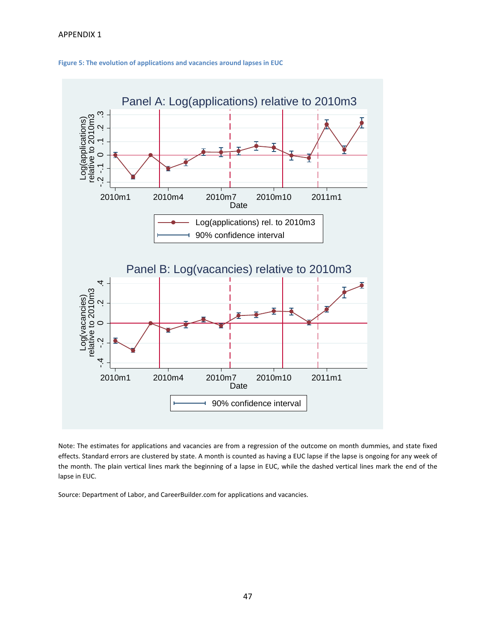



Note: The estimates for applications and vacancies are from a regression of the outcome on month dummies, and state fixed effects. Standard errors are clustered by state. A month is counted as having a EUC lapse if the lapse is ongoing for any week of the month. The plain vertical lines mark the beginning of a lapse in EUC, while the dashed vertical lines mark the end of the lapse in EUC.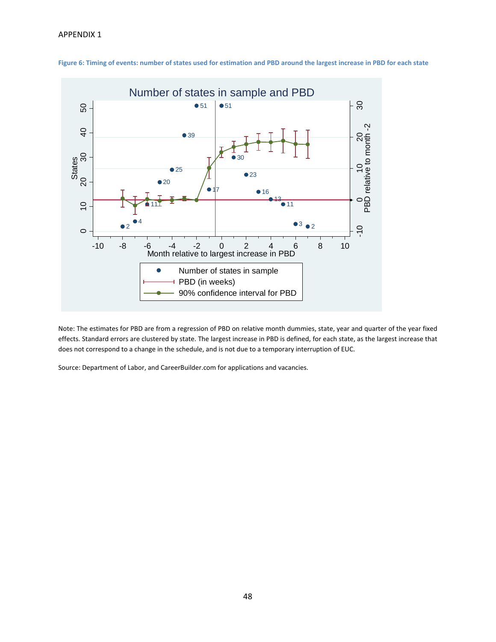

Figure 6: Timing of events: number of states used for estimation and PBD around the largest increase in PBD for each state

Note: The estimates for PBD are from a regression of PBD on relative month dummies, state, year and quarter of the year fixed effects. Standard errors are clustered by state. The largest increase in PBD is defined, for each state, as the largest increase that does not correspond to a change in the schedule, and is not due to a temporary interruption of EUC.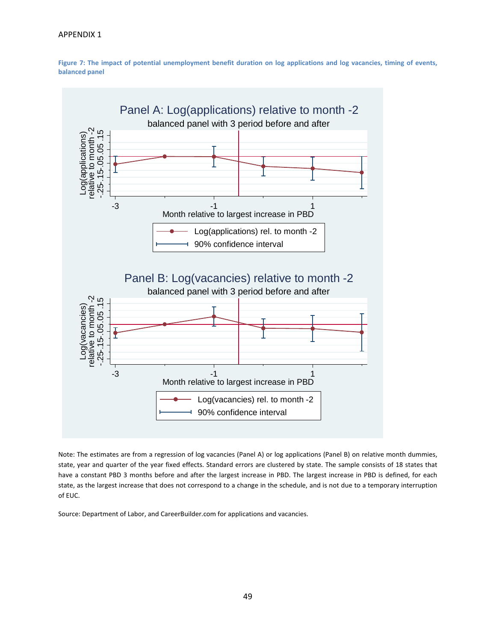### APPENDIX 1

Figure 7: The impact of potential unemployment benefit duration on log applications and log vacancies, timing of events, **balanced panel**



Note: The estimates are from a regression of log vacancies (Panel A) or log applications (Panel B) on relative month dummies, state, year and quarter of the year fixed effects. Standard errors are clustered by state. The sample consists of 18 states that have a constant PBD 3 months before and after the largest increase in PBD. The largest increase in PBD is defined, for each state, as the largest increase that does not correspond to a change in the schedule, and is not due to a temporary interruption of EUC.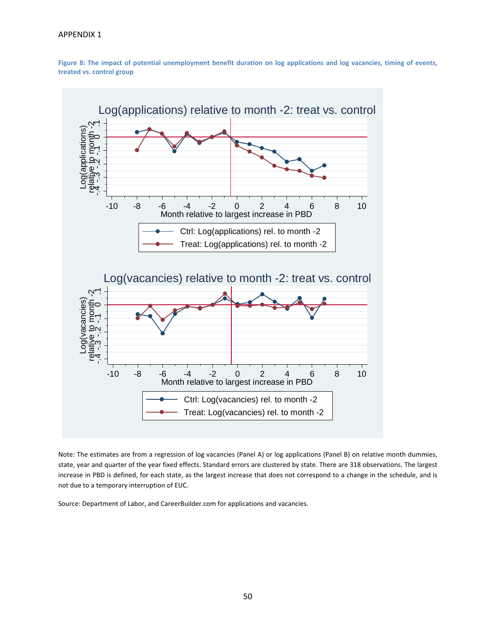### APPENDIX 1

Figure 8: The impact of potential unemployment benefit duration on log applications and log vacancies, timing of events, **treated vs. control group**



Note: The estimates are from a regression of log vacancies (Panel A) or log applications (Panel B) on relative month dummies, state, year and quarter of the year fixed effects. Standard errors are clustered by state. There are 318 observations. The largest increase in PBD is defined, for each state, as the largest increase that does not correspond to a change in the schedule, and is not due to a temporary interruption of EUC.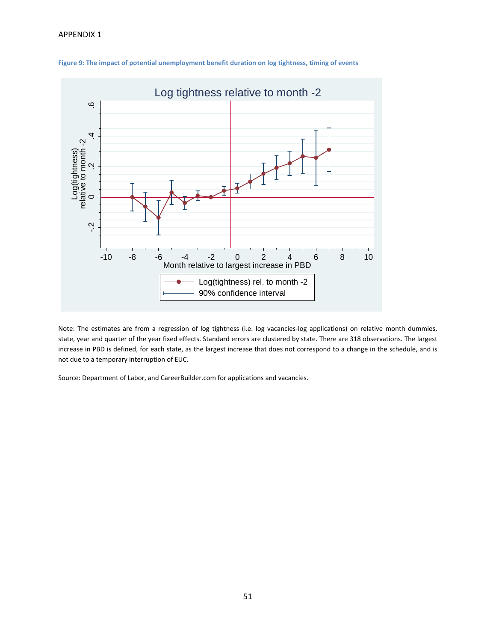

**Figure 9: The impact of potential unemployment benefit duration on log tightness, timing of events**

Note: The estimates are from a regression of log tightness (i.e. log vacancies‐log applications) on relative month dummies, state, year and quarter of the year fixed effects. Standard errors are clustered by state. There are 318 observations. The largest increase in PBD is defined, for each state, as the largest increase that does not correspond to a change in the schedule, and is not due to a temporary interruption of EUC.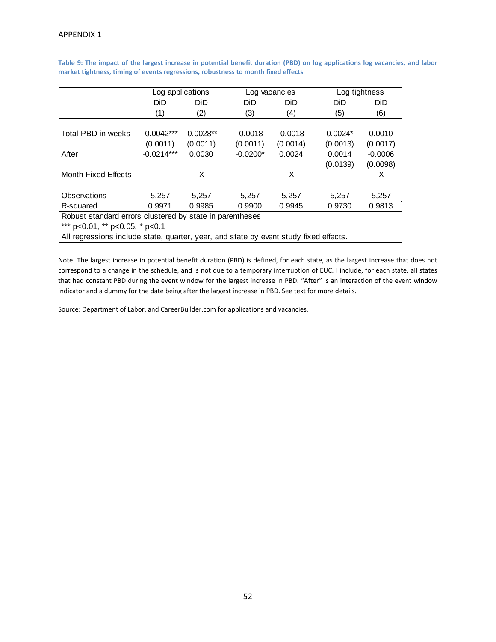|                                                                                       | Log applications                                         |             |            | Log vacancies |           | Log tightness |  |
|---------------------------------------------------------------------------------------|----------------------------------------------------------|-------------|------------|---------------|-----------|---------------|--|
|                                                                                       | DiD                                                      | DiD         | DiD        | DiD           | DiD       | <b>DiD</b>    |  |
|                                                                                       | (1)                                                      | (2)         | (3)        | (4)           | (5)       | (6)           |  |
|                                                                                       |                                                          |             |            |               |           |               |  |
| Total PBD in weeks                                                                    | $-0.0042***$                                             | $-0.0028**$ | $-0.0018$  | $-0.0018$     | $0.0024*$ | 0.0010        |  |
|                                                                                       | (0.0011)                                                 | (0.0011)    | (0.0011)   | (0.0014)      | (0.0013)  | (0.0017)      |  |
| After                                                                                 | $-0.0214***$                                             | 0.0030      | $-0.0200*$ | 0.0024        | 0.0014    | $-0.0006$     |  |
|                                                                                       |                                                          |             |            |               | (0.0139)  | (0.0098)      |  |
| <b>Month Fixed Effects</b>                                                            |                                                          | X           |            | X             |           | X             |  |
| Observations                                                                          | 5,257                                                    | 5,257       | 5,257      | 5,257         | 5,257     | 5,257         |  |
| R-squared                                                                             | 0.9971                                                   | 0.9985      | 0.9900     | 0.9945        | 0.9730    | 0.9813        |  |
|                                                                                       | Robust standard errors clustered by state in parentheses |             |            |               |           |               |  |
| *** p<0.01, ** p<0.05, * p<0.1                                                        |                                                          |             |            |               |           |               |  |
| All regressions include state, quarter, year, and state by event study fixed effects. |                                                          |             |            |               |           |               |  |

Table 9: The impact of the largest increase in potential benefit duration (PBD) on log applications log vacancies, and labor **market tightness, timing of events regressions, robustness to month fixed effects**

Note: The largest increase in potential benefit duration (PBD) is defined, for each state, as the largest increase that does not correspond to a change in the schedule, and is not due to a temporary interruption of EUC. I include, for each state, all states that had constant PBD during the event window for the largest increase in PBD. "After" is an interaction of the event window indicator and a dummy for the date being after the largest increase in PBD. See text for more details.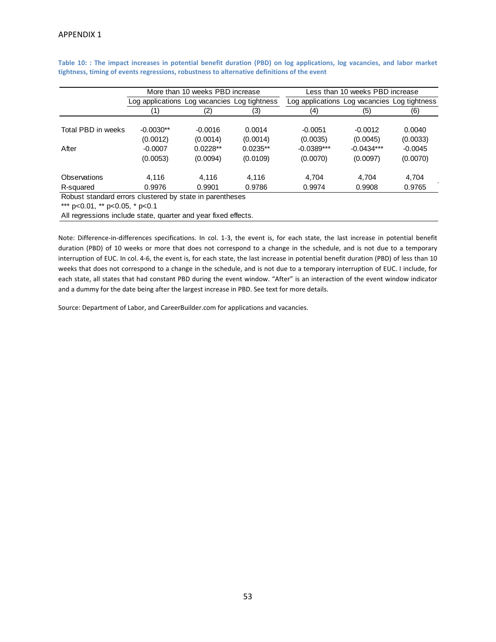|                                                          |                                              | More than 10 weeks PBD increase |            | Less than 10 weeks PBD increase              |              |           |  |
|----------------------------------------------------------|----------------------------------------------|---------------------------------|------------|----------------------------------------------|--------------|-----------|--|
|                                                          | Log applications Log vacancies Log tightness |                                 |            | Log applications Log vacancies Log tightness |              |           |  |
|                                                          | (1)                                          | (2)                             | (3)        | (4)                                          | (5)          | (6)       |  |
|                                                          |                                              |                                 |            |                                              |              |           |  |
| Total PBD in weeks                                       | $-0.0030**$                                  | $-0.0016$                       | 0.0014     | $-0.0051$                                    | $-0.0012$    | 0.0040    |  |
|                                                          | (0.0012)                                     | (0.0014)                        | (0.0014)   | (0.0035)                                     | (0.0045)     | (0.0033)  |  |
| After                                                    | $-0.0007$                                    | $0.0228**$                      | $0.0235**$ | $-0.0389***$                                 | $-0.0434***$ | $-0.0045$ |  |
|                                                          | (0.0053)                                     | (0.0094)                        | (0.0109)   | (0.0070)                                     | (0.0097)     | (0.0070)  |  |
| Observations                                             | 4.116                                        | 4.116                           | 4.116      | 4.704                                        | 4.704        | 4.704     |  |
| R-squared                                                | 0.9976                                       | 0.9901                          | 0.9786     | 0.9974                                       | 0.9908       | 0.9765    |  |
| Robust standard errors clustered by state in parentheses |                                              |                                 |            |                                              |              |           |  |
| *** $n0$ 01 ** $n0$ 05 * $n0$ 1                          |                                              |                                 |            |                                              |              |           |  |

Table 10: : The impact increases in potential benefit duration (PBD) on log applications, log vacancies, and labor market **tightness, timing of events regressions, robustness to alternative definitions of the event**

p<0.01, \*\* p<0.05, \* p<0.1

All regressions include state, quarter and year fixed effects.

Note: Difference-in-differences specifications. In col. 1-3, the event is, for each state, the last increase in potential benefit duration (PBD) of 10 weeks or more that does not correspond to a change in the schedule, and is not due to a temporary interruption of EUC. In col. 4‐6, the event is, for each state, the last increase in potential benefit duration (PBD) of less than 10 weeks that does not correspond to a change in the schedule, and is not due to a temporary interruption of EUC. I include, for each state, all states that had constant PBD during the event window. "After" is an interaction of the event window indicator and a dummy for the date being after the largest increase in PBD. See text for more details.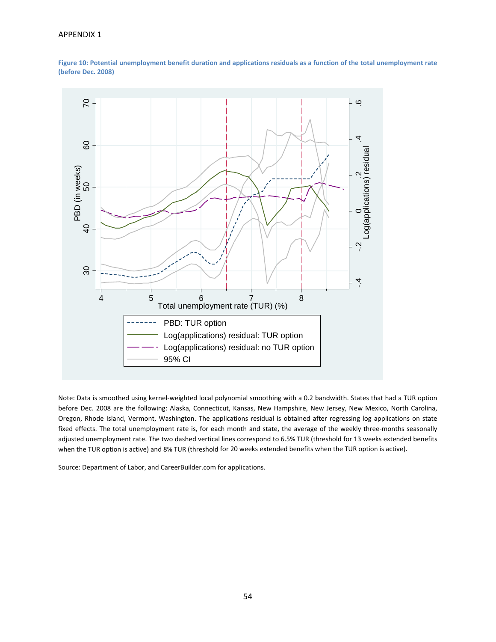### APPENDIX 1





Note: Data is smoothed using kernel‐weighted local polynomial smoothing with a 0.2 bandwidth. States that had a TUR option before Dec. 2008 are the following: Alaska, Connecticut, Kansas, New Hampshire, New Jersey, New Mexico, North Carolina, Oregon, Rhode Island, Vermont, Washington. The applications residual is obtained after regressing log applications on state fixed effects. The total unemployment rate is, for each month and state, the average of the weekly three-months seasonally adjusted unemployment rate. The two dashed vertical lines correspond to 6.5% TUR (threshold for 13 weeks extended benefits when the TUR option is active) and 8% TUR (threshold for 20 weeks extended benefits when the TUR option is active).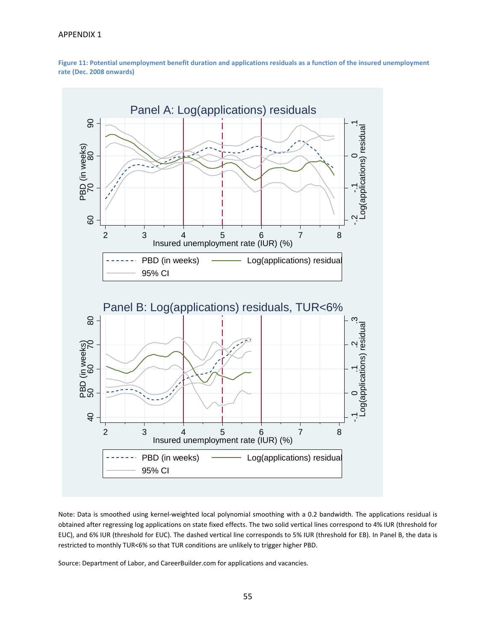### APPENDIX 1





Note: Data is smoothed using kernel‐weighted local polynomial smoothing with a 0.2 bandwidth. The applications residual is obtained after regressing log applications on state fixed effects. The two solid vertical lines correspond to 4% IUR (threshold for EUC), and 6% IUR (threshold for EUC). The dashed vertical line corresponds to 5% IUR (threshold for EB). In Panel B, the data is restricted to monthly TUR<6% so that TUR conditions are unlikely to trigger higher PBD.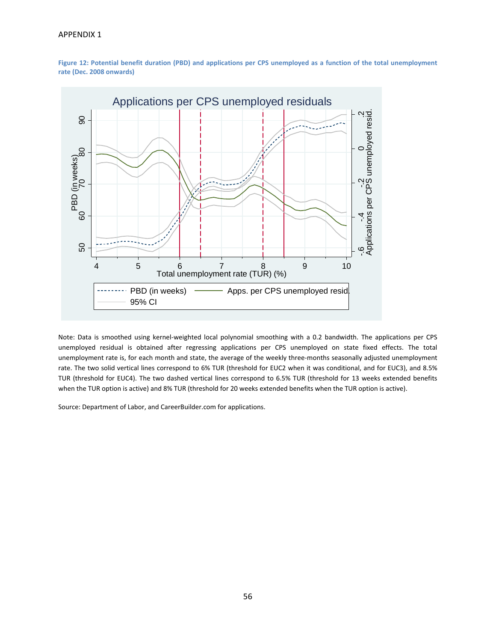

Figure 12: Potential benefit duration (PBD) and applications per CPS unemployed as a function of the total unemployment **rate (Dec. 2008 onwards)**

Note: Data is smoothed using kernel‐weighted local polynomial smoothing with a 0.2 bandwidth. The applications per CPS unemployed residual is obtained after regressing applications per CPS unemployed on state fixed effects. The total unemployment rate is, for each month and state, the average of the weekly three-months seasonally adjusted unemployment rate. The two solid vertical lines correspond to 6% TUR (threshold for EUC2 when it was conditional, and for EUC3), and 8.5% TUR (threshold for EUC4). The two dashed vertical lines correspond to 6.5% TUR (threshold for 13 weeks extended benefits when the TUR option is active) and 8% TUR (threshold for 20 weeks extended benefits when the TUR option is active).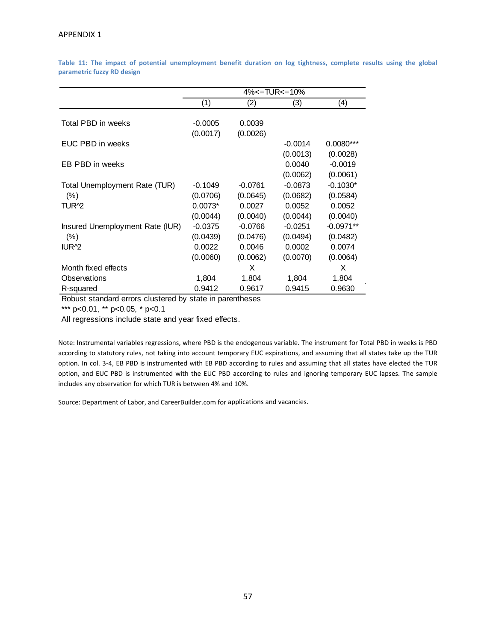Table 11: The impact of potential unemployment benefit duration on log tightness, complete results using the global **parametric fuzzy RD design**

|                                                          | $4\% < = TUR < = 10\%$ |           |           |             |  |  |  |
|----------------------------------------------------------|------------------------|-----------|-----------|-------------|--|--|--|
|                                                          | (1)                    | (2)       | (3)       | (4)         |  |  |  |
|                                                          |                        |           |           |             |  |  |  |
| Total PBD in weeks                                       | $-0.0005$              | 0.0039    |           |             |  |  |  |
|                                                          | (0.0017)               | (0.0026)  |           |             |  |  |  |
| EUC PBD in weeks                                         |                        |           | $-0.0014$ | $0.0080***$ |  |  |  |
|                                                          |                        |           | (0.0013)  | (0.0028)    |  |  |  |
| EB PBD in weeks                                          |                        |           | 0.0040    | $-0.0019$   |  |  |  |
|                                                          |                        |           | (0.0062)  | (0.0061)    |  |  |  |
| Total Unemployment Rate (TUR)                            | -0.1049                | $-0.0761$ | $-0.0873$ | $-0.1030*$  |  |  |  |
| $(\% )$                                                  | (0.0706)               | (0.0645)  | (0.0682)  | (0.0584)    |  |  |  |
| TUR <sup>2</sup>                                         | $0.0073*$              | 0.0027    | 0.0052    | 0.0052      |  |  |  |
|                                                          | (0.0044)               | (0.0040)  | (0.0044)  | (0.0040)    |  |  |  |
| Insured Unemployment Rate (IUR)                          | $-0.0375$              | $-0.0766$ | $-0.0251$ | $-0.0971**$ |  |  |  |
| $(\% )$                                                  | (0.0439)               | (0.0476)  | (0.0494)  | (0.0482)    |  |  |  |
| IUR <sup>2</sup>                                         | 0.0022                 | 0.0046    | 0.0002    | 0.0074      |  |  |  |
|                                                          | (0.0060)               | (0.0062)  | (0.0070)  | (0.0064)    |  |  |  |
| Month fixed effects                                      |                        | X         |           | X           |  |  |  |
| Observations                                             | 1,804                  | 1,804     | 1,804     | 1,804       |  |  |  |
| R-squared                                                | 0.9412                 | 0.9617    | 0.9415    | 0.9630      |  |  |  |
| Robust standard errors clustered by state in parentheses |                        |           |           |             |  |  |  |
| *** p<0.01, ** p<0.05, * p<0.1                           |                        |           |           |             |  |  |  |
| All regressions include state and year fixed effects.    |                        |           |           |             |  |  |  |

Note: Instrumental variables regressions, where PBD is the endogenous variable. The instrument for Total PBD in weeks is PBD according to statutory rules, not taking into account temporary EUC expirations, and assuming that all states take up the TUR option. In col. 3‐4, EB PBD is instrumented with EB PBD according to rules and assuming that all states have elected the TUR option, and EUC PBD is instrumented with the EUC PBD according to rules and ignoring temporary EUC lapses. The sample includes any observation for which TUR is between 4% and 10%.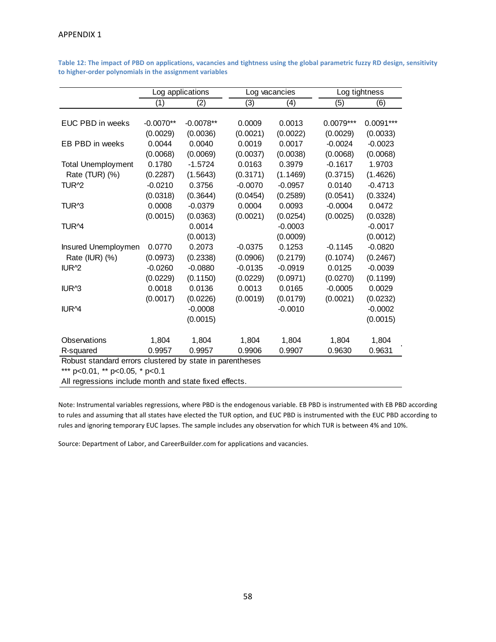Table 12: The impact of PBD on applications, vacancies and tightness using the global parametric fuzzy RD design, sensitivity **to higher‐order polynomials in the assignment variables**

|                           |             | Log applications |           | Log vacancies |             | Log tightness |
|---------------------------|-------------|------------------|-----------|---------------|-------------|---------------|
|                           | (1)         | (2)              | (3)       | (4)           | (5)         | (6)           |
|                           |             |                  |           |               |             |               |
| EUC PBD in weeks          | $-0.0070**$ | $-0.0078**$      | 0.0009    | 0.0013        | $0.0079***$ | $0.0091***$   |
|                           | (0.0029)    | (0.0036)         | (0.0021)  | (0.0022)      | (0.0029)    | (0.0033)      |
| EB PBD in weeks           | 0.0044      | 0.0040           | 0.0019    | 0.0017        | $-0.0024$   | $-0.0023$     |
|                           | (0.0068)    | (0.0069)         | (0.0037)  | (0.0038)      | (0.0068)    | (0.0068)      |
| <b>Total Unemployment</b> | 0.1780      | $-1.5724$        | 0.0163    | 0.3979        | $-0.1617$   | 1.9703        |
| Rate (TUR) (%)            | (0.2287)    | (1.5643)         | (0.3171)  | (1.1469)      | (0.3715)    | (1.4626)      |
| TUR <sup>2</sup>          | $-0.0210$   | 0.3756           | $-0.0070$ | $-0.0957$     | 0.0140      | $-0.4713$     |
|                           | (0.0318)    | (0.3644)         | (0.0454)  | (0.2589)      | (0.0541)    | (0.3324)      |
| TUR <sup>^3</sup>         | 0.0008      | $-0.0379$        | 0.0004    | 0.0093        | $-0.0004$   | 0.0472        |
|                           | (0.0015)    | (0.0363)         | (0.0021)  | (0.0254)      | (0.0025)    | (0.0328)      |
| TUR <sup>4</sup>          |             | 0.0014           |           | $-0.0003$     |             | $-0.0017$     |
|                           |             | (0.0013)         |           | (0.0009)      |             | (0.0012)      |
| Insured Unemploymen       | 0.0770      | 0.2073           | $-0.0375$ | 0.1253        | $-0.1145$   | $-0.0820$     |
| Rate (IUR) (%)            | (0.0973)    | (0.2338)         | (0.0906)  | (0.2179)      | (0.1074)    | (0.2467)      |
| IUR <sup>2</sup>          | $-0.0260$   | $-0.0880$        | $-0.0135$ | $-0.0919$     | 0.0125      | $-0.0039$     |
|                           | (0.0229)    | (0.1150)         | (0.0229)  | (0.0971)      | (0.0270)    | (0.1199)      |
| IUR <sup>A</sup> 3        | 0.0018      | 0.0136           | 0.0013    | 0.0165        | $-0.0005$   | 0.0029        |
|                           | (0.0017)    | (0.0226)         | (0.0019)  | (0.0179)      | (0.0021)    | (0.0232)      |
| IUR <sup>4</sup>          |             | $-0.0008$        |           | $-0.0010$     |             | $-0.0002$     |
|                           |             | (0.0015)         |           |               |             | (0.0015)      |
|                           |             |                  |           |               |             |               |
| Observations              | 1,804       | 1,804            | 1,804     | 1,804         | 1,804       | 1,804         |
| R-squared                 | 0.9957      | 0.9957           | 0.9906    | 0.9907        | 0.9630      | 0.9631        |

Robust standard errors clustered by state in parentheses

\*\*\* p<0.01, \*\* p<0.05, \* p<0.1

All regressions include month and state fixed effects.

Note: Instrumental variables regressions, where PBD is the endogenous variable. EB PBD is instrumented with EB PBD according to rules and assuming that all states have elected the TUR option, and EUC PBD is instrumented with the EUC PBD according to rules and ignoring temporary EUC lapses. The sample includes any observation for which TUR is between 4% and 10%.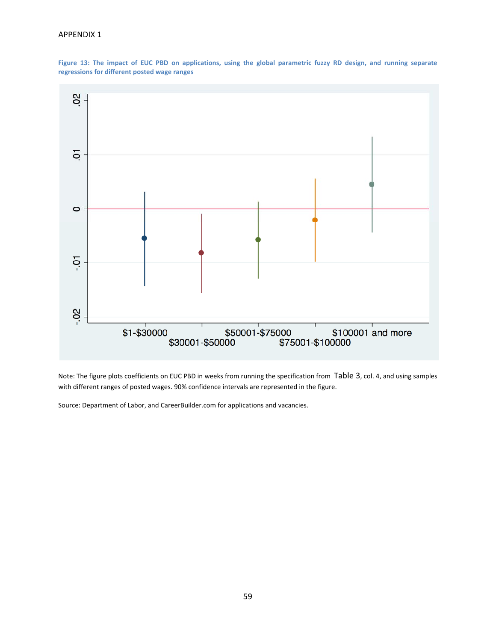### APPENDIX 1

Figure 13: The impact of EUC PBD on applications, using the global parametric fuzzy RD design, and running separate **regressions for different posted wage ranges**



Note: The figure plots coefficients on EUC PBD in weeks from running the specification from Table 3, col. 4, and using samples with different ranges of posted wages. 90% confidence intervals are represented in the figure.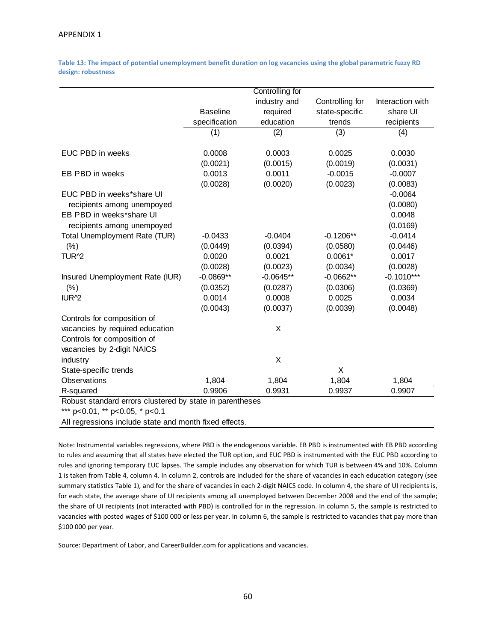Table 13: The impact of potential unemployment benefit duration on log vacancies using the global parametric fuzzy RD **design: robustness**

|                                                          |                 | Controlling for |                 |                  |
|----------------------------------------------------------|-----------------|-----------------|-----------------|------------------|
|                                                          |                 | industry and    | Controlling for | Interaction with |
|                                                          | <b>Baseline</b> | required        | state-specific  | share UI         |
|                                                          | specification   | education       | trends          | recipients       |
|                                                          | (1)             | (2)             | (3)             | (4)              |
|                                                          |                 |                 |                 |                  |
| EUC PBD in weeks                                         | 0.0008          | 0.0003          | 0.0025          | 0.0030           |
|                                                          | (0.0021)        | (0.0015)        | (0.0019)        | (0.0031)         |
| EB PBD in weeks                                          | 0.0013          | 0.0011          | $-0.0015$       | $-0.0007$        |
|                                                          | (0.0028)        | (0.0020)        | (0.0023)        | (0.0083)         |
| EUC PBD in weeks*share UI                                |                 |                 |                 | $-0.0064$        |
| recipients among unempoyed                               |                 |                 |                 | (0.0080)         |
| EB PBD in weeks*share UI                                 |                 |                 |                 | 0.0048           |
| recipients among unempoyed                               |                 |                 |                 | (0.0169)         |
| Total Unemployment Rate (TUR)                            | $-0.0433$       | $-0.0404$       | $-0.1206**$     | $-0.0414$        |
| $(\% )$                                                  | (0.0449)        | (0.0394)        | (0.0580)        | (0.0446)         |
| TUR <sup>2</sup>                                         | 0.0020          | 0.0021          | $0.0061*$       | 0.0017           |
|                                                          | (0.0028)        | (0.0023)        | (0.0034)        | (0.0028)         |
| Insured Unemployment Rate (IUR)                          | $-0.0869**$     | $-0.0645**$     | $-0.0662**$     | $-0.1010***$     |
| (% )                                                     | (0.0352)        | (0.0287)        | (0.0306)        | (0.0369)         |
| IUR <sup>2</sup>                                         | 0.0014          | 0.0008          | 0.0025          | 0.0034           |
|                                                          | (0.0043)        | (0.0037)        | (0.0039)        | (0.0048)         |
| Controls for composition of                              |                 |                 |                 |                  |
| vacancies by required education                          |                 | X               |                 |                  |
| Controls for composition of                              |                 |                 |                 |                  |
| vacancies by 2-digit NAICS                               |                 |                 |                 |                  |
| industry                                                 |                 | X               |                 |                  |
| State-specific trends                                    |                 |                 | X               |                  |
| Observations                                             | 1,804           | 1,804           | 1,804           | 1,804            |
| R-squared                                                | 0.9906          | 0.9931          | 0.9937          | 0.9907           |
| Robust standard errors clustered by state in parentheses |                 |                 |                 |                  |

\*\*\* p<0.01, \*\* p<0.05, \* p<0.1

All regressions include state and month fixed effects.

Note: Instrumental variables regressions, where PBD is the endogenous variable. EB PBD is instrumented with EB PBD according to rules and assuming that all states have elected the TUR option, and EUC PBD is instrumented with the EUC PBD according to rules and ignoring temporary EUC lapses. The sample includes any observation for which TUR is between 4% and 10%. Column 1 is taken from Table 4, column 4. In column 2, controls are included for the share of vacancies in each education category (see summary statistics Table 1), and for the share of vacancies in each 2-digit NAICS code. In column 4, the share of UI recipients is, for each state, the average share of UI recipients among all unemployed between December 2008 and the end of the sample; the share of UI recipients (not interacted with PBD) is controlled for in the regression. In column 5, the sample is restricted to vacancies with posted wages of \$100 000 or less per year. In column 6, the sample is restricted to vacancies that pay more than \$100 000 per year.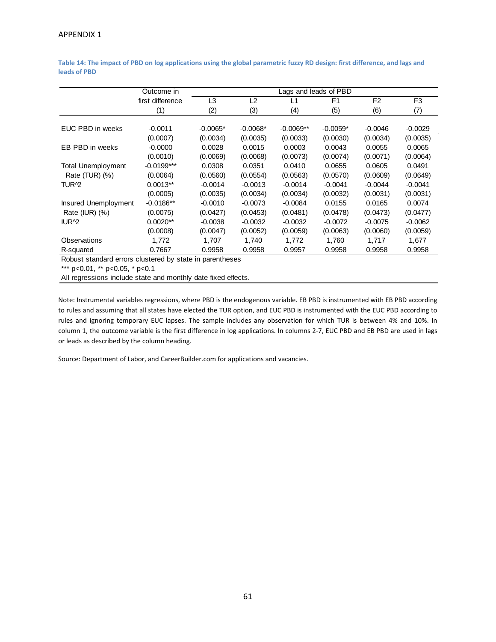|                                                               | Outcome in       | Lags and leads of PBD |            |             |            |                |                |
|---------------------------------------------------------------|------------------|-----------------------|------------|-------------|------------|----------------|----------------|
|                                                               | first difference | L3                    | L2         | L1          | F1         | F <sub>2</sub> | F <sub>3</sub> |
|                                                               | (1)              | (2)                   | (3)        | (4)         | (5)        | (6)            | (7)            |
|                                                               |                  |                       |            |             |            |                |                |
| EUC PBD in weeks                                              | $-0.0011$        | $-0.0065*$            | $-0.0068*$ | $-0.0069**$ | $-0.0059*$ | $-0.0046$      | $-0.0029$      |
|                                                               | (0.0007)         | (0.0034)              | (0.0035)   | (0.0033)    | (0.0030)   | (0.0034)       | (0.0035)       |
| EB PBD in weeks                                               | $-0.0000$        | 0.0028                | 0.0015     | 0.0003      | 0.0043     | 0.0055         | 0.0065         |
|                                                               | (0.0010)         | (0.0069)              | (0.0068)   | (0.0073)    | (0.0074)   | (0.0071)       | (0.0064)       |
| <b>Total Unemployment</b>                                     | $-0.0199***$     | 0.0308                | 0.0351     | 0.0410      | 0.0655     | 0.0605         | 0.0491         |
| Rate (TUR) (%)                                                | (0.0064)         | (0.0560)              | (0.0554)   | (0.0563)    | (0.0570)   | (0.0609)       | (0.0649)       |
| TUR <sup>2</sup>                                              | $0.0013**$       | $-0.0014$             | $-0.0013$  | $-0.0014$   | $-0.0041$  | $-0.0044$      | $-0.0041$      |
|                                                               | (0.0005)         | (0.0035)              | (0.0034)   | (0.0034)    | (0.0032)   | (0.0031)       | (0.0031)       |
| Insured Unemployment                                          | $-0.0186**$      | $-0.0010$             | $-0.0073$  | $-0.0084$   | 0.0155     | 0.0165         | 0.0074         |
| Rate (IUR) (%)                                                | (0.0075)         | (0.0427)              | (0.0453)   | (0.0481)    | (0.0478)   | (0.0473)       | (0.0477)       |
| IUR <sup>2</sup>                                              | $0.0020**$       | $-0.0038$             | $-0.0032$  | $-0.0032$   | $-0.0072$  | $-0.0075$      | $-0.0062$      |
|                                                               | (0.0008)         | (0.0047)              | (0.0052)   | (0.0059)    | (0.0063)   | (0.0060)       | (0.0059)       |
| Observations                                                  | 1,772            | 1,707                 | 1,740      | 1,772       | 1,760      | 1,717          | 1,677          |
| R-squared                                                     | 0.7667           | 0.9958                | 0.9958     | 0.9957      | 0.9958     | 0.9958         | 0.9958         |
| Robust standard errors clustered by state in parentheses      |                  |                       |            |             |            |                |                |
| *** $pc0.01$ , ** $pc0.05$ , * $pc0.1$                        |                  |                       |            |             |            |                |                |
| All regressions include state and monthly date fixed effects. |                  |                       |            |             |            |                |                |

Table 14: The impact of PBD on log applications using the global parametric fuzzy RD design: first difference, and lags and **leads of PBD**

Note: Instrumental variables regressions, where PBD is the endogenous variable. EB PBD is instrumented with EB PBD according to rules and assuming that all states have elected the TUR option, and EUC PBD is instrumented with the EUC PBD according to rules and ignoring temporary EUC lapses. The sample includes any observation for which TUR is between 4% and 10%. In column 1, the outcome variable is the first difference in log applications. In columns 2‐7, EUC PBD and EB PBD are used in lags or leads as described by the column heading.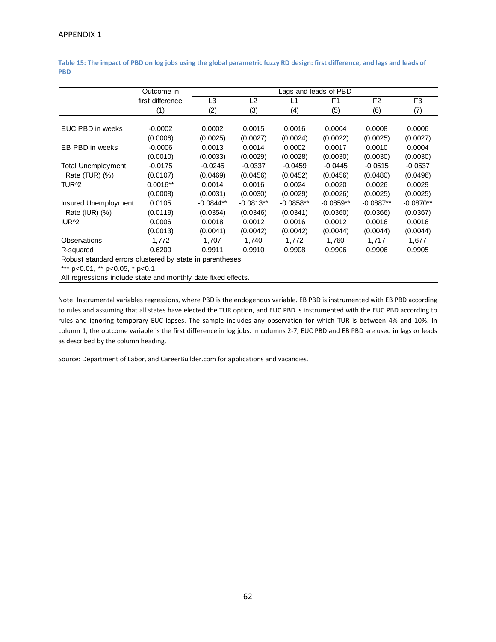|                                                               | Outcome in       | Lags and leads of PBD |             |             |             |             |             |
|---------------------------------------------------------------|------------------|-----------------------|-------------|-------------|-------------|-------------|-------------|
|                                                               | first difference | L3                    | L2          | L1          | F1          | F2          | F3          |
|                                                               | (1)              | (2)                   | (3)         | (4)         | (5)         | (6)         | (7)         |
|                                                               |                  |                       |             |             |             |             |             |
| EUC PBD in weeks                                              | $-0.0002$        | 0.0002                | 0.0015      | 0.0016      | 0.0004      | 0.0008      | 0.0006      |
|                                                               | (0.0006)         | (0.0025)              | (0.0027)    | (0.0024)    | (0.0022)    | (0.0025)    | (0.0027)    |
| EB PBD in weeks                                               | $-0.0006$        | 0.0013                | 0.0014      | 0.0002      | 0.0017      | 0.0010      | 0.0004      |
|                                                               | (0.0010)         | (0.0033)              | (0.0029)    | (0.0028)    | (0.0030)    | (0.0030)    | (0.0030)    |
| <b>Total Unemployment</b>                                     | $-0.0175$        | $-0.0245$             | $-0.0337$   | $-0.0459$   | $-0.0445$   | $-0.0515$   | $-0.0537$   |
| Rate (TUR) (%)                                                | (0.0107)         | (0.0469)              | (0.0456)    | (0.0452)    | (0.0456)    | (0.0480)    | (0.0496)    |
| TUR <sup>2</sup>                                              | $0.0016**$       | 0.0014                | 0.0016      | 0.0024      | 0.0020      | 0.0026      | 0.0029      |
|                                                               | (0.0008)         | (0.0031)              | (0.0030)    | (0.0029)    | (0.0026)    | (0.0025)    | (0.0025)    |
| Insured Unemployment                                          | 0.0105           | $-0.0844**$           | $-0.0813**$ | $-0.0858**$ | $-0.0859**$ | $-0.0887**$ | $-0.0870**$ |
| Rate (IUR) $(\%)$                                             | (0.0119)         | (0.0354)              | (0.0346)    | (0.0341)    | (0.0360)    | (0.0366)    | (0.0367)    |
| IUR <sup>2</sup>                                              | 0.0006           | 0.0018                | 0.0012      | 0.0016      | 0.0012      | 0.0016      | 0.0016      |
|                                                               | (0.0013)         | (0.0041)              | (0.0042)    | (0.0042)    | (0.0044)    | (0.0044)    | (0.0044)    |
| <b>Observations</b>                                           | 1,772            | 1,707                 | 1,740       | 1,772       | 1,760       | 1,717       | 1,677       |
| R-squared                                                     | 0.6200           | 0.9911                | 0.9910      | 0.9908      | 0.9906      | 0.9906      | 0.9905      |
| Robust standard errors clustered by state in parentheses      |                  |                       |             |             |             |             |             |
| *** $p<0.01$ , ** $p<0.05$ , * $p<0.1$                        |                  |                       |             |             |             |             |             |
| All regressions include state and monthly date fixed effects. |                  |                       |             |             |             |             |             |

Table 15: The impact of PBD on log jobs using the global parametric fuzzy RD design: first difference, and lags and leads of **PBD**

Note: Instrumental variables regressions, where PBD is the endogenous variable. EB PBD is instrumented with EB PBD according to rules and assuming that all states have elected the TUR option, and EUC PBD is instrumented with the EUC PBD according to rules and ignoring temporary EUC lapses. The sample includes any observation for which TUR is between 4% and 10%. In column 1, the outcome variable is the first difference in log jobs. In columns 2‐7, EUC PBD and EB PBD are used in lags or leads as described by the column heading.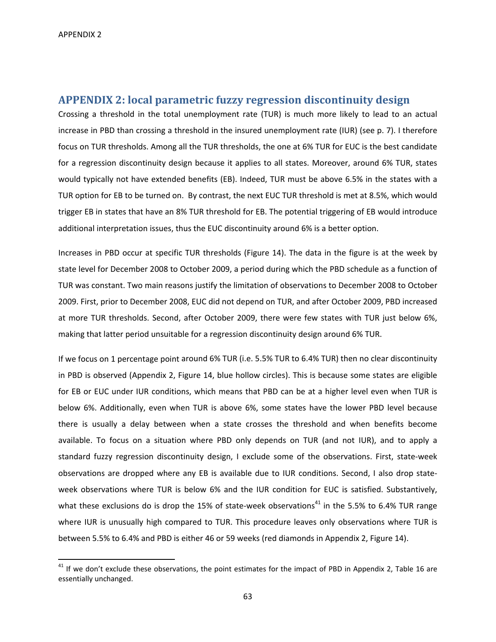### **APPENDIX 2: local parametric fuzzy regression discontinuity design**

Crossing a threshold in the total unemployment rate (TUR) is much more likely to lead to an actual increase in PBD than crossing a threshold in the insured unemployment rate (IUR) (see p. 7). I therefore focus on TUR thresholds. Among all the TUR thresholds, the one at 6% TUR for EUC is the best candidate for a regression discontinuity design because it applies to all states. Moreover, around 6% TUR, states would typically not have extended benefits (EB). Indeed, TUR must be above 6.5% in the states with a TUR option for EB to be turned on. By contrast, the next EUC TUR threshold is met at 8.5%, which would trigger EB in states that have an 8% TUR threshold for EB. The potential triggering of EB would introduce additional interpretation issues, thus the EUC discontinuity around 6% is a better option.

Increases in PBD occur at specific TUR thresholds (Figure 14). The data in the figure is at the week by state level for December 2008 to October 2009, a period during which the PBD schedule as a function of TUR was constant. Two main reasons justify the limitation of observations to December 2008 to October 2009. First, prior to December 2008, EUC did not depend on TUR, and after October 2009, PBD increased at more TUR thresholds. Second, after October 2009, there were few states with TUR just below 6%, making that latter period unsuitable for a regression discontinuity design around 6% TUR.

If we focus on 1 percentage point around 6% TUR (i.e. 5.5% TUR to 6.4% TUR) then no clear discontinuity in PBD is observed (Appendix 2, Figure 14, blue hollow circles). This is because some states are eligible for EB or EUC under IUR conditions, which means that PBD can be at a higher level even when TUR is below 6%. Additionally, even when TUR is above 6%, some states have the lower PBD level because there is usually a delay between when a state crosses the threshold and when benefits become available. To focus on a situation where PBD only depends on TUR (and not IUR), and to apply a standard fuzzy regression discontinuity design, I exclude some of the observations. First, state-week observations are dropped where any EB is available due to IUR conditions. Second, I also drop state‐ week observations where TUR is below 6% and the IUR condition for EUC is satisfied. Substantively, what these exclusions do is drop the 15% of state-week observations<sup>41</sup> in the 5.5% to 6.4% TUR range where IUR is unusually high compared to TUR. This procedure leaves only observations where TUR is between 5.5% to 6.4% and PBD is either 46 or 59 weeks (red diamonds in Appendix 2, Figure 14).

 $41$  If we don't exclude these observations, the point estimates for the impact of PBD in Appendix 2, Table 16 are essentially unchanged.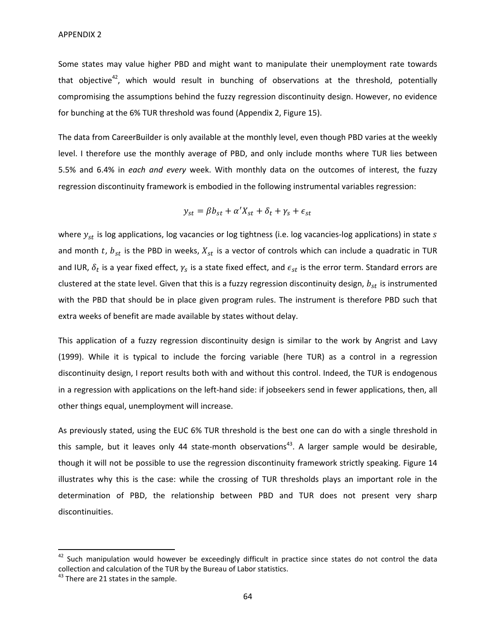Some states may value higher PBD and might want to manipulate their unemployment rate towards that objective<sup>42</sup>, which would result in bunching of observations at the threshold, potentially compromising the assumptions behind the fuzzy regression discontinuity design. However, no evidence for bunching at the 6% TUR threshold was found (Appendix 2, Figure 15).

The data from CareerBuilder is only available at the monthly level, even though PBD varies at the weekly level. I therefore use the monthly average of PBD, and only include months where TUR lies between 5.5% and 6.4% in *each and every* week. With monthly data on the outcomes of interest, the fuzzy regression discontinuity framework is embodied in the following instrumental variables regression:

$$
y_{st} = \beta b_{st} + \alpha' X_{st} + \delta_t + \gamma_s + \epsilon_{st}
$$

where  $y_{st}$  is log applications, log vacancies or log tightness (i.e. log vacancies-log applications) in state s and month t,  $b_{st}$  is the PBD in weeks,  $X_{st}$  is a vector of controls which can include a quadratic in TUR and IUR,  $\delta_t$  is a year fixed effect,  $\gamma_s$  is a state fixed effect, and  $\epsilon_{st}$  is the error term. Standard errors are clustered at the state level. Given that this is a fuzzy regression discontinuity design,  $b_{st}$  is instrumented with the PBD that should be in place given program rules. The instrument is therefore PBD such that extra weeks of benefit are made available by states without delay.

This application of a fuzzy regression discontinuity design is similar to the work by Angrist and Lavy (1999). While it is typical to include the forcing variable (here TUR) as a control in a regression discontinuity design, I report results both with and without this control. Indeed, the TUR is endogenous in a regression with applications on the left-hand side: if jobseekers send in fewer applications, then, all other things equal, unemployment will increase.

As previously stated, using the EUC 6% TUR threshold is the best one can do with a single threshold in this sample, but it leaves only 44 state-month observations<sup>43</sup>. A larger sample would be desirable, though it will not be possible to use the regression discontinuity framework strictly speaking. Figure 14 illustrates why this is the case: while the crossing of TUR thresholds plays an important role in the determination of PBD, the relationship between PBD and TUR does not present very sharp discontinuities.

 $42$  Such manipulation would however be exceedingly difficult in practice since states do not control the data collection and calculation of the TUR by the Bureau of Labor statistics. <sup>43</sup> There are <sup>21</sup> states in the sample.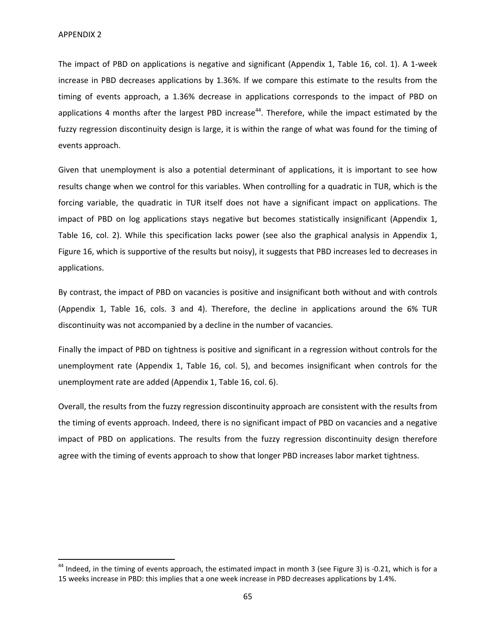The impact of PBD on applications is negative and significant (Appendix 1, Table 16, col. 1). A 1‐week increase in PBD decreases applications by 1.36%. If we compare this estimate to the results from the timing of events approach, a 1.36% decrease in applications corresponds to the impact of PBD on applications 4 months after the largest PBD increase<sup>44</sup>. Therefore, while the impact estimated by the fuzzy regression discontinuity design is large, it is within the range of what was found for the timing of events approach.

Given that unemployment is also a potential determinant of applications, it is important to see how results change when we control for this variables. When controlling for a quadratic in TUR, which is the forcing variable, the quadratic in TUR itself does not have a significant impact on applications. The impact of PBD on log applications stays negative but becomes statistically insignificant (Appendix 1, Table 16, col. 2). While this specification lacks power (see also the graphical analysis in Appendix 1, Figure 16, which is supportive of the results but noisy), it suggests that PBD increases led to decreases in applications.

By contrast, the impact of PBD on vacancies is positive and insignificant both without and with controls (Appendix 1, Table 16, cols. 3 and 4). Therefore, the decline in applications around the 6% TUR discontinuity was not accompanied by a decline in the number of vacancies.

Finally the impact of PBD on tightness is positive and significant in a regression without controls for the unemployment rate (Appendix 1, Table 16, col. 5), and becomes insignificant when controls for the unemployment rate are added (Appendix 1, Table 16, col. 6).

Overall, the results from the fuzzy regression discontinuity approach are consistent with the results from the timing of events approach. Indeed, there is no significant impact of PBD on vacancies and a negative impact of PBD on applications. The results from the fuzzy regression discontinuity design therefore agree with the timing of events approach to show that longer PBD increases labor market tightness.

 $44$  Indeed, in the timing of events approach, the estimated impact in month 3 (see Figure 3) is -0.21, which is for a 15 weeks increase in PBD: this implies that a one week increase in PBD decreases applications by 1.4%.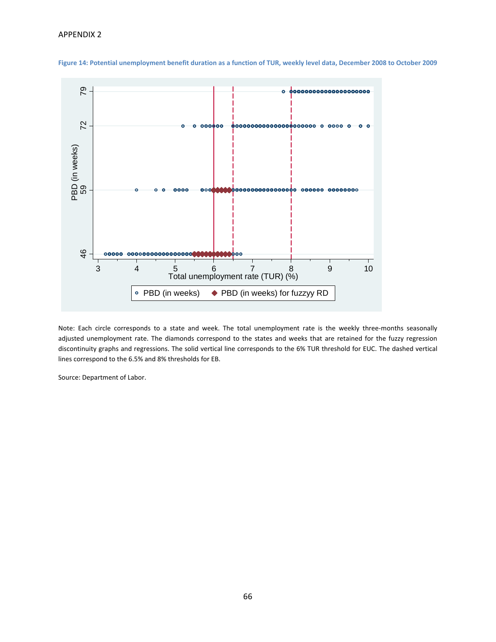

Figure 14: Potential unemployment benefit duration as a function of TUR, weekly level data, December 2008 to October 2009

Note: Each circle corresponds to a state and week. The total unemployment rate is the weekly three-months seasonally adjusted unemployment rate. The diamonds correspond to the states and weeks that are retained for the fuzzy regression discontinuity graphs and regressions. The solid vertical line corresponds to the 6% TUR threshold for EUC. The dashed vertical lines correspond to the 6.5% and 8% thresholds for EB.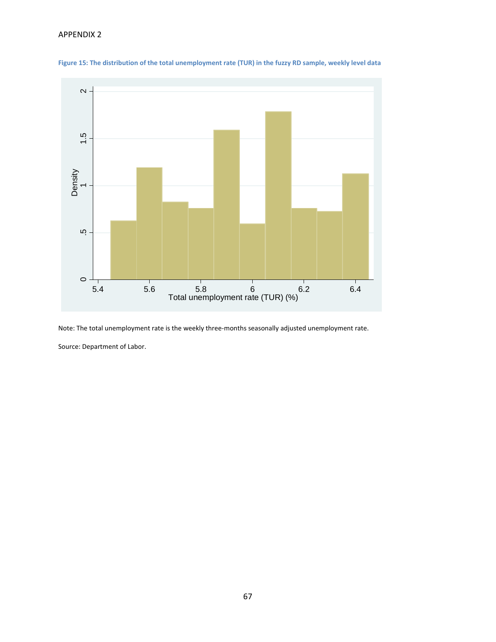### APPENDIX 2



Figure 15: The distribution of the total unemployment rate (TUR) in the fuzzy RD sample, weekly level data

Note: The total unemployment rate is the weekly three‐months seasonally adjusted unemployment rate.

Source: Department of Labor.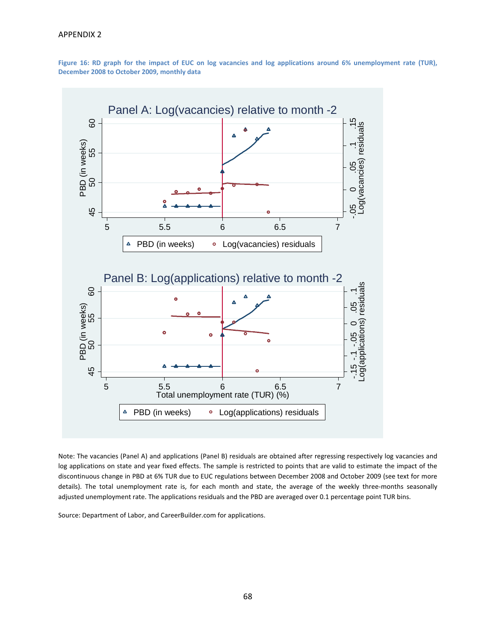#### APPENDIX 2

Figure 16: RD graph for the impact of EUC on log vacancies and log applications around 6% unemployment rate (TUR), **December 2008 to October 2009, monthly data**



Note: The vacancies (Panel A) and applications (Panel B) residuals are obtained after regressing respectively log vacancies and log applications on state and year fixed effects. The sample is restricted to points that are valid to estimate the impact of the discontinuous change in PBD at 6% TUR due to EUC regulations between December 2008 and October 2009 (see text for more details). The total unemployment rate is, for each month and state, the average of the weekly three-months seasonally adjusted unemployment rate. The applications residuals and the PBD are averaged over 0.1 percentage point TUR bins.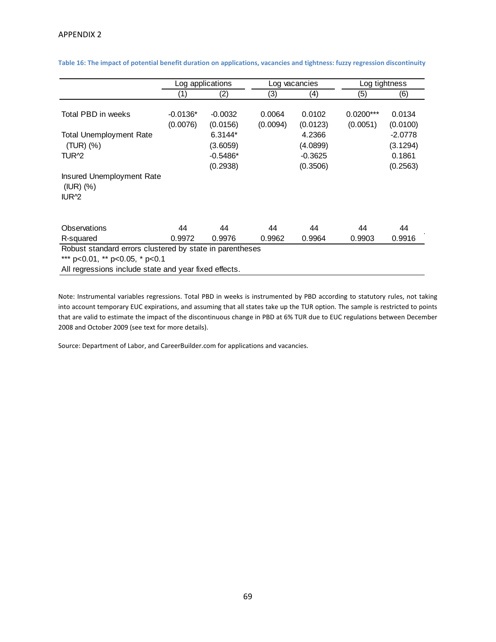|                                                                | Log applications |            | Log vacancies |           | Log tightness |           |
|----------------------------------------------------------------|------------------|------------|---------------|-----------|---------------|-----------|
|                                                                | (1)              | (2)        | (3)           | (4)       | (5)           | (6)       |
|                                                                |                  |            |               |           |               |           |
| Total PBD in weeks                                             | $-0.0136*$       | $-0.0032$  | 0.0064        | 0.0102    | $0.0200***$   | 0.0134    |
|                                                                | (0.0076)         | (0.0156)   | (0.0094)      | (0.0123)  | (0.0051)      | (0.0100)  |
| <b>Total Unemployment Rate</b>                                 |                  | $6.3144*$  |               | 4.2366    |               | $-2.0778$ |
| (TUR) (%)                                                      |                  | (3.6059)   |               | (4.0899)  |               | (3.1294)  |
| TUR <sup>^2</sup>                                              |                  | $-0.5486*$ |               | $-0.3625$ |               | 0.1861    |
|                                                                |                  | (0.2938)   |               | (0.3506)  |               | (0.2563)  |
| Insured Unemployment Rate<br>$(IV)$ $(\%)$<br>IUR <sup>2</sup> |                  |            |               |           |               |           |
|                                                                |                  |            |               |           |               |           |
| Observations                                                   | 44               | 44         | 44            | 44        | 44            | 44        |
| R-squared                                                      | 0.9972           | 0.9976     | 0.9962        | 0.9964    | 0.9903        | 0.9916    |
| Robust standard errors clustered by state in parentheses       |                  |            |               |           |               |           |
| *** $p<0.01$ , ** $p<0.05$ , * $p<0.1$                         |                  |            |               |           |               |           |
| All regressions include state and year fixed effects.          |                  |            |               |           |               |           |

### Table 16: The impact of potential benefit duration on applications, vacancies and tightness: fuzzy regression discontinuity

Note: Instrumental variables regressions. Total PBD in weeks is instrumented by PBD according to statutory rules, not taking into account temporary EUC expirations, and assuming that all states take up the TUR option. The sample is restricted to points that are valid to estimate the impact of the discontinuous change in PBD at 6% TUR due to EUC regulations between December 2008 and October 2009 (see text for more details).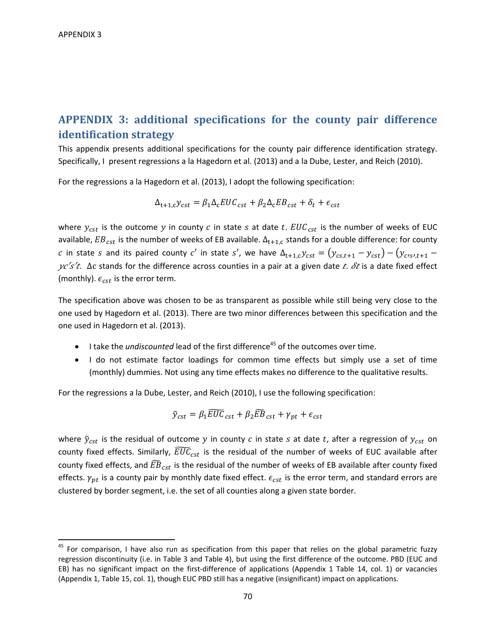## **APPENDIX 3: additional specifications for the county pair difference identification strategy**

This appendix presents additional specifications for the county pair difference identification strategy. Specifically, I present regressions a la Hagedorn et al. (2013) and a la Dube, Lester, and Reich (2010).

For the regressions a la Hagedorn et al. (2013), I adopt the following specification:

$$
\Delta_{t+1,c} y_{cst} = \beta_1 \Delta_c EU C_{cst} + \beta_2 \Delta_c EB_{cst} + \delta_t + \epsilon_{cst}
$$

where  $y_{cst}$  is the outcome y in county c in state s at date t.  $EUC_{cst}$  is the number of weeks of EUC available,  $EB_{cst}$  is the number of weeks of EB available.  $\Delta_{t+1,c}$  stands for a double difference: for county c in state s and its paired county c' in state s', we have  $\Delta_{t+1,c}y_{cst} = (y_{cs,t+1} - y_{cst}) - (y_{cts,t+1} - y_{cst})$  $\chi$ 's't.  $\Delta$ c stands for the difference across counties in a pair at a given date t.  $\delta t$  is a date fixed effect (monthly).  $\epsilon_{cst}$  is the error term.

The specification above was chosen to be as transparent as possible while still being very close to the one used by Hagedorn et al. (2013). There are two minor differences between this specification and the one used in Hagedorn et al. (2013).

- I take the *undiscounted* lead of the first difference<sup>45</sup> of the outcomes over time.
- I do not estimate factor loadings for common time effects but simply use a set of time (monthly) dummies. Not using any time effects makes no difference to the qualitative results.

For the regressions a la Dube, Lester, and Reich (2010), I use the following specification:

$$
\tilde{y}_{cst} = \beta_1 \widetilde{EUC}_{cst} + \beta_2 \widetilde{EB}_{cst} + \gamma_{pt} + \epsilon_{cst}
$$

where  $\tilde{y}_{cst}$  is the residual of outcome y in county c in state s at date t, after a regression of  $y_{cst}$  on county fixed effects. Similarly,  $\widetilde{EUC}_{cst}$  is the residual of the number of weeks of EUC available after county fixed effects, and  $\widetilde{EB}_{cst}$  is the residual of the number of weeks of EB available after county fixed effects.  $\gamma_{pt}$  is a county pair by monthly date fixed effect.  $\epsilon_{cst}$  is the error term, and standard errors are clustered by border segment, i.e. the set of all counties along a given state border.

 $45$  For comparison, I have also run as specification from this paper that relies on the global parametric fuzzy regression discontinuity (i.e. in Table 3 and Table 4), but using the first difference of the outcome. PBD (EUC and EB) has no significant impact on the first-difference of applications (Appendix 1 Table 14, col. 1) or vacancies (Appendix 1, Table 15, col. 1), though EUC PBD still has a negative (insignificant) impact on applications.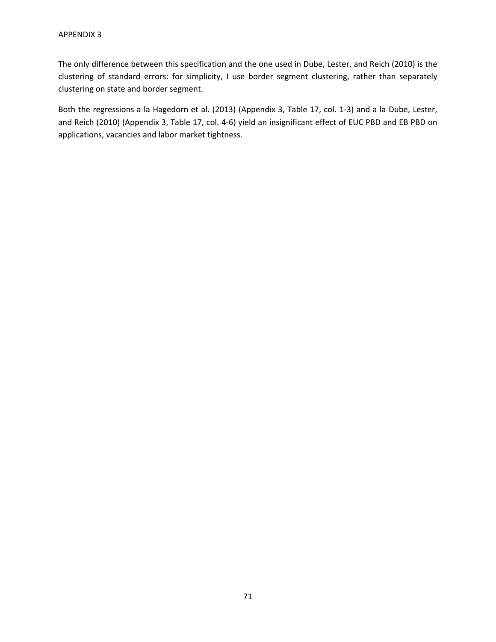The only difference between this specification and the one used in Dube, Lester, and Reich (2010) is the clustering of standard errors: for simplicity, I use border segment clustering, rather than separately clustering on state and border segment.

Both the regressions a la Hagedorn et al. (2013) (Appendix 3, Table 17, col. 1‐3) and a la Dube, Lester, and Reich (2010) (Appendix 3, Table 17, col. 4‐6) yield an insignificant effect of EUC PBD and EB PBD on applications, vacancies and labor market tightness.